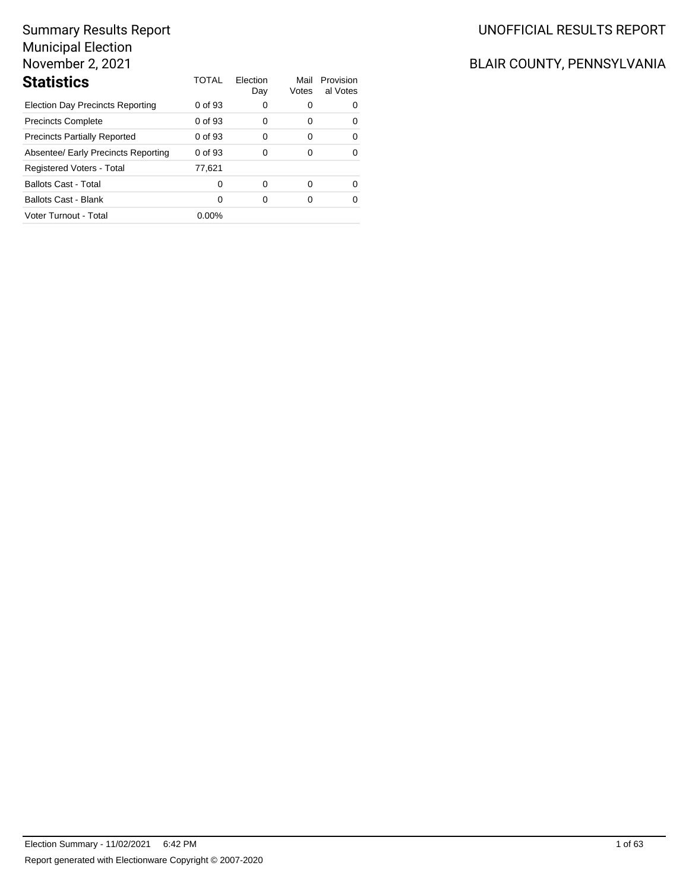| <b>Statistics</b>                       | TOTAL    | Flection<br>Day | Mail<br>Votes | Provision<br>al Votes |
|-----------------------------------------|----------|-----------------|---------------|-----------------------|
| <b>Election Day Precincts Reporting</b> | 0 of 93  | 0               | 0             | 0                     |
| <b>Precincts Complete</b>               | 0 of 93  | 0               | 0             | 0                     |
| <b>Precincts Partially Reported</b>     | 0 of 93  | 0               | $\Omega$      | $\Omega$              |
| Absentee/ Early Precincts Reporting     | 0 of 93  | 0               | 0             | 0                     |
| Registered Voters - Total               | 77.621   |                 |               |                       |
| <b>Ballots Cast - Total</b>             | 0        | 0               | 0             | ∩                     |
| <b>Ballots Cast - Blank</b>             | $\Omega$ | O               | 0             | ∩                     |
| Voter Turnout - Total                   | $0.00\%$ |                 |               |                       |

# UNOFFICIAL RESULTS REPORT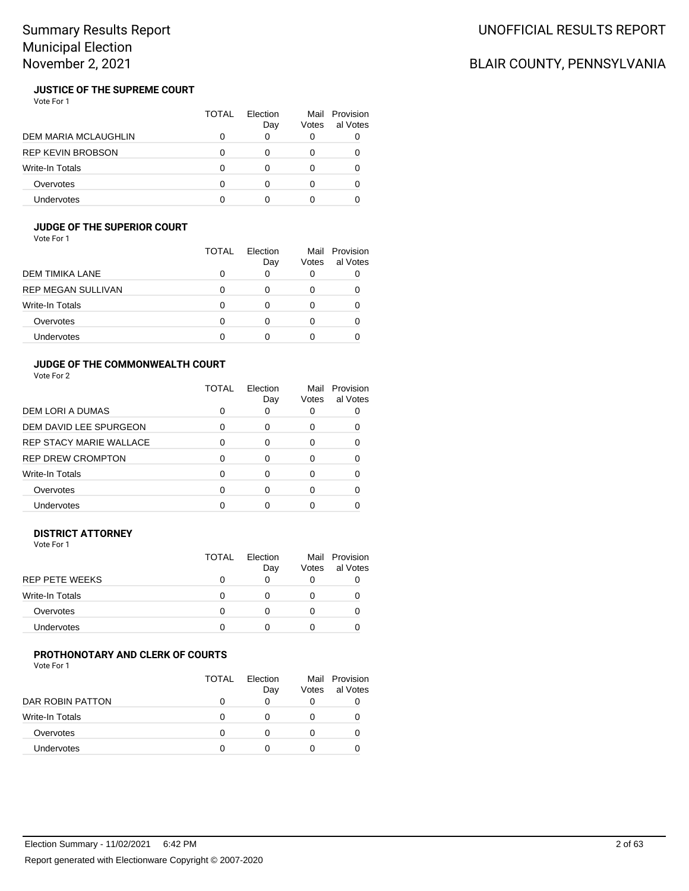# BLAIR COUNTY, PENNSYLVANIA

#### **JUSTICE OF THE SUPREME COURT** Vote For 1

|                             | TOTAL | <b>Flection</b><br>Day | Votes | Mail Provision<br>al Votes |
|-----------------------------|-------|------------------------|-------|----------------------------|
| <b>DEM MARIA MCLAUGHLIN</b> |       |                        |       |                            |
| <b>REP KEVIN BROBSON</b>    |       |                        |       |                            |
| <b>Write-In Totals</b>      |       |                        |       |                            |
| Overvotes                   |       |                        |       |                            |
| Undervotes                  |       |                        |       |                            |

# **JUDGE OF THE SUPERIOR COURT**

Vote For 1

|                           | TOTAL | Election<br>Day | Mail<br>Votes | Provision<br>al Votes |
|---------------------------|-------|-----------------|---------------|-----------------------|
| DEM TIMIKA LANE           |       |                 | 0             |                       |
| <b>REP MEGAN SULLIVAN</b> |       |                 | O             |                       |
| Write-In Totals           |       |                 | Ω             |                       |
| Overvotes                 |       |                 | Ω             |                       |
| Undervotes                |       |                 |               |                       |

## **JUDGE OF THE COMMONWEALTH COURT**

Vote For 2

|                                | TOTAL | Election<br>Day | Mail<br>Votes | Provision<br>al Votes |
|--------------------------------|-------|-----------------|---------------|-----------------------|
| DEM LORI A DUMAS               | O     | O               |               |                       |
| DEM DAVID LEE SPURGEON         | ∩     | ∩               | O             |                       |
| <b>REP STACY MARIE WALLACE</b> | ∩     | ∩               |               |                       |
| <b>REP DREW CROMPTON</b>       | ∩     | ∩               |               |                       |
| Write-In Totals                | ∩     | U               |               |                       |
| Overvotes                      |       | ∩               |               |                       |
| <b>Undervotes</b>              |       |                 |               |                       |

## **DISTRICT ATTORNEY**

Vote For 1

| <b>TOTAL</b> | Flection<br>Day | Votes | Mail Provision<br>al Votes |
|--------------|-----------------|-------|----------------------------|
|              |                 | O     |                            |
| O            |                 |       |                            |
|              |                 |       |                            |
|              |                 |       |                            |
|              |                 |       |                            |

#### **PROTHONOTARY AND CLERK OF COURTS** Vote For 1

|                        | TOTAL | Flection<br>Day | Mail<br>Votes | Provision<br>al Votes |
|------------------------|-------|-----------------|---------------|-----------------------|
| DAR ROBIN PATTON       |       |                 | O             |                       |
| <b>Write-In Totals</b> |       |                 | $\mathbf{0}$  |                       |
| Overvotes              |       |                 | $\mathbf{0}$  |                       |
| <b>Undervotes</b>      |       |                 | $\mathbf{0}$  |                       |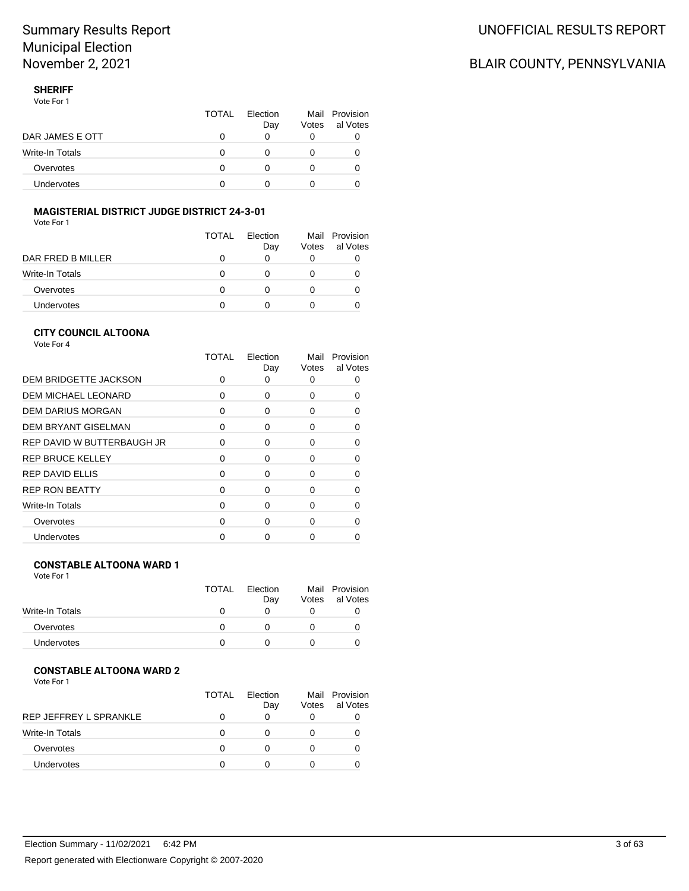# BLAIR COUNTY, PENNSYLVANIA

### **SHERIFF**

Vote For 1

|                 | <b>TOTAL</b> | Flection<br>Day | Votes | Mail Provision<br>al Votes |
|-----------------|--------------|-----------------|-------|----------------------------|
| DAR JAMES E OTT |              |                 |       |                            |
| Write-In Totals | $\mathbf{0}$ |                 |       |                            |
| Overvotes       |              |                 |       | O                          |
| Undervotes      |              |                 |       |                            |

# **MAGISTERIAL DISTRICT JUDGE DISTRICT 24-3-01**

Vote For 1

|                   | <b>TOTAL</b> | Flection<br>Day | Votes | Mail Provision<br>al Votes |
|-------------------|--------------|-----------------|-------|----------------------------|
| DAR FRED B MILLER | O            | O               | O     |                            |
| Write-In Totals   | 0            | $\mathbf{0}$    |       |                            |
| Overvotes         | 0            | $\mathbf{0}$    |       |                            |
| Undervotes        | O            |                 |       |                            |

### **CITY COUNCIL ALTOONA**

Vote For 4

|                            | TOTAL    | Election<br>Day | Mail<br>Votes | Provision<br>al Votes |
|----------------------------|----------|-----------------|---------------|-----------------------|
| DEM BRIDGETTE JACKSON      | ŋ        |                 | 0             |                       |
| <b>DEM MICHAEL LEONARD</b> | 0        | 0               | ŋ             | 0                     |
| <b>DEM DARIUS MORGAN</b>   | 0        | 0               | 0             |                       |
| <b>DEM BRYANT GISELMAN</b> | $\Omega$ | 0               | 0             | 0                     |
| REP DAVID W BUTTERBAUGH JR | O        | 0               | 0             | O                     |
| <b>REP BRUCE KELLEY</b>    | $\Omega$ | ∩               | ŋ             |                       |
| <b>REP DAVID ELLIS</b>     | $\Omega$ | 0               | 0             |                       |
| <b>REP RON BEATTY</b>      | $\Omega$ | 0               | <sup>0</sup>  | n                     |
| Write-In Totals            | ∩        | 0               | 0             |                       |
| Overvotes                  | $\Omega$ | 0               | 0             |                       |
| Undervotes                 |          |                 |               |                       |

## **CONSTABLE ALTOONA WARD 1**

Vote For 1

|                 | <b>TOTAL</b> | Election | Mail  | Provision |
|-----------------|--------------|----------|-------|-----------|
|                 |              | Day      | Votes | al Votes  |
| Write-In Totals |              |          |       |           |
| Overvotes       |              |          |       |           |
| Undervotes      |              |          |       |           |

# **CONSTABLE ALTOONA WARD 2**

| Vote For 1 |  |  |
|------------|--|--|
|            |  |  |

|                        | TOTAL | Flection<br>Day | Votes | Mail Provision<br>al Votes |
|------------------------|-------|-----------------|-------|----------------------------|
| REP JEFFREY L SPRANKLE |       |                 |       |                            |
| Write-In Totals        |       |                 |       |                            |
| Overvotes              |       |                 |       |                            |
| <b>Undervotes</b>      |       |                 |       |                            |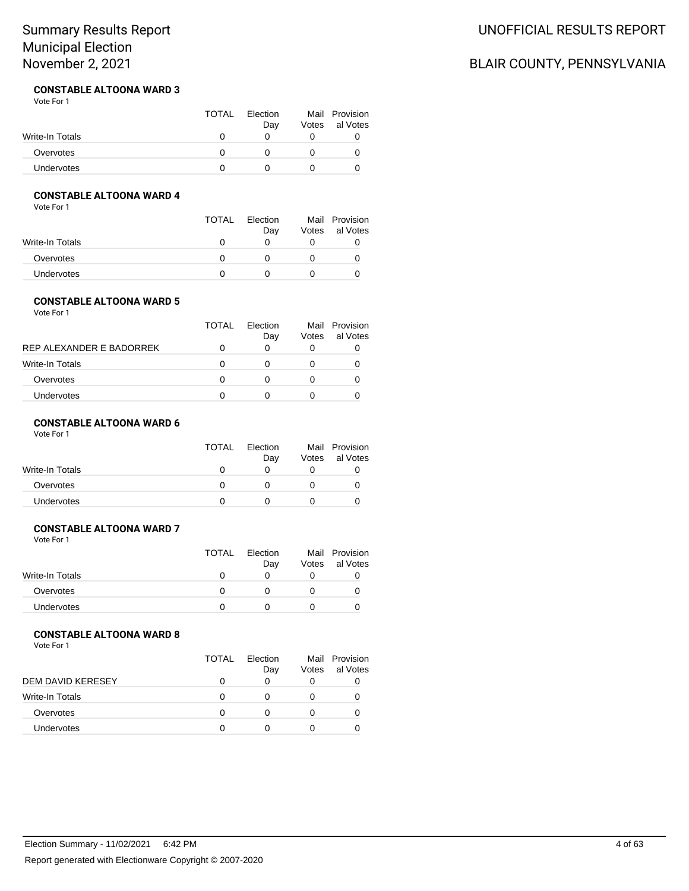# UNOFFICIAL RESULTS REPORT

# BLAIR COUNTY, PENNSYLVANIA

#### **CONSTABLE ALTOONA WARD 3** Vote For 1

|                 | <b>TOTAL</b> | Election<br>Day | Votes | Mail Provision<br>al Votes |
|-----------------|--------------|-----------------|-------|----------------------------|
| Write-In Totals |              |                 |       |                            |
| Overvotes       |              |                 |       |                            |
| Undervotes      |              |                 |       |                            |

## **CONSTABLE ALTOONA WARD 4**

Vote For 1

|                   | <b>TOTAL</b> | Election<br>Day | Votes | Mail Provision<br>al Votes |
|-------------------|--------------|-----------------|-------|----------------------------|
| Write-In Totals   |              |                 |       |                            |
| Overvotes         |              |                 |       |                            |
| <b>Undervotes</b> |              |                 |       |                            |

## **CONSTABLE ALTOONA WARD 5**

Vote For 1

|                          | TOTAL        | Flection<br>Day | Mail<br>Votes | Provision<br>al Votes |
|--------------------------|--------------|-----------------|---------------|-----------------------|
| REP ALEXANDER E BADORREK |              |                 | $\left($      |                       |
| <b>Write-In Totals</b>   |              |                 |               |                       |
| Overvotes                | $\mathbf{I}$ |                 |               |                       |
| <b>Undervotes</b>        | $\mathbf{I}$ |                 |               |                       |
|                          |              |                 |               |                       |

## **CONSTABLE ALTOONA WARD 6**

Vote For 1

|                 | <b>TOTAL</b> | Election |       | Mail Provision |
|-----------------|--------------|----------|-------|----------------|
|                 |              | Day      | Votes | al Votes       |
| Write-In Totals |              |          |       |                |
| Overvotes       |              |          |       |                |
| Undervotes      |              |          |       |                |

### **CONSTABLE ALTOONA WARD 7**

Vote For 1

|                   | TOTAL | Election |       | Mail Provision |
|-------------------|-------|----------|-------|----------------|
|                   |       | Day      | Votes | al Votes       |
| Write-In Totals   |       |          |       |                |
| Overvotes         |       |          |       |                |
| <b>Undervotes</b> |       |          |       |                |

## **CONSTABLE ALTOONA WARD 8**

|                   | TOTAL | Flection<br>Day | Votes | Mail Provision<br>al Votes |
|-------------------|-------|-----------------|-------|----------------------------|
| DEM DAVID KERESEY |       |                 |       |                            |
| Write-In Totals   | O     |                 |       |                            |
| Overvotes         |       |                 |       |                            |
| <b>Undervotes</b> |       |                 |       |                            |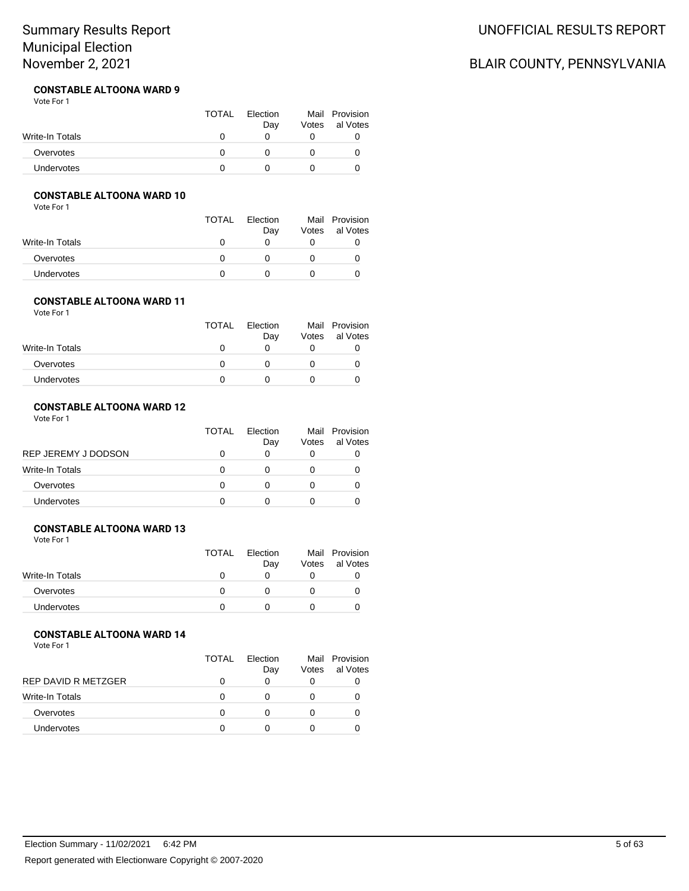#### **CONSTABLE ALTOONA WARD 9** Vote For 1

|                 | <b>TOTAL</b> | Election<br>Day | Mail Provision<br>Votes al Votes |
|-----------------|--------------|-----------------|----------------------------------|
| Write-In Totals |              |                 |                                  |
| Overvotes       |              |                 |                                  |
| Undervotes      |              |                 |                                  |

# **CONSTABLE ALTOONA WARD 10**

Vote For 1

|                   | <b>TOTAL</b> | Election<br>Day | Votes | Mail Provision<br>al Votes |
|-------------------|--------------|-----------------|-------|----------------------------|
| Write-In Totals   | $\mathbf{0}$ |                 |       |                            |
| Overvotes         |              |                 |       |                            |
| <b>Undervotes</b> |              |                 |       |                            |

#### **CONSTABLE ALTOONA WARD 11** Vote For 1

|                 | <b>TOTAL</b> | Election<br>Day | Votes | Mail Provision<br>al Votes |
|-----------------|--------------|-----------------|-------|----------------------------|
| Write-In Totals |              |                 |       |                            |
| Overvotes       |              |                 |       |                            |
| Undervotes      |              |                 |       |                            |

### **CONSTABLE ALTOONA WARD 12**

Vote For 1

|                        | <b>TOTAL</b> | Flection<br>Day | Votes | Mail Provision<br>al Votes |
|------------------------|--------------|-----------------|-------|----------------------------|
| REP JEREMY J DODSON    |              |                 |       |                            |
| <b>Write-In Totals</b> |              |                 |       |                            |
| Overvotes              |              |                 |       |                            |
| <b>Undervotes</b>      |              |                 |       |                            |

### **CONSTABLE ALTOONA WARD 13**

Vote For 1

|                   | TOTAL | Election<br>Day | Votes | Mail Provision<br>al Votes |
|-------------------|-------|-----------------|-------|----------------------------|
| Write-In Totals   |       |                 |       |                            |
| Overvotes         |       |                 |       |                            |
| <b>Undervotes</b> |       |                 |       |                            |

## **CONSTABLE ALTOONA WARD 14**

Vote For 1

|                     | TOTAL | Flection<br>Day | Votes | Mail Provision<br>al Votes |
|---------------------|-------|-----------------|-------|----------------------------|
| REP DAVID R METZGER |       |                 | 0     |                            |
| Write-In Totals     |       |                 |       |                            |
| Overvotes           |       |                 |       |                            |
| <b>Undervotes</b>   |       |                 |       |                            |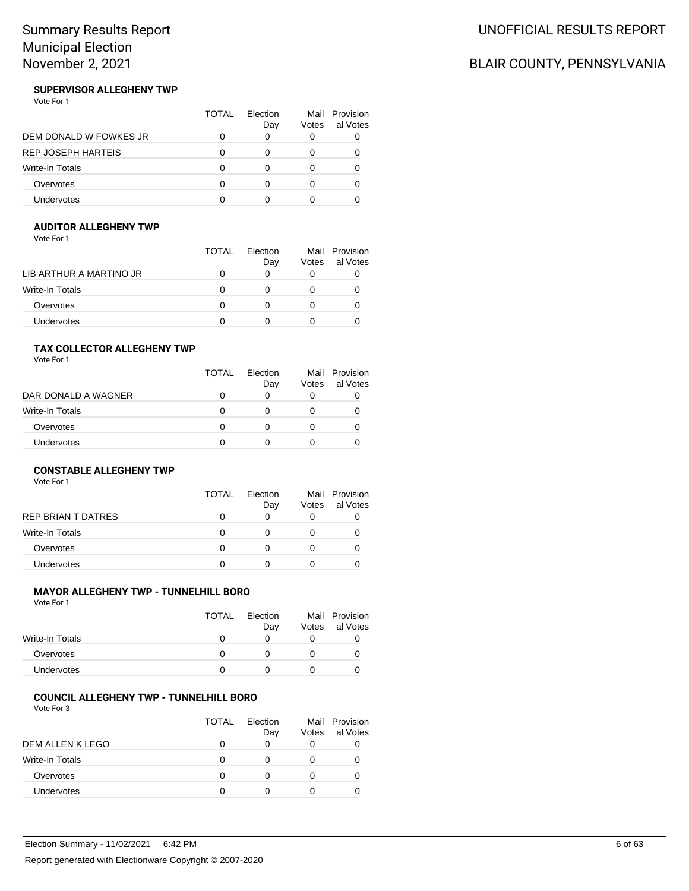# UNOFFICIAL RESULTS REPORT

# BLAIR COUNTY, PENNSYLVANIA

#### **SUPERVISOR ALLEGHENY TWP** Vote For 1

|                           | TOTAL | Flection<br>Day | Votes | Mail Provision<br>al Votes |
|---------------------------|-------|-----------------|-------|----------------------------|
| DEM DONALD W FOWKES JR    |       |                 |       |                            |
| <b>REP JOSEPH HARTEIS</b> |       |                 |       |                            |
| <b>Write-In Totals</b>    |       |                 |       |                            |
| Overvotes                 |       |                 |       |                            |
| Undervotes                |       |                 |       |                            |

## **AUDITOR ALLEGHENY TWP**

Vote For 1

|                         | <b>TOTAL</b> | Election<br>Day | Mail<br>Votes | Provision<br>al Votes |
|-------------------------|--------------|-----------------|---------------|-----------------------|
| LIB ARTHUR A MARTINO JR |              |                 |               |                       |
| <b>Write-In Totals</b>  |              |                 |               |                       |
| Overvotes               |              |                 |               |                       |
| <b>Undervotes</b>       |              |                 |               |                       |

## **TAX COLLECTOR ALLEGHENY TWP**

Vote For 1

|                        | TOTAL | Flection<br>Day | Votes | Mail Provision<br>al Votes |
|------------------------|-------|-----------------|-------|----------------------------|
| DAR DONALD A WAGNER    |       | 0               |       |                            |
| <b>Write-In Totals</b> | 0     | $\mathbf{0}$    |       |                            |
| Overvotes              | 0     | O               |       |                            |
| Undervotes             | O     | O               |       |                            |

## **CONSTABLE ALLEGHENY TWP**

Vote For 1

|                    | TOTAL | Flection<br>Day | Votes | Mail Provision<br>al Votes |
|--------------------|-------|-----------------|-------|----------------------------|
| REP BRIAN T DATRES | 0     | O               | O     |                            |
| Write-In Totals    | 0     | O               |       |                            |
| Overvotes          | 0     |                 |       |                            |
| <b>Undervotes</b>  | Ω     |                 |       |                            |
|                    |       |                 |       |                            |

### **MAYOR ALLEGHENY TWP - TUNNELHILL BORO**

Vote For 1

|                   | <b>TOTAL</b> | Election<br>Dav | Mail<br>Votes | Provision<br>al Votes |
|-------------------|--------------|-----------------|---------------|-----------------------|
| Write-In Totals   |              |                 |               |                       |
| Overvotes         |              |                 |               |                       |
| <b>Undervotes</b> |              |                 |               |                       |

### **COUNCIL ALLEGHENY TWP - TUNNELHILL BORO**

|                        | TOTAL | <b>Flection</b><br>Day | Votes | Mail Provision<br>al Votes |
|------------------------|-------|------------------------|-------|----------------------------|
| DEM ALLEN K LEGO       | 0     | O                      | 0     |                            |
| <b>Write-In Totals</b> | 0     | O                      | O     |                            |
| Overvotes              | O     |                        |       |                            |
| Undervotes             | n     |                        |       |                            |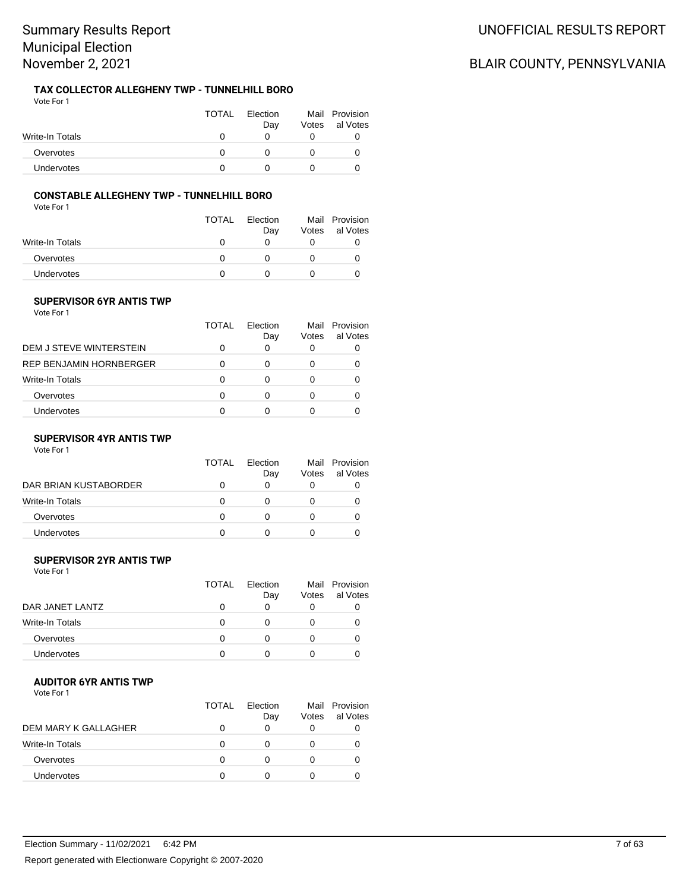#### **TAX COLLECTOR ALLEGHENY TWP - TUNNELHILL BORO** Vote For 1

|                   | <b>TOTAL</b> | Election<br>Day | Votes | Mail Provision<br>al Votes |
|-------------------|--------------|-----------------|-------|----------------------------|
| Write-In Totals   |              |                 |       |                            |
| Overvotes         |              |                 |       |                            |
| <b>Undervotes</b> |              |                 |       |                            |

## **CONSTABLE ALLEGHENY TWP - TUNNELHILL BORO**

Vote For 1

|                   | TOTAL | Election<br>Day | Votes | Mail Provision<br>al Votes |
|-------------------|-------|-----------------|-------|----------------------------|
| Write-In Totals   | 0     |                 |       |                            |
| Overvotes         |       |                 |       |                            |
| <b>Undervotes</b> |       |                 |       |                            |

## **SUPERVISOR 6YR ANTIS TWP**

Vote For 1

|                                | TOTAL | Flection<br>Day | Votes | Mail Provision<br>al Votes |
|--------------------------------|-------|-----------------|-------|----------------------------|
| DEM J STEVE WINTERSTEIN        | O     | 0               |       |                            |
| <b>REP BENJAMIN HORNBERGER</b> | 0     | O               |       |                            |
| Write-In Totals                | 0     | Ω               |       |                            |
| Overvotes                      | ∩     | n               |       |                            |
| Undervotes                     | O     |                 |       |                            |

### **SUPERVISOR 4YR ANTIS TWP**

Vote For 1

|                       | TOTAL | Election<br>Day | Votes | Mail Provision<br>al Votes |
|-----------------------|-------|-----------------|-------|----------------------------|
| DAR BRIAN KUSTABORDER |       |                 |       |                            |
| Write-In Totals       |       |                 |       |                            |
| Overvotes             |       |                 |       |                            |
| Undervotes            |       |                 |       |                            |

## **SUPERVISOR 2YR ANTIS TWP**

Vote For 1

|                   | TOTAL | Flection<br>Day | Votes | Mail Provision<br>al Votes |
|-------------------|-------|-----------------|-------|----------------------------|
| DAR JANET LANTZ   |       |                 |       |                            |
| Write-In Totals   |       |                 |       |                            |
| Overvotes         |       |                 |       |                            |
| <b>Undervotes</b> |       |                 |       |                            |

### **AUDITOR 6YR ANTIS TWP**

Vote For 1

|                      | <b>TOTAL</b> | Flection<br>Day | Votes        | Mail Provision<br>al Votes |
|----------------------|--------------|-----------------|--------------|----------------------------|
| DEM MARY K GALLAGHER |              |                 | O            |                            |
| Write-In Totals      | O            |                 |              |                            |
| Overvotes            | O            |                 | $\mathbf{0}$ |                            |
| <b>Undervotes</b>    |              |                 |              |                            |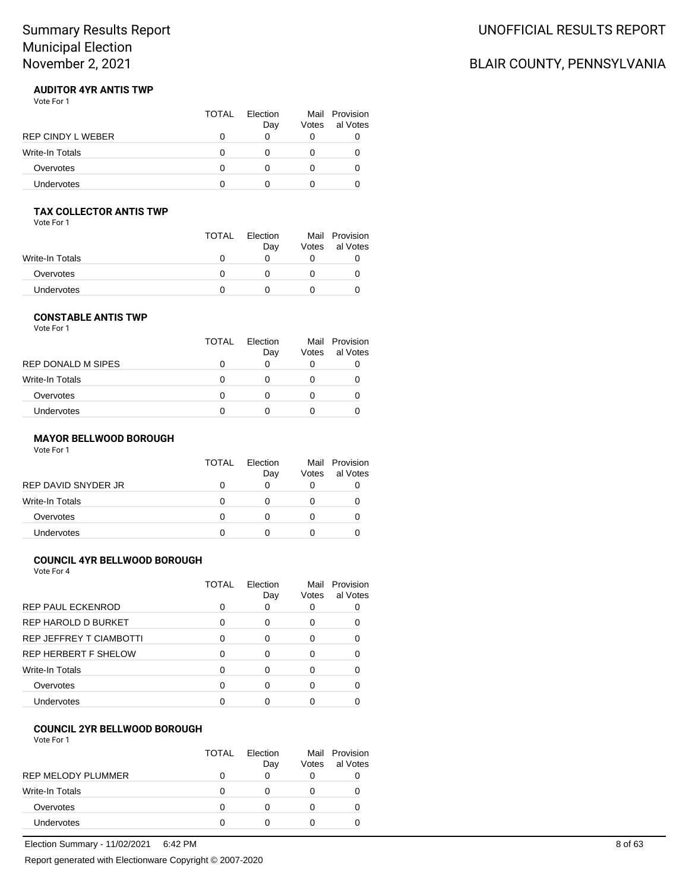# BLAIR COUNTY, PENNSYLVANIA

#### **AUDITOR 4YR ANTIS TWP** Vote For 1

|                   | <b>TOTAL</b> | Flection<br>Day | Votes | Mail Provision<br>al Votes |
|-------------------|--------------|-----------------|-------|----------------------------|
| REP CINDY L WEBER |              |                 |       |                            |
| Write-In Totals   |              |                 |       |                            |
| Overvotes         |              |                 |       |                            |
| <b>Undervotes</b> |              |                 |       |                            |

# **TAX COLLECTOR ANTIS TWP**

Vote For 1

|                   | <b>TOTAL</b> | Election<br>Day | Votes | Mail Provision<br>al Votes |
|-------------------|--------------|-----------------|-------|----------------------------|
| Write-In Totals   |              |                 |       |                            |
| Overvotes         |              |                 |       |                            |
| <b>Undervotes</b> |              |                 |       |                            |

#### **CONSTABLE ANTIS TWP** Vote For 1

|                    | TOTAL | Election<br>Day | Votes | Mail Provision<br>al Votes |
|--------------------|-------|-----------------|-------|----------------------------|
| REP DONALD M SIPES |       |                 |       |                            |
| Write-In Totals    | O     |                 |       | O                          |
| Overvotes          | Ω     |                 |       | 0                          |
| Undervotes         |       |                 |       |                            |

## **MAYOR BELLWOOD BOROUGH**

Vote For 1

|                     | <b>TOTAL</b> | Election<br>Day | Votes | Mail Provision<br>al Votes |
|---------------------|--------------|-----------------|-------|----------------------------|
| REP DAVID SNYDER JR |              |                 |       |                            |
| Write-In Totals     |              |                 |       | O                          |
| Overvotes           |              |                 |       |                            |
| <b>Undervotes</b>   |              |                 |       |                            |

## **COUNCIL 4YR BELLWOOD BOROUGH**

Vote For 4

|                                | TOTAL | Election<br>Day | Mail<br>Votes | Provision<br>al Votes |
|--------------------------------|-------|-----------------|---------------|-----------------------|
| <b>REP PAUL ECKENROD</b>       |       | O               |               |                       |
| REP HAROLD D BURKET            | n     | ∩               |               |                       |
| <b>REP JEFFREY T CIAMBOTTI</b> | ∩     | ∩               |               |                       |
| <b>REP HERBERT F SHELOW</b>    |       | ∩               | Ω             |                       |
| Write-In Totals                | n     | ∩               |               |                       |
| Overvotes                      |       | ∩               |               |                       |
| <b>Undervotes</b>              |       |                 |               |                       |

### **COUNCIL 2YR BELLWOOD BOROUGH**

Vote For 1

|                    | <b>TOTAL</b> | Election<br>Day | Votes | Mail Provision<br>al Votes |
|--------------------|--------------|-----------------|-------|----------------------------|
| REP MELODY PLUMMER | 0            | O               |       |                            |
| Write-In Totals    | 0            |                 |       |                            |
| Overvotes          | 0            |                 |       |                            |
| Undervotes         | 0            |                 |       |                            |

Election Summary - 11/02/2021 6:42 PM 8 of 63

Report generated with Electionware Copyright © 2007-2020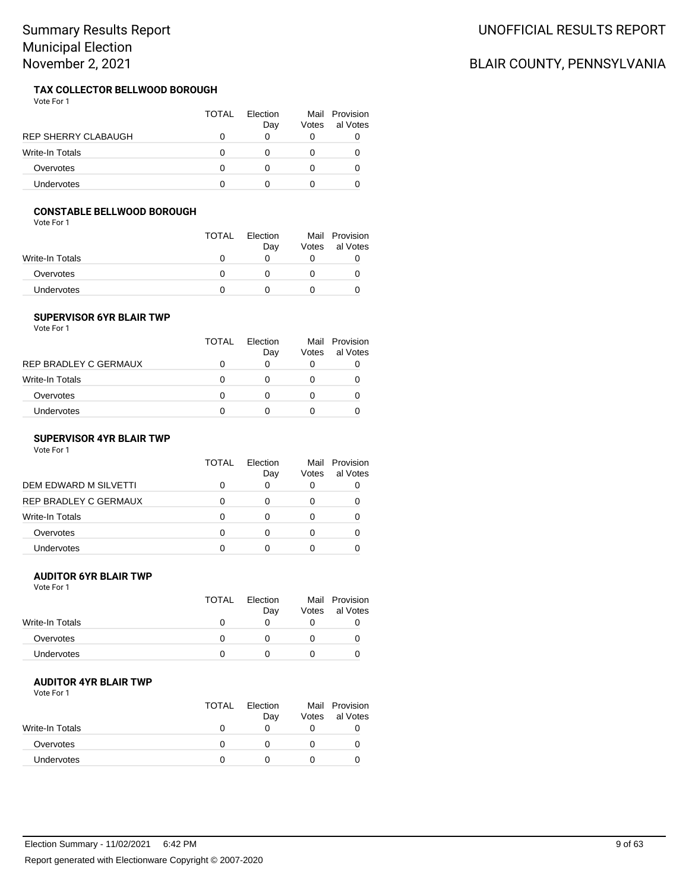#### **TAX COLLECTOR BELLWOOD BOROUGH** Vote For 1

|                            | TOTAL    | Flection<br>Day | Mail<br>Votes | Provision<br>al Votes |
|----------------------------|----------|-----------------|---------------|-----------------------|
| <b>REP SHERRY CLABAUGH</b> | $^{(1)}$ | 0               | 0             |                       |
| Write-In Totals            | $\Omega$ |                 | 0             |                       |
| Overvotes                  | O        |                 | 0             | 0                     |
| Undervotes                 |          |                 |               |                       |

### **CONSTABLE BELLWOOD BOROUGH**

Vote For 1

|                   | <b>TOTAL</b> | Election<br>Day | Mail<br>Votes | Provision<br>al Votes |
|-------------------|--------------|-----------------|---------------|-----------------------|
| Write-In Totals   | $\mathbf{U}$ |                 |               |                       |
| Overvotes         |              |                 |               |                       |
| <b>Undervotes</b> |              |                 |               |                       |

### **SUPERVISOR 6YR BLAIR TWP**

Vote For 1

|                       | TOTAL | Flection<br>Day | Votes | Mail Provision<br>al Votes |
|-----------------------|-------|-----------------|-------|----------------------------|
| REP BRADLEY C GERMAUX | 0     | 0               |       |                            |
| Write-In Totals       | O     | O               |       |                            |
| Overvotes             | O     | 0               |       |                            |
| Undervotes            | 0     |                 |       |                            |
|                       |       |                 |       |                            |

### **SUPERVISOR 4YR BLAIR TWP**

Vote For 1

|                       | TOTAL | Election<br>Day | Mail<br>Votes | Provision<br>al Votes |
|-----------------------|-------|-----------------|---------------|-----------------------|
| DEM EDWARD M SILVETTI |       | 0               | 0             |                       |
| REP BRADLEY C GERMAUX |       |                 | 0             |                       |
| Write-In Totals       |       |                 | 0             |                       |
| Overvotes             |       |                 | 0             |                       |
| Undervotes            |       |                 | O             |                       |

### **AUDITOR 6YR BLAIR TWP**

Vote For 1

|                        | <b>TOTAL</b> | Election<br>Day | Votes | Mail Provision<br>al Votes |
|------------------------|--------------|-----------------|-------|----------------------------|
| <b>Write-In Totals</b> |              |                 |       |                            |
| Overvotes              |              |                 |       |                            |
| <b>Undervotes</b>      |              |                 |       |                            |

### **AUDITOR 4YR BLAIR TWP**

Vote For 1

|                 | <b>TOTAL</b> | Election<br>Day | Votes | Mail Provision<br>al Votes |
|-----------------|--------------|-----------------|-------|----------------------------|
| Write-In Totals | $\mathbf{I}$ |                 |       |                            |
| Overvotes       |              |                 |       |                            |
| Undervotes      |              |                 |       |                            |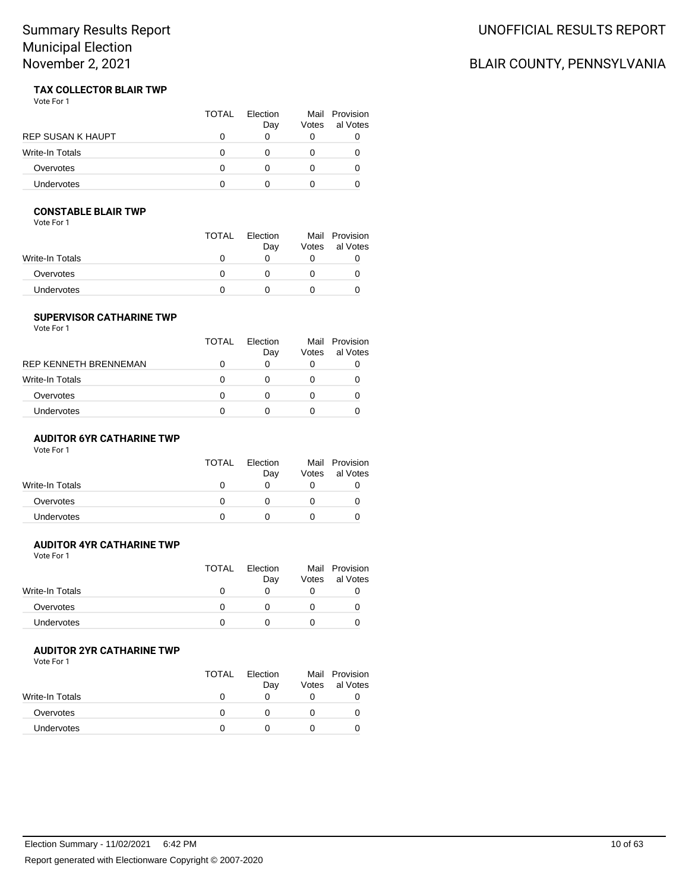# UNOFFICIAL RESULTS REPORT

# BLAIR COUNTY, PENNSYLVANIA

#### **TAX COLLECTOR BLAIR TWP** Vote For 1

|                   | <b>TOTAL</b> | Flection<br>Day | Votes | Mail Provision<br>al Votes |
|-------------------|--------------|-----------------|-------|----------------------------|
| REP SUSAN K HAUPT |              |                 |       |                            |
| Write-In Totals   |              |                 |       |                            |
| Overvotes         |              |                 |       |                            |
| Undervotes        |              |                 |       |                            |

## **CONSTABLE BLAIR TWP**

Vote For 1

|                 | TOTAL | Election<br>Day | Mail<br>Votes | Provision<br>al Votes |
|-----------------|-------|-----------------|---------------|-----------------------|
| Write-In Totals |       |                 |               |                       |
| Overvotes       |       |                 |               |                       |
| Undervotes      |       |                 |               |                       |

### **SUPERVISOR CATHARINE TWP**

Vote For 1

|                       | <b>TOTAL</b> | Flection |       | Mail Provision |
|-----------------------|--------------|----------|-------|----------------|
|                       |              | Day      | Votes | al Votes       |
| RFP KFNNFTH BRFNNFMAN | 0            | 0        |       |                |
| Write-In Totals       | 0            | O        |       |                |
| Overvotes             | O            | 0        |       |                |
| Undervotes            | 0            |          |       |                |
|                       |              |          |       |                |

### **AUDITOR 6YR CATHARINE TWP**

Vote For 1

|                 | <b>TOTAL</b> | Election<br>Day | Votes | Mail Provision<br>al Votes |
|-----------------|--------------|-----------------|-------|----------------------------|
| Write-In Totals |              |                 |       |                            |
| Overvotes       |              |                 |       |                            |
| Undervotes      |              |                 |       |                            |
|                 |              |                 |       |                            |

# **AUDITOR 4YR CATHARINE TWP**

Vote For 1

| <b>TOTAL</b> | Election<br>Day | Votes | Mail Provision<br>al Votes |
|--------------|-----------------|-------|----------------------------|
|              |                 |       |                            |
|              |                 |       |                            |
|              |                 |       |                            |
|              |                 |       |                            |

### **AUDITOR 2YR CATHARINE TWP**

|                 | <b>TOTAL</b> | Election<br>Day | Votes | Mail Provision<br>al Votes |
|-----------------|--------------|-----------------|-------|----------------------------|
| Write-In Totals |              |                 |       |                            |
| Overvotes       |              |                 |       |                            |
| Undervotes      |              |                 |       |                            |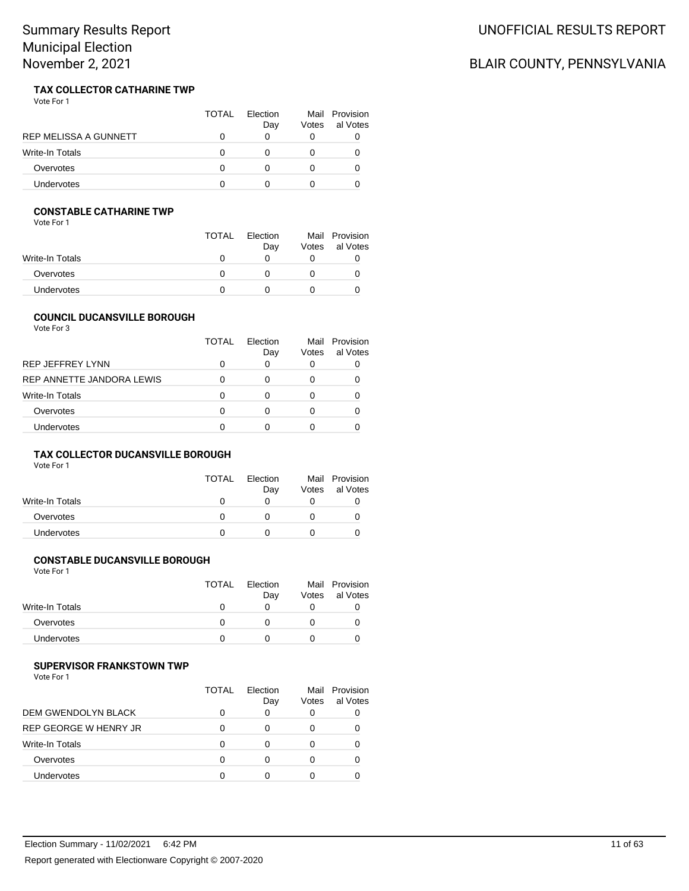#### **TAX COLLECTOR CATHARINE TWP** Vote For 1

|                       | <b>TOTAL</b> | Election<br>Day | Votes | Mail Provision<br>al Votes |
|-----------------------|--------------|-----------------|-------|----------------------------|
| REP MELISSA A GUNNETT |              |                 |       |                            |
| Write-In Totals       |              |                 |       |                            |
| Overvotes             |              |                 |       |                            |
| <b>Undervotes</b>     |              |                 |       |                            |

### **CONSTABLE CATHARINE TWP**

Vote For 1

|                 | <b>TOTAL</b> | Election<br>Day | Votes | Mail Provision<br>al Votes |
|-----------------|--------------|-----------------|-------|----------------------------|
| Write-In Totals | $\mathbf{U}$ |                 |       |                            |
| Overvotes       | $\mathbf{U}$ |                 |       |                            |
| Undervotes      |              |                 |       |                            |

## **COUNCIL DUCANSVILLE BOROUGH**

Vote For 3

|                           | <b>TOTAL</b> | Flection<br>Day | Mail<br>Votes | Provision<br>al Votes |
|---------------------------|--------------|-----------------|---------------|-----------------------|
| <b>REP JEFFREY LYNN</b>   | 0            | 0               |               |                       |
| REP ANNETTE JANDORA LEWIS | 0            | 0               |               |                       |
| Write-In Totals           | 0            | O               | $\mathbf{0}$  |                       |
| Overvotes                 | 0            | Ω               | $\mathbf{0}$  |                       |
| Undervotes                | O            | n               |               |                       |

### **TAX COLLECTOR DUCANSVILLE BOROUGH**

Vote For 1

|                   | TOTAL | Election     |       | Mail Provision |
|-------------------|-------|--------------|-------|----------------|
|                   |       | Day          | Votes | al Votes       |
| Write-In Totals   |       | $\mathbf{0}$ |       |                |
| Overvotes         |       |              |       |                |
| <b>Undervotes</b> |       |              |       |                |

# **CONSTABLE DUCANSVILLE BOROUGH**

Vote For 1

| <b>TOTAL</b> | Election | Mail  | Provision |
|--------------|----------|-------|-----------|
|              | Day      | Votes | al Votes  |
|              |          |       |           |
|              |          |       |           |
|              |          |       |           |
|              |          |       |           |

#### **SUPERVISOR FRANKSTOWN TWP**

Vote For 1

|                              | TOTAL | Flection<br>Day | Votes | Mail Provision<br>al Votes |
|------------------------------|-------|-----------------|-------|----------------------------|
| DEM GWENDOLYN BLACK          |       | 0               | 0     |                            |
| <b>REP GEORGE W HENRY JR</b> |       |                 | O     |                            |
| Write-In Totals              |       | O               | 0     |                            |
| Overvotes                    |       |                 | 0     |                            |
| Undervotes                   |       |                 |       |                            |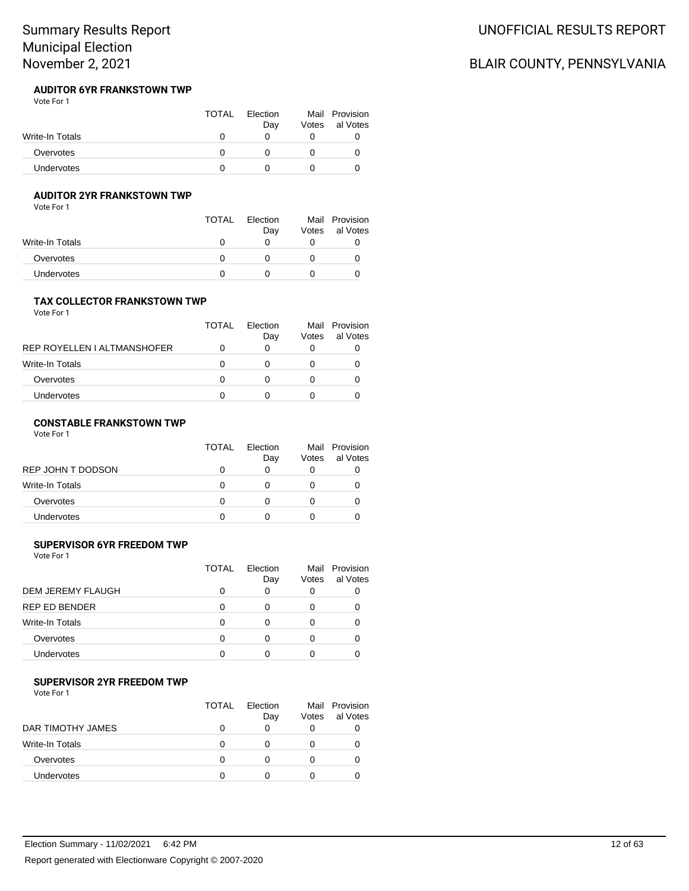#### **AUDITOR 6YR FRANKSTOWN TWP** Vote For 1

|                   | <b>TOTAL</b> | Election<br>Dav | Votes | Mail Provision<br>al Votes |
|-------------------|--------------|-----------------|-------|----------------------------|
| Write-In Totals   |              |                 |       |                            |
| Overvotes         |              |                 |       |                            |
| <b>Undervotes</b> |              |                 |       |                            |

### **AUDITOR 2YR FRANKSTOWN TWP**

Vote For 1

|                   | <b>TOTAL</b> | Election<br>Day | Votes | Mail Provision<br>al Votes |
|-------------------|--------------|-----------------|-------|----------------------------|
| Write-In Totals   |              |                 |       |                            |
| Overvotes         |              |                 |       |                            |
| <b>Undervotes</b> |              |                 |       |                            |

## **TAX COLLECTOR FRANKSTOWN TWP**

Vote For 1

|                             | TOTAL | Flection<br>Day | Mail<br>Votes | Provision<br>al Votes |
|-----------------------------|-------|-----------------|---------------|-----------------------|
| REP ROYELLEN I ALTMANSHOFER |       |                 |               |                       |
| Write-In Totals             |       | $\mathbf{I}$    |               |                       |
| Overvotes                   |       |                 |               |                       |
| Undervotes                  |       |                 |               |                       |

## **CONSTABLE FRANKSTOWN TWP**

Vote For 1

|                        | TOTAL | Election<br>Day | Votes | Mail Provision<br>al Votes |
|------------------------|-------|-----------------|-------|----------------------------|
| REP JOHN T DODSON      |       |                 |       |                            |
| <b>Write-In Totals</b> |       |                 |       |                            |
| Overvotes              |       |                 |       |                            |
| Undervotes             |       |                 |       |                            |

## **SUPERVISOR 6YR FREEDOM TWP**

Vote For 1

|                          | <b>TOTAL</b> | Election<br>Day | Mail<br>Votes | Provision<br>al Votes |
|--------------------------|--------------|-----------------|---------------|-----------------------|
| <b>DEM JEREMY FLAUGH</b> |              | 0               | 0             |                       |
| <b>REP ED BENDER</b>     |              | 0               | 0             |                       |
| <b>Write-In Totals</b>   |              |                 | 0             |                       |
| Overvotes                | O            | ∩               | 0             |                       |
| Undervotes               |              | ∩               | O             |                       |

### **SUPERVISOR 2YR FREEDOM TWP**

Vote For 1

|                   | <b>TOTAL</b> | Flection<br>Day | Votes | Mail Provision<br>al Votes |
|-------------------|--------------|-----------------|-------|----------------------------|
| DAR TIMOTHY JAMES |              |                 | 0     |                            |
| Write-In Totals   | O            |                 |       |                            |
| Overvotes         | O            |                 |       |                            |
| Undervotes        | $\Omega$     |                 |       |                            |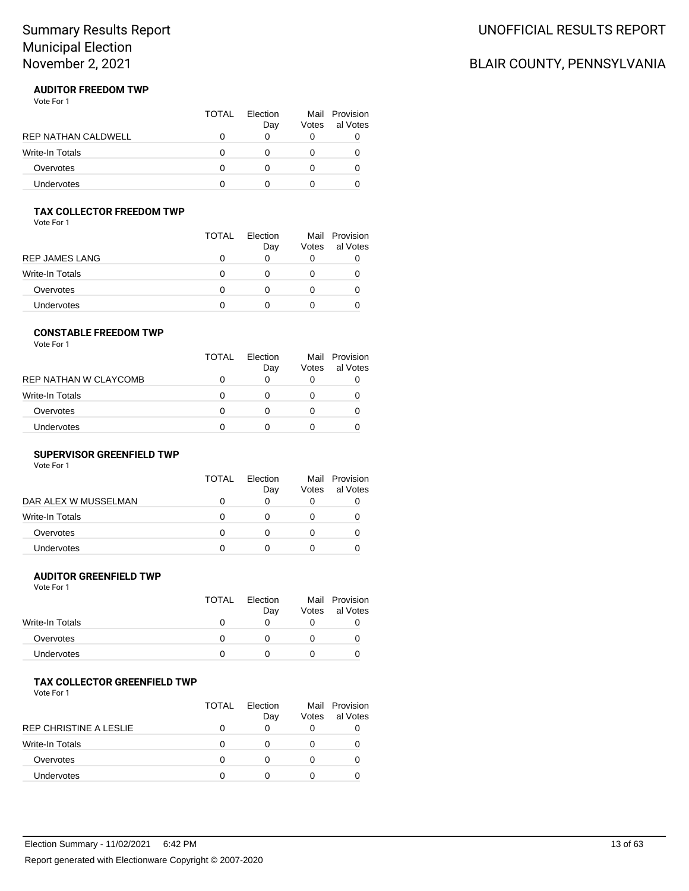# BLAIR COUNTY, PENNSYLVANIA

#### **AUDITOR FREEDOM TWP** Vote For 1

|                            | TOTAL | Election<br>Day | Votes | Mail Provision<br>al Votes |
|----------------------------|-------|-----------------|-------|----------------------------|
| <b>REP NATHAN CALDWELL</b> |       |                 |       |                            |
| <b>Write-In Totals</b>     |       |                 |       |                            |
| Overvotes                  |       |                 |       |                            |
| <b>Undervotes</b>          |       |                 |       |                            |

# **TAX COLLECTOR FREEDOM TWP**

Vote For 1

|                 | TOTAL | Election<br>Day | Votes | Mail Provision<br>al Votes |
|-----------------|-------|-----------------|-------|----------------------------|
| REP JAMES LANG  | O     | O               |       |                            |
| Write-In Totals | 0     | O               |       |                            |
| Overvotes       | 0     | 0               |       |                            |
| Undervotes      |       |                 |       |                            |

#### **CONSTABLE FREEDOM TWP**

Vote For 1

|                       | TOTAL | Election | Votes | Mail Provision<br>al Votes |
|-----------------------|-------|----------|-------|----------------------------|
| REP NATHAN W CLAYCOMB |       | Day<br>0 |       |                            |
| Write-In Totals       | O     |          |       |                            |
| Overvotes             | n     | 0        |       |                            |
| <b>Undervotes</b>     | n     | O        |       |                            |

#### **SUPERVISOR GREENFIELD TWP**

Vote For 1

|                      | TOTAL | Election<br>Day | Mail<br>Votes | Provision<br>al Votes |
|----------------------|-------|-----------------|---------------|-----------------------|
| DAR ALEX W MUSSELMAN |       |                 | O             |                       |
| Write-In Totals      |       |                 |               |                       |
| Overvotes            |       |                 |               |                       |
| <b>Undervotes</b>    |       |                 |               |                       |

### **AUDITOR GREENFIELD TWP**

Vote For 1

|                   | <b>TOTAL</b> | Election<br>Day | Votes | Mail Provision<br>al Votes |
|-------------------|--------------|-----------------|-------|----------------------------|
| Write-In Totals   |              |                 |       |                            |
| Overvotes         |              |                 |       |                            |
| <b>Undervotes</b> |              |                 |       |                            |

# **TAX COLLECTOR GREENFIELD TWP**

|                        | TOTAL | <b>Flection</b><br>Day | Votes        | Mail Provision<br>al Votes |
|------------------------|-------|------------------------|--------------|----------------------------|
| REP CHRISTINE A LESLIE |       | 0                      | 0            |                            |
| Write-In Totals        | O     |                        | $\mathbf{0}$ |                            |
| Overvotes              | n     |                        | $\mathbf{0}$ |                            |
| <b>Undervotes</b>      | n     |                        | $\mathbf{0}$ |                            |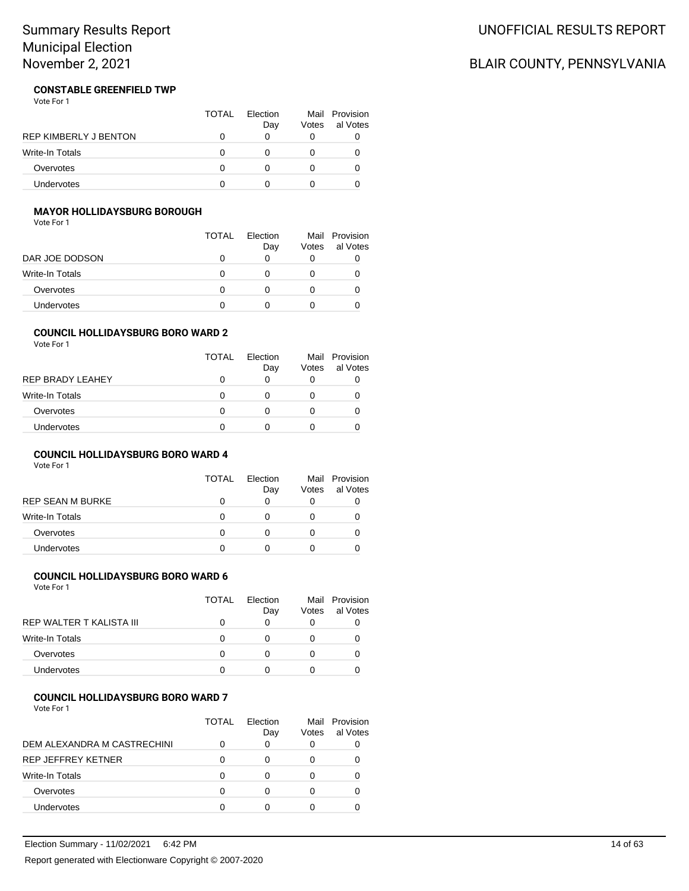# UNOFFICIAL RESULTS REPORT

# BLAIR COUNTY, PENNSYLVANIA

#### **CONSTABLE GREENFIELD TWP** Vote For 1

|                              | TOTAL | Election<br>Day | Votes | Mail Provision<br>al Votes |
|------------------------------|-------|-----------------|-------|----------------------------|
| <b>REP KIMBERLY J BENTON</b> |       |                 |       |                            |
| Write-In Totals              |       |                 |       |                            |
| Overvotes                    |       |                 |       |                            |
| <b>Undervotes</b>            |       |                 |       |                            |

## **MAYOR HOLLIDAYSBURG BOROUGH**

Vote For 1

|                 | TOTAL | Flection     |       | Mail Provision |
|-----------------|-------|--------------|-------|----------------|
|                 |       | Day          | Votes | al Votes       |
| DAR JOE DODSON  |       |              |       |                |
| Write-In Totals | 0     | $\mathbf{0}$ |       |                |
| Overvotes       | 0     |              |       |                |
| Undervotes      |       |              |       |                |

#### **COUNCIL HOLLIDAYSBURG BORO WARD 2**

Vote For 1

| <b>TOTAL</b> | Flection<br>Day   | Votes | Mail Provision<br>al Votes |
|--------------|-------------------|-------|----------------------------|
| 0            | O                 |       |                            |
| 0            | $\mathbf{\Omega}$ |       |                            |
| 0            | O                 |       |                            |
| O            |                   |       |                            |
|              |                   |       |                            |

### **COUNCIL HOLLIDAYSBURG BORO WARD 4**

Vote For 1

|                         | <b>TOTAL</b> | Flection<br>Day | Votes | Mail Provision<br>al Votes |
|-------------------------|--------------|-----------------|-------|----------------------------|
| <b>REP SEAN M BURKE</b> | 0            | 0               |       |                            |
| <b>Write-In Totals</b>  | 0            | O               |       |                            |
| Overvotes               | 0            | O               |       |                            |
| Undervotes              | 0            | $\mathbf{I}$    |       |                            |

## **COUNCIL HOLLIDAYSBURG BORO WARD 6**

Vote For 1

|                          | <b>TOTAL</b> | Flection<br>Day | Votes | Mail Provision<br>al Votes |
|--------------------------|--------------|-----------------|-------|----------------------------|
| REP WALTER T KALISTA III |              | O               |       |                            |
| <b>Write-In Totals</b>   | O            | 0               |       |                            |
| Overvotes                | O            | 0               |       |                            |
| Undervotes               |              |                 |       |                            |

### **COUNCIL HOLLIDAYSBURG BORO WARD 7**

|                             | TOTAL | Flection<br>Day | Mail<br>Votes | Provision<br>al Votes |
|-----------------------------|-------|-----------------|---------------|-----------------------|
| DEM ALEXANDRA M CASTRECHINI |       | 0               | 0             |                       |
| <b>REP JEFFREY KETNER</b>   |       | Ω               |               |                       |
| <b>Write-In Totals</b>      | 0     | Ω               |               |                       |
| Overvotes                   |       | 0               |               |                       |
| Undervotes                  |       |                 |               |                       |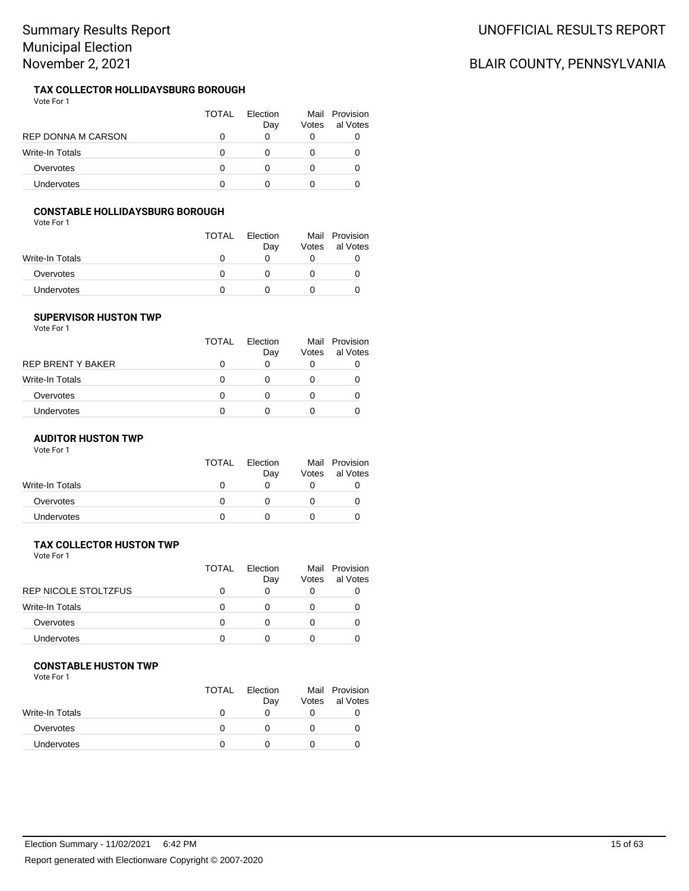#### **TAX COLLECTOR HOLLIDAYSBURG BOROUGH** Vote For 1

|                        | TOTAL | <b>Flection</b><br>Day | Votes | Mail Provision<br>al Votes |
|------------------------|-------|------------------------|-------|----------------------------|
| REP DONNA M CARSON     |       |                        |       | U                          |
| <b>Write-In Totals</b> |       |                        |       | O                          |
| Overvotes              |       |                        |       | O                          |
| <b>Undervotes</b>      |       |                        |       |                            |

### **CONSTABLE HOLLIDAYSBURG BOROUGH**

Vote For 1

|                   | <b>TOTAL</b> | Election<br>Day | Votes | Mail Provision<br>al Votes |
|-------------------|--------------|-----------------|-------|----------------------------|
| Write-In Totals   |              |                 |       |                            |
| Overvotes         |              |                 |       |                            |
| <b>Undervotes</b> |              |                 |       |                            |

### **SUPERVISOR HUSTON TWP**

Vote For 1

|                   | TOTAL | Flection<br>Day | Mail<br>Votes | Provision<br>al Votes |
|-------------------|-------|-----------------|---------------|-----------------------|
| REP BRENT Y BAKER | O     | 0               | 0             |                       |
| Write-In Totals   | 0     |                 |               |                       |
| Overvotes         | 0     |                 |               |                       |
| Undervotes        | 0     |                 |               |                       |
|                   |       |                 |               |                       |

### **AUDITOR HUSTON TWP**

Vote For 1

|                 | <b>TOTAL</b> | Election<br>Day | Votes | Mail Provision<br>al Votes |
|-----------------|--------------|-----------------|-------|----------------------------|
| Write-In Totals |              |                 |       |                            |
| Overvotes       |              |                 |       |                            |
| Undervotes      |              |                 |       |                            |

# **TAX COLLECTOR HUSTON TWP**

Vote For 1

|                        | TOTAL | <b>Flection</b><br>Day | Votes | Mail Provision<br>al Votes |
|------------------------|-------|------------------------|-------|----------------------------|
| REP NICOLE STOLTZFUS   |       |                        |       |                            |
| <b>Write-In Totals</b> |       |                        |       |                            |
| Overvotes              |       |                        |       |                            |
| <b>Undervotes</b>      |       |                        |       |                            |
|                        |       |                        |       |                            |

#### **CONSTABLE HUSTON TWP**

Vote For 1

|                 | <b>TOTAL</b> | Election<br>Day | Votes | Mail Provision<br>al Votes |
|-----------------|--------------|-----------------|-------|----------------------------|
| Write-In Totals |              |                 |       |                            |
| Overvotes       |              |                 |       |                            |
| Undervotes      |              |                 |       |                            |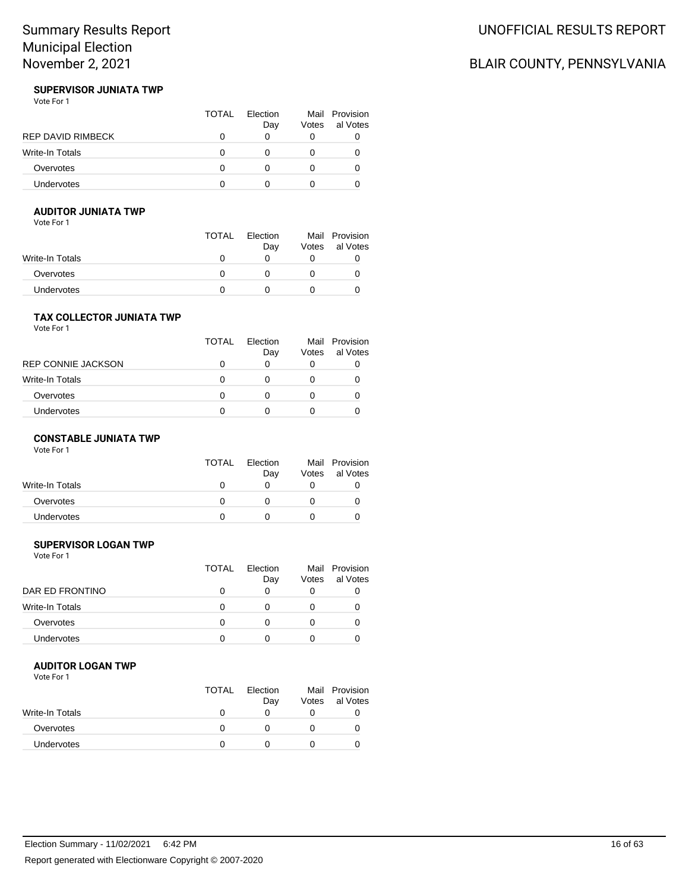# BLAIR COUNTY, PENNSYLVANIA

#### **SUPERVISOR JUNIATA TWP** Vote For 1

|                          | TOTAL | Election<br>Day | Votes | Mail Provision<br>al Votes |
|--------------------------|-------|-----------------|-------|----------------------------|
| <b>REP DAVID RIMBECK</b> |       |                 |       |                            |
| Write-In Totals          |       |                 |       |                            |
| Overvotes                |       |                 |       |                            |
| Undervotes               |       |                 |       |                            |

# **AUDITOR JUNIATA TWP**

Vote For 1

|                 | <b>TOTAL</b> | Election<br>Day | Votes | Mail Provision<br>al Votes |
|-----------------|--------------|-----------------|-------|----------------------------|
| Write-In Totals |              |                 |       |                            |
| Overvotes       |              |                 |       |                            |
| Undervotes      |              |                 |       |                            |

## **TAX COLLECTOR JUNIATA TWP**

Vote For 1

|                    | <b>TOTAL</b> | Flection<br>Day | Votes | Mail Provision<br>al Votes |
|--------------------|--------------|-----------------|-------|----------------------------|
| REP CONNIE JACKSON | O            | 0               |       |                            |
| Write-In Totals    | 0            | O               |       |                            |
| Overvotes          | O            | 0               |       |                            |
| Undervotes         | O            |                 |       |                            |
|                    |              |                 |       |                            |

### **CONSTABLE JUNIATA TWP**

Vote For 1

|                 | <b>TOTAL</b> | Election<br>Day | Votes | Mail Provision<br>al Votes |
|-----------------|--------------|-----------------|-------|----------------------------|
| Write-In Totals |              |                 |       |                            |
| Overvotes       |              |                 |       |                            |
| Undervotes      |              |                 |       |                            |

# **SUPERVISOR LOGAN TWP**

Vote For 1

|                   | <b>TOTAL</b> | Flection<br>Day | Mail<br>Votes | Provision<br>al Votes |
|-------------------|--------------|-----------------|---------------|-----------------------|
| DAR ED FRONTINO   |              |                 | O             |                       |
| Write-In Totals   |              |                 | $\mathbf{0}$  |                       |
| Overvotes         |              |                 | $\Omega$      |                       |
| <b>Undervotes</b> |              |                 | $\mathbf{0}$  |                       |
|                   |              |                 |               |                       |

#### **AUDITOR LOGAN TWP**

|                   | <b>TOTAL</b> | Election<br>Day | Votes | Mail Provision<br>al Votes |
|-------------------|--------------|-----------------|-------|----------------------------|
| Write-In Totals   | $\mathbf{U}$ |                 |       |                            |
| Overvotes         |              |                 |       |                            |
| <b>Undervotes</b> |              |                 |       |                            |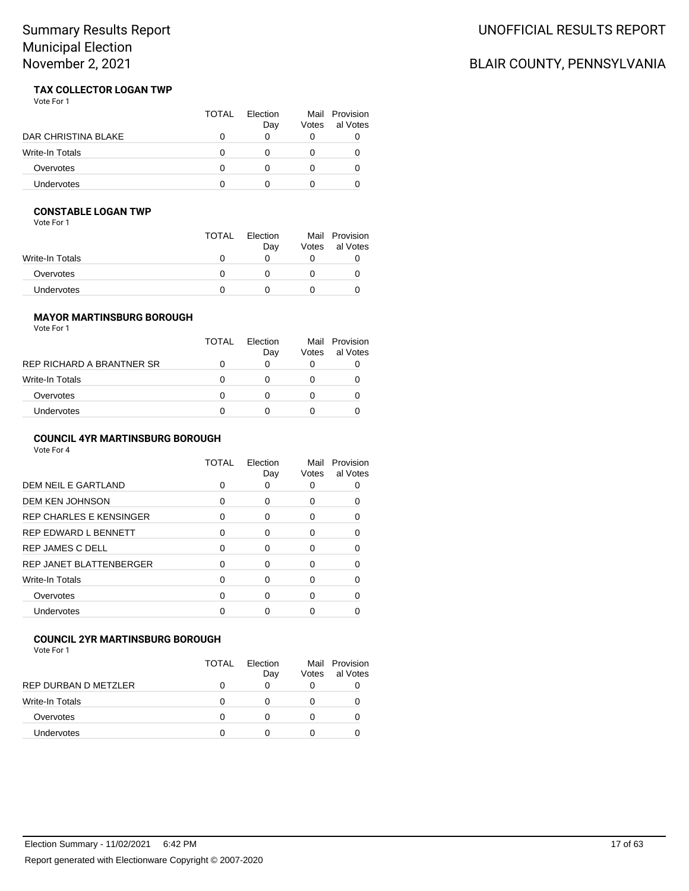# BLAIR COUNTY, PENNSYLVANIA

#### **TAX COLLECTOR LOGAN TWP** Vote For 1

|                        | TOTAL    | Flection<br>Day | Votes | Mail Provision<br>al Votes |
|------------------------|----------|-----------------|-------|----------------------------|
| DAR CHRISTINA BLAKE    |          |                 |       |                            |
| <b>Write-In Totals</b> | $\Omega$ |                 |       |                            |
| Overvotes              |          |                 |       |                            |
| <b>Undervotes</b>      |          |                 |       |                            |

## **CONSTABLE LOGAN TWP**

Vote For 1

|                 | <b>TOTAL</b> | Election<br>Day | Votes | Mail Provision<br>al Votes |
|-----------------|--------------|-----------------|-------|----------------------------|
| Write-In Totals | $\mathbf{U}$ |                 |       |                            |
| Overvotes       |              |                 |       |                            |
| Undervotes      |              |                 |       |                            |

# **MAYOR MARTINSBURG BOROUGH**

| Vote For 1 |  |  |
|------------|--|--|
|------------|--|--|

|                           | TOTAL | Flection<br>Day | Votes | Mail Provision<br>al Votes |
|---------------------------|-------|-----------------|-------|----------------------------|
| REP RICHARD A BRANTNER SR | O     | O               |       |                            |
| Write-In Totals           | O     |                 |       |                            |
| Overvotes                 | 0     |                 |       |                            |
| Undervotes                | O     |                 |       |                            |
|                           |       |                 |       |                            |

## **COUNCIL 4YR MARTINSBURG BOROUGH**

Vote For 4

|                                | TOTAL | Election<br>Day | Mail<br>Votes | Provision<br>al Votes |
|--------------------------------|-------|-----------------|---------------|-----------------------|
| DEM NEIL E GARTLAND            | 0     |                 |               |                       |
| <b>DEM KEN JOHNSON</b>         | O     | 0               | 0             |                       |
| <b>REP CHARLES E KENSINGER</b> | 0     | 0               | O             |                       |
| <b>REP EDWARD L BENNETT</b>    | 0     | 0               | 0             |                       |
| <b>REP JAMES C DELL</b>        |       | ∩               | 0             |                       |
| REP JANET BLATTENBERGER        | 0     | ∩               |               |                       |
| <b>Write-In Totals</b>         | 0     | 0               | 0             |                       |
| Overvotes                      |       | n               | U             |                       |
| Undervotes                     |       |                 |               |                       |
|                                |       |                 |               |                       |

# **COUNCIL 2YR MARTINSBURG BOROUGH**

|                      | TOTAL    | Flection<br>Day | Votes | Mail Provision<br>al Votes |
|----------------------|----------|-----------------|-------|----------------------------|
| REP DURBAN D METZLER |          | 0               |       |                            |
| Write-In Totals      | $\Omega$ |                 |       |                            |
| Overvotes            | O        |                 |       |                            |
| <b>Undervotes</b>    |          |                 |       |                            |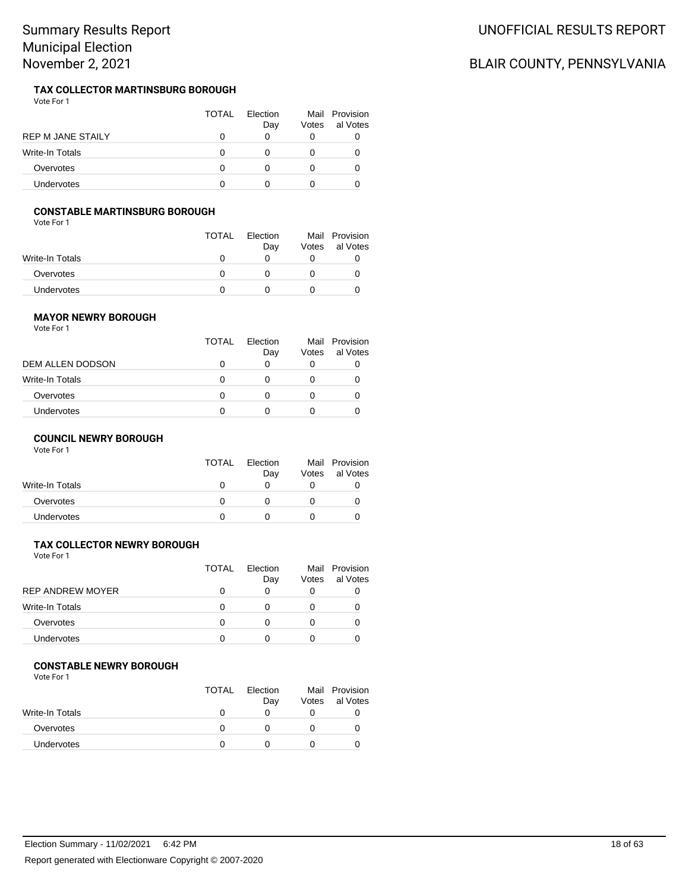#### **TAX COLLECTOR MARTINSBURG BOROUGH** Vote For 1

|                          | <b>TOTAL</b> | <b>Flection</b><br>Day | Mail<br>Votes | Provision<br>al Votes |
|--------------------------|--------------|------------------------|---------------|-----------------------|
| <b>REP M JANE STAILY</b> |              |                        |               |                       |
| <b>Write-In Totals</b>   |              |                        |               |                       |
| Overvotes                |              |                        |               |                       |
| <b>Undervotes</b>        |              |                        |               |                       |

### **CONSTABLE MARTINSBURG BOROUGH**

Vote For 1

|                 | <b>TOTAL</b> | Election<br>Day | Votes | Mail Provision<br>al Votes |
|-----------------|--------------|-----------------|-------|----------------------------|
| Write-In Totals |              |                 |       |                            |
| Overvotes       |              |                 |       |                            |
| Undervotes      |              |                 |       |                            |

## **MAYOR NEWRY BOROUGH**

Vote For 1

|                         | TOTAL | Flection<br>Day | Votes | Mail Provision<br>al Votes |
|-------------------------|-------|-----------------|-------|----------------------------|
| <b>DEM ALLEN DODSON</b> | O     | O               |       |                            |
| Write-In Totals         | 0     | O               |       |                            |
| Overvotes               | O     | O               |       |                            |
| <b>Undervotes</b>       | 0     | $\mathbf{0}$    |       |                            |

### **COUNCIL NEWRY BOROUGH**

Vote For 1

| Dav | Votes | Mail Provision<br>al Votes |
|-----|-------|----------------------------|
|     |       |                            |
|     |       |                            |
|     |       |                            |
|     |       | Election<br>TOTAL          |

# **TAX COLLECTOR NEWRY BOROUGH**

Vote For 1

|                         | <b>TOTAL</b> | Flection<br>Day | Votes | Mail Provision<br>al Votes |
|-------------------------|--------------|-----------------|-------|----------------------------|
| <b>REP ANDREW MOYER</b> |              |                 | 0     |                            |
| Write-In Totals         |              |                 |       |                            |
| Overvotes               |              |                 |       |                            |
| <b>Undervotes</b>       |              |                 |       |                            |

#### **CONSTABLE NEWRY BOROUGH**

Vote For 1

|                 | <b>TOTAL</b> | Election<br>Day | Votes | Mail Provision<br>al Votes |
|-----------------|--------------|-----------------|-------|----------------------------|
| Write-In Totals |              |                 |       |                            |
| Overvotes       |              |                 |       |                            |
| Undervotes      |              |                 |       |                            |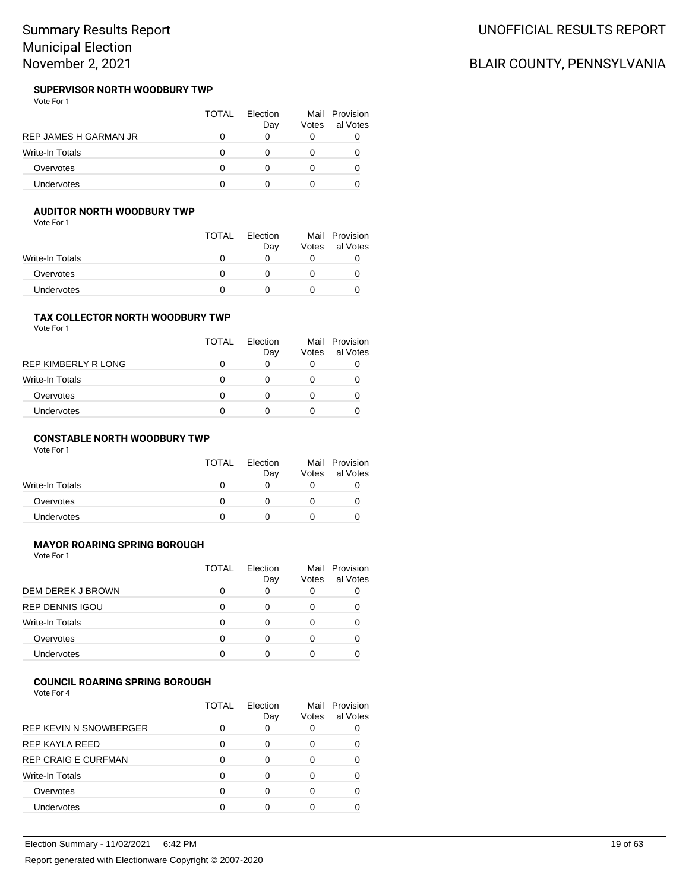#### **SUPERVISOR NORTH WOODBURY TWP** Vote For 1

|                       | TOTAL | Flection<br>Day | Votes | Mail Provision<br>al Votes |
|-----------------------|-------|-----------------|-------|----------------------------|
| REP JAMES H GARMAN JR |       |                 |       |                            |
| Write-In Totals       |       |                 |       |                            |
| Overvotes             | O     |                 |       |                            |
| <b>Undervotes</b>     |       |                 |       |                            |

## **AUDITOR NORTH WOODBURY TWP**

Vote For 1

|                   | <b>TOTAL</b> | Election<br>Day | Votes | Mail Provision<br>al Votes |
|-------------------|--------------|-----------------|-------|----------------------------|
| Write-In Totals   |              |                 |       |                            |
| Overvotes         |              |                 |       |                            |
| <b>Undervotes</b> |              |                 |       |                            |

#### **TAX COLLECTOR NORTH WOODBURY TWP** Vote For 1

|                     | TOTAL    | Flection<br>Day | Votes | Mail Provision<br>al Votes |
|---------------------|----------|-----------------|-------|----------------------------|
| REP KIMBERLY R LONG | Ω        |                 |       |                            |
| Write-In Totals     | $\Omega$ |                 |       |                            |
| Overvotes           | 0        |                 |       |                            |
| <b>Undervotes</b>   | Ω        |                 |       |                            |

## **CONSTABLE NORTH WOODBURY TWP**

Vote For 1

|                 | <b>TOTAL</b> | Election<br>Day | Mail<br>Votes | Provision<br>al Votes |
|-----------------|--------------|-----------------|---------------|-----------------------|
| Write-In Totals |              |                 |               |                       |
| Overvotes       |              |                 |               |                       |
| Undervotes      |              |                 |               |                       |

# **MAYOR ROARING SPRING BOROUGH**

Vote For 1

|                        | TOTAL | <b>Flection</b><br>Day | Votes | Mail Provision<br>al Votes |
|------------------------|-------|------------------------|-------|----------------------------|
| DEM DEREK J BROWN      |       | 0                      | 0     |                            |
| <b>REP DENNIS IGOU</b> | 0     | Ω                      | 0     |                            |
| Write-In Totals        | n     |                        | Ω     |                            |
| Overvotes              |       | 0                      | O     |                            |
| Undervotes             |       | n                      |       |                            |

# **COUNCIL ROARING SPRING BOROUGH**

Vote For 4

|                               | TOTAL | Flection<br>Day | Mail<br>Votes | Provision<br>al Votes |
|-------------------------------|-------|-----------------|---------------|-----------------------|
| <b>REP KEVIN N SNOWBERGER</b> |       |                 |               |                       |
| REP KAYLA REED                | 0     | 0               | 0             |                       |
| <b>REP CRAIG E CURFMAN</b>    | ∩     | O               | 0             |                       |
| <b>Write-In Totals</b>        | ∩     | O               | Ω             |                       |
| Overvotes                     |       |                 |               |                       |
| Undervotes                    |       |                 |               |                       |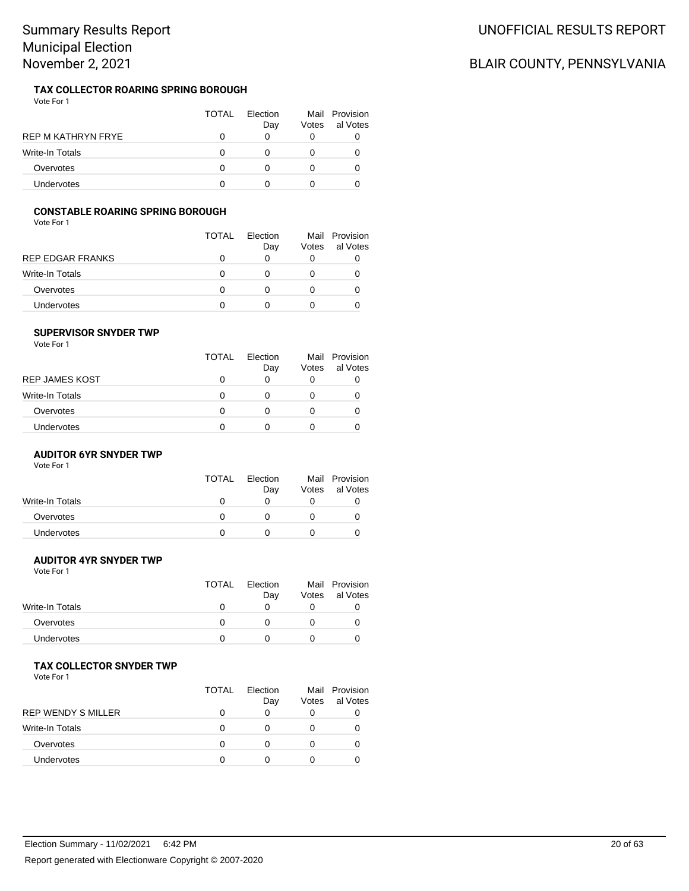#### **TAX COLLECTOR ROARING SPRING BOROUGH** Vote For 1

|                        | TOTAL | <b>Flection</b><br>Day | Mail<br>Votes | Provision<br>al Votes |
|------------------------|-------|------------------------|---------------|-----------------------|
| REP M KATHRYN FRYE     |       |                        |               |                       |
| <b>Write-In Totals</b> |       |                        |               |                       |
| Overvotes              |       |                        |               |                       |
| <b>Undervotes</b>      |       |                        |               |                       |

### **CONSTABLE ROARING SPRING BOROUGH**

Vote For 1

|                  | <b>TOTAL</b> | Flection<br>Day | Votes | Mail Provision<br>al Votes |
|------------------|--------------|-----------------|-------|----------------------------|
| REP EDGAR FRANKS |              | O               |       |                            |
| Write-In Totals  | 0            |                 |       |                            |
| Overvotes        | O            | 0               |       |                            |
| Undervotes       |              |                 |       |                            |

#### **SUPERVISOR SNYDER TWP**

Vote For 1

|                 | TOTAL | Election<br>Day | Votes | Mail Provision<br>al Votes |
|-----------------|-------|-----------------|-------|----------------------------|
| REP JAMES KOST  | O     | O               |       |                            |
| Write-In Totals | O     | $\mathbf{0}$    |       |                            |
| Overvotes       | 0     | 0               |       |                            |
| Undervotes      | O     |                 |       |                            |

#### **AUDITOR 6YR SNYDER TWP**

Vote For 1

|                 | TOTAL | Election | Mail  | Provision |
|-----------------|-------|----------|-------|-----------|
|                 |       | Day      | Votes | al Votes  |
| Write-In Totals |       |          |       |           |
| Overvotes       |       |          |       |           |
| Undervotes      |       |          |       |           |

### **AUDITOR 4YR SNYDER TWP**

Vote For 1

|                   | <b>TOTAL</b> | Election | Mail  | Provision |
|-------------------|--------------|----------|-------|-----------|
|                   |              | Day      | Votes | al Votes  |
| Write-In Totals   |              |          |       |           |
| Overvotes         |              |          |       |           |
| <b>Undervotes</b> |              |          |       |           |
|                   |              |          |       |           |

#### **TAX COLLECTOR SNYDER TWP**

Vote For 1

|                           | TOTAL | Flection<br>Day | Votes | Mail Provision<br>al Votes |
|---------------------------|-------|-----------------|-------|----------------------------|
| <b>REP WENDY S MILLER</b> |       |                 |       |                            |
| Write-In Totals           |       |                 |       |                            |
| Overvotes                 |       |                 |       |                            |
| <b>Undervotes</b>         |       |                 |       |                            |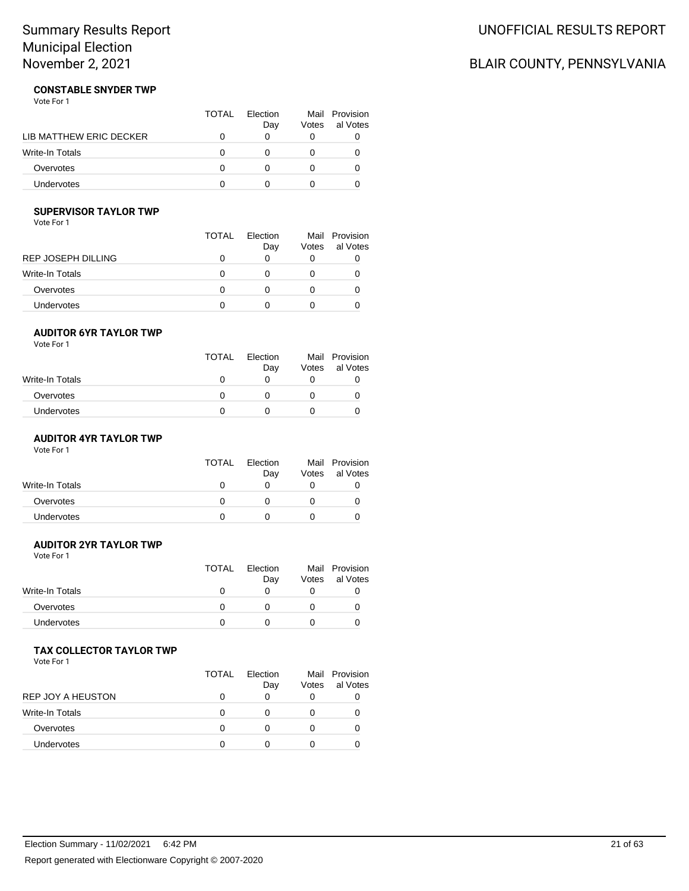# UNOFFICIAL RESULTS REPORT

# BLAIR COUNTY, PENNSYLVANIA

#### **CONSTABLE SNYDER TWP** Vote For 1

|                         | TOTAL | <b>Flection</b><br>Day | Votes | Mail Provision<br>al Votes |
|-------------------------|-------|------------------------|-------|----------------------------|
| LIB MATTHEW ERIC DECKER |       |                        |       |                            |
| <b>Write-In Totals</b>  |       |                        |       |                            |
| Overvotes               |       |                        |       |                            |
| Undervotes              |       |                        |       |                            |

# **SUPERVISOR TAYLOR TWP**

Vote For 1

|                    | TOTAL | Flection<br>Day | Mail<br>Votes | Provision<br>al Votes |
|--------------------|-------|-----------------|---------------|-----------------------|
| REP JOSEPH DILLING |       |                 |               |                       |
| Write-In Totals    | O     |                 |               |                       |
| Overvotes          |       |                 |               |                       |
| Undervotes         |       |                 |               |                       |

#### **AUDITOR 6YR TAYLOR TWP**

Vote For 1

|                 | <b>TOTAL</b> | Election<br>Day | Votes | Mail Provision<br>al Votes |
|-----------------|--------------|-----------------|-------|----------------------------|
| Write-In Totals | 0            |                 |       |                            |
| Overvotes       | O            |                 |       |                            |
| Undervotes      |              |                 |       |                            |

# **AUDITOR 4YR TAYLOR TWP**

Vote For 1

|                 | <b>TOTAL</b> | Election<br>Day | Votes | Mail Provision<br>al Votes |
|-----------------|--------------|-----------------|-------|----------------------------|
| Write-In Totals |              |                 |       |                            |
| Overvotes       |              |                 |       |                            |
| Undervotes      |              |                 |       |                            |

# **AUDITOR 2YR TAYLOR TWP**

Vote For 1

| <b>TOTAL</b> | Election<br>Day | Votes | Mail Provision<br>al Votes |
|--------------|-----------------|-------|----------------------------|
|              |                 |       |                            |
|              |                 |       | O                          |
|              |                 |       |                            |
|              |                 |       |                            |

## **TAX COLLECTOR TAYLOR TWP**

|                          | TOTAL | Flection<br>Day | Votes | Mail Provision<br>al Votes |
|--------------------------|-------|-----------------|-------|----------------------------|
| <b>REP JOY A HEUSTON</b> |       |                 | O     |                            |
| Write-In Totals          |       |                 |       |                            |
| Overvotes                |       |                 |       |                            |
| Undervotes               |       |                 |       |                            |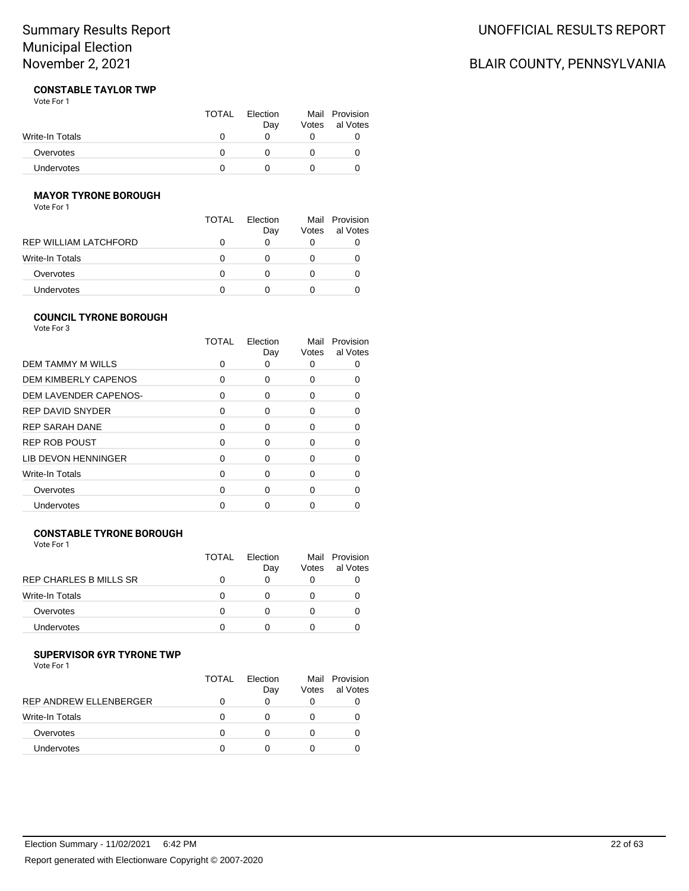# UNOFFICIAL RESULTS REPORT

# BLAIR COUNTY, PENNSYLVANIA

#### **CONSTABLE TAYLOR TWP** Vote For 1

|                   | <b>TOTAL</b> | Election<br>Day | Votes | Mail Provision<br>al Votes |
|-------------------|--------------|-----------------|-------|----------------------------|
| Write-In Totals   |              |                 |       |                            |
| Overvotes         |              |                 |       |                            |
| <b>Undervotes</b> |              |                 |       |                            |

## **MAYOR TYRONE BOROUGH**

Vote For 1

|                       | <b>TOTAL</b> | Flection |       | Mail Provision |
|-----------------------|--------------|----------|-------|----------------|
|                       |              | Day      | Votes | al Votes       |
| REP WILLIAM LATCHFORD |              | O        |       |                |
| Write-In Totals       | 0            | 0        |       |                |
| Overvotes             | 0            | 0        |       |                |
| Undervotes            |              |          |       |                |

## **COUNCIL TYRONE BOROUGH**

Vote For 3

|                             | <b>TOTAL</b> | Election<br>Day | Mail<br>Votes | Provision<br>al Votes |
|-----------------------------|--------------|-----------------|---------------|-----------------------|
| <b>DEM TAMMY M WILLS</b>    | ŋ            | O               |               |                       |
| <b>DEM KIMBERLY CAPENOS</b> | $\Omega$     | 0               | 0             |                       |
| DEM LAVENDER CAPENOS-       | 0            | 0               | O             |                       |
| <b>REP DAVID SNYDER</b>     | $\Omega$     | 0               | 0             |                       |
| <b>REP SARAH DANE</b>       | $\Omega$     | 0               | O             |                       |
| <b>REP ROB POUST</b>        | $\Omega$     | 0               | 0             |                       |
| LIB DEVON HENNINGER         | $\Omega$     | O               | O             |                       |
| Write-In Totals             | $\Omega$     | O               | O             |                       |
| Overvotes                   | $\Omega$     | ∩               | O             |                       |
| Undervotes                  |              |                 |               |                       |

## **CONSTABLE TYRONE BOROUGH**

Vote For 1

|                        | <b>TOTAL</b> | Flection<br>Day | Votes | Mail Provision<br>al Votes |
|------------------------|--------------|-----------------|-------|----------------------------|
| REP CHARLES B MILLS SR |              |                 | O     |                            |
| <b>Write-In Totals</b> | O            |                 |       |                            |
| Overvotes              | O            |                 |       |                            |
| <b>Undervotes</b>      |              |                 |       |                            |

# **SUPERVISOR 6YR TYRONE TWP**

|                               | <b>TOTAL</b> | Flection<br>Day | Mail<br>Votes | Provision<br>al Votes |
|-------------------------------|--------------|-----------------|---------------|-----------------------|
| <b>REP ANDREW ELLENBERGER</b> |              |                 |               |                       |
| Write-In Totals               |              |                 |               |                       |
| Overvotes                     |              |                 |               |                       |
| <b>Undervotes</b>             |              |                 |               |                       |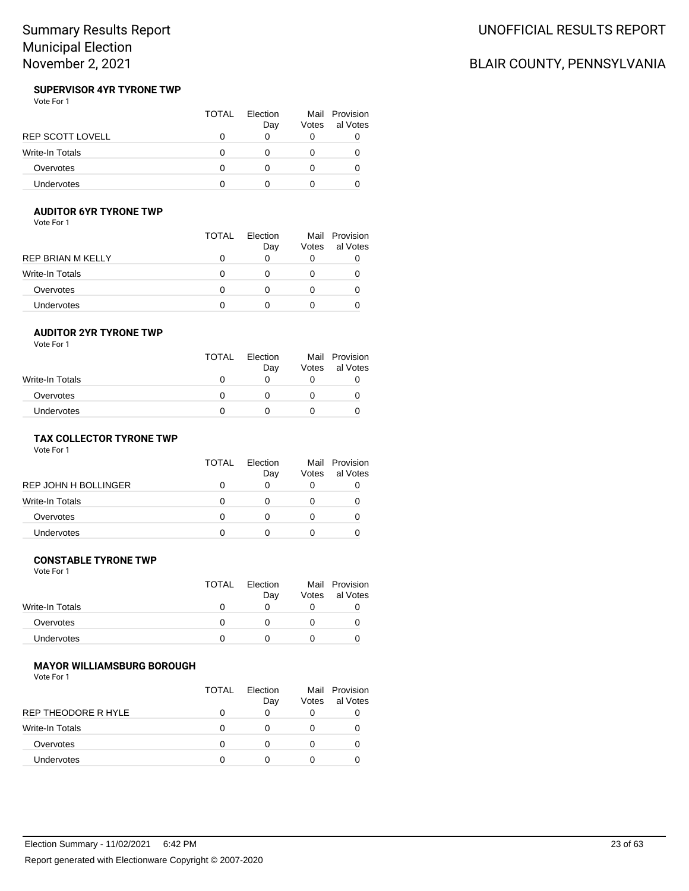# BLAIR COUNTY, PENNSYLVANIA

#### **SUPERVISOR 4YR TYRONE TWP** Vote For 1

|                        | TOTAL | Election<br>Day | Votes | Mail Provision<br>al Votes |
|------------------------|-------|-----------------|-------|----------------------------|
| REP SCOTT LOVELL       |       |                 |       |                            |
| <b>Write-In Totals</b> |       |                 |       |                            |
| Overvotes              |       |                 |       |                            |
| <b>Undervotes</b>      |       |                 |       |                            |

# **AUDITOR 6YR TYRONE TWP**

Vote For 1

|                   | TOTAL | Election<br>Day | Votes | Mail Provision<br>al Votes |
|-------------------|-------|-----------------|-------|----------------------------|
| REP BRIAN M KELLY |       | 0               | O     |                            |
| Write-In Totals   |       | $\mathbf{0}$    |       |                            |
| Overvotes         |       | 0               |       |                            |
| Undervotes        |       |                 |       |                            |

#### **AUDITOR 2YR TYRONE TWP**

Vote For 1

|                   | <b>TOTAL</b> | Election<br>Day | Votes | Mail Provision<br>al Votes |
|-------------------|--------------|-----------------|-------|----------------------------|
| Write-In Totals   | 0            |                 |       |                            |
| Overvotes         | O            |                 |       |                            |
| <b>Undervotes</b> |              |                 |       |                            |

## **TAX COLLECTOR TYRONE TWP**

Vote For 1

|                      | TOTAL | Election<br>Day | Votes | Mail Provision<br>al Votes |
|----------------------|-------|-----------------|-------|----------------------------|
| REP JOHN H BOLLINGER |       |                 |       |                            |
| Write-In Totals      |       |                 |       | O                          |
| Overvotes            |       |                 |       |                            |
| Undervotes           |       |                 |       |                            |

### **CONSTABLE TYRONE TWP**

Vote For 1

|                 | <b>TOTAL</b> | Election | Mail  | Provision |
|-----------------|--------------|----------|-------|-----------|
|                 |              | Day      | Votes | al Votes  |
| Write-In Totals |              |          |       |           |
| Overvotes       |              |          |       |           |
| Undervotes      |              |          |       |           |
|                 |              |          |       |           |

#### **MAYOR WILLIAMSBURG BOROUGH**

|                        | <b>TOTAL</b> | Flection<br>Day | Votes | Mail Provision<br>al Votes |
|------------------------|--------------|-----------------|-------|----------------------------|
| REP THEODORE R HYLE    |              |                 |       |                            |
| <b>Write-In Totals</b> |              |                 |       |                            |
| Overvotes              |              |                 |       |                            |
| Undervotes             |              |                 |       |                            |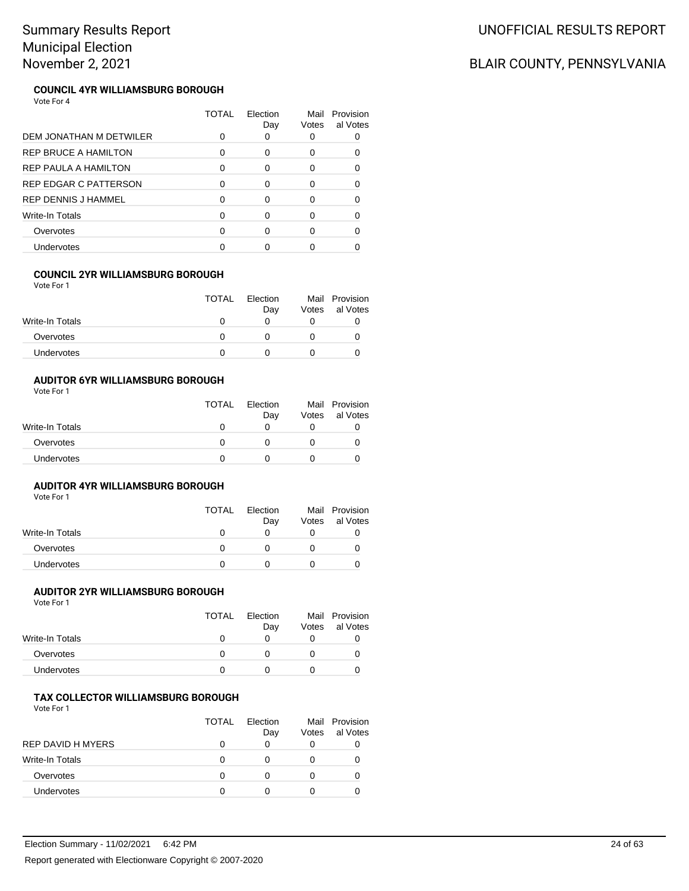|                             | TOTAL | Election<br>Day | Mail<br>Votes | Provision<br>al Votes |
|-----------------------------|-------|-----------------|---------------|-----------------------|
| DEM JONATHAN M DETWILER     | 0     | 0               |               |                       |
| <b>REP BRUCE A HAMILTON</b> | 0     | 0               | 0             |                       |
| REP PAULA A HAMILTON        | 0     | 0               | O             |                       |
| REP EDGAR C PATTERSON       | O     | 0               |               |                       |
| <b>REP DENNIS J HAMMEL</b>  | 0     | $\Omega$        | O             |                       |
| <b>Write-In Totals</b>      | O     | $\Omega$        | O             |                       |
| Overvotes                   | O     | $\Omega$        |               |                       |
| Undervotes                  |       |                 |               |                       |

## **COUNCIL 2YR WILLIAMSBURG BOROUGH**

Vote For 1

|                        | <b>TOTAL</b> | <b>Flection</b><br>Day | Votes | Mail Provision<br>al Votes |
|------------------------|--------------|------------------------|-------|----------------------------|
| <b>Write-In Totals</b> |              |                        |       |                            |
| Overvotes              |              |                        |       |                            |
| <b>Undervotes</b>      |              |                        |       |                            |

#### **AUDITOR 6YR WILLIAMSBURG BOROUGH** Vote For 1

|                 | <b>TOTAL</b> | Election<br>Day | Votes | Mail Provision<br>al Votes |
|-----------------|--------------|-----------------|-------|----------------------------|
| Write-In Totals |              |                 |       |                            |
| Overvotes       |              |                 |       |                            |
| Undervotes      |              |                 |       |                            |

## **AUDITOR 4YR WILLIAMSBURG BOROUGH**

Vote For 1

|                   | <b>TOTAL</b> | Election | Mail  | Provision |
|-------------------|--------------|----------|-------|-----------|
|                   |              | Day      | Votes | al Votes  |
| Write-In Totals   |              |          |       |           |
| Overvotes         |              |          |       |           |
| <b>Undervotes</b> |              |          |       |           |

## **AUDITOR 2YR WILLIAMSBURG BOROUGH**

Vote For 1

|                 | <b>TOTAL</b> | Election<br>Day | Votes | Mail Provision<br>al Votes |
|-----------------|--------------|-----------------|-------|----------------------------|
| Write-In Totals |              |                 |       |                            |
| Overvotes       |              |                 |       |                            |
| Undervotes      |              |                 |       |                            |

### **TAX COLLECTOR WILLIAMSBURG BOROUGH**

Vote For 1

|                        | <b>TOTAL</b> | <b>Flection</b><br>Day | Votes | Mail Provision<br>al Votes |
|------------------------|--------------|------------------------|-------|----------------------------|
| REP DAVID H MYERS      |              | O                      | O     |                            |
| <b>Write-In Totals</b> |              | 0                      |       |                            |
| Overvotes              |              | O                      |       |                            |
| <b>Undervotes</b>      |              |                        |       |                            |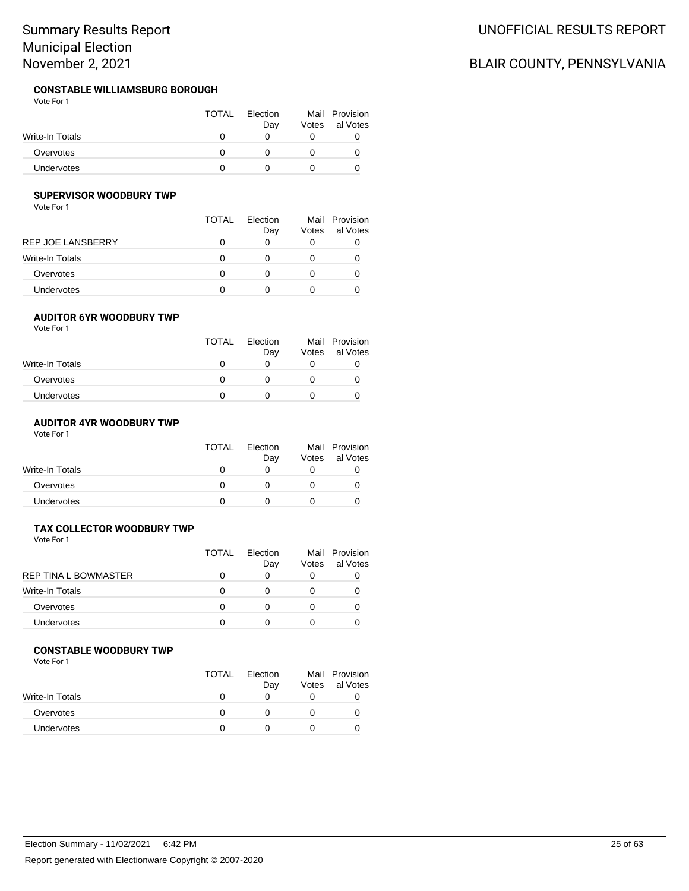#### **CONSTABLE WILLIAMSBURG BOROUGH** Vote For 1

|                 | <b>TOTAL</b> | Election<br>Dav | Votes | Mail Provision<br>al Votes |
|-----------------|--------------|-----------------|-------|----------------------------|
| Write-In Totals |              |                 |       |                            |
| Overvotes       |              |                 |       |                            |
| Undervotes      |              |                 |       |                            |

## **SUPERVISOR WOODBURY TWP**

Vote For 1

|                          | TOTAL | Election<br>Day   | Votes | Mail Provision<br>al Votes |
|--------------------------|-------|-------------------|-------|----------------------------|
| <b>REP JOE LANSBERRY</b> |       | 0                 |       |                            |
| Write-In Totals          |       |                   |       |                            |
| Overvotes                |       | 0                 |       |                            |
| Undervotes               |       | $\mathbf{\Omega}$ |       |                            |

## **AUDITOR 6YR WOODBURY TWP**

Vote For 1

| <b>TOTAL</b> | Election<br>Day | Votes | Mail Provision<br>al Votes |
|--------------|-----------------|-------|----------------------------|
|              |                 |       |                            |
|              |                 |       |                            |
|              |                 |       |                            |
|              |                 |       |                            |

# **AUDITOR 4YR WOODBURY TWP**

Vote For 1

|                   | <b>TOTAL</b> | <b>Flection</b><br>Day | Votes | Mail Provision<br>al Votes |
|-------------------|--------------|------------------------|-------|----------------------------|
| Write-In Totals   |              |                        |       |                            |
| Overvotes         | $^{\prime}$  |                        |       |                            |
| <b>Undervotes</b> |              |                        |       |                            |

### **TAX COLLECTOR WOODBURY TWP**

Vote For 1

|                             | <b>TOTAL</b> | Flection<br>Day | Votes | Mail Provision<br>al Votes |
|-----------------------------|--------------|-----------------|-------|----------------------------|
| <b>REP TINA L BOWMASTER</b> |              | 0               | O     |                            |
| Write-In Totals             |              |                 |       |                            |
| Overvotes                   |              |                 | 0     |                            |
| Undervotes                  |              |                 |       |                            |
|                             |              |                 |       |                            |

#### **CONSTABLE WOODBURY TWP**

Vote For 1

| <b>TOTAL</b> | Election<br>Day | Votes | Mail Provision<br>al Votes |
|--------------|-----------------|-------|----------------------------|
|              |                 |       |                            |
|              |                 |       |                            |
|              |                 |       |                            |
|              |                 |       |                            |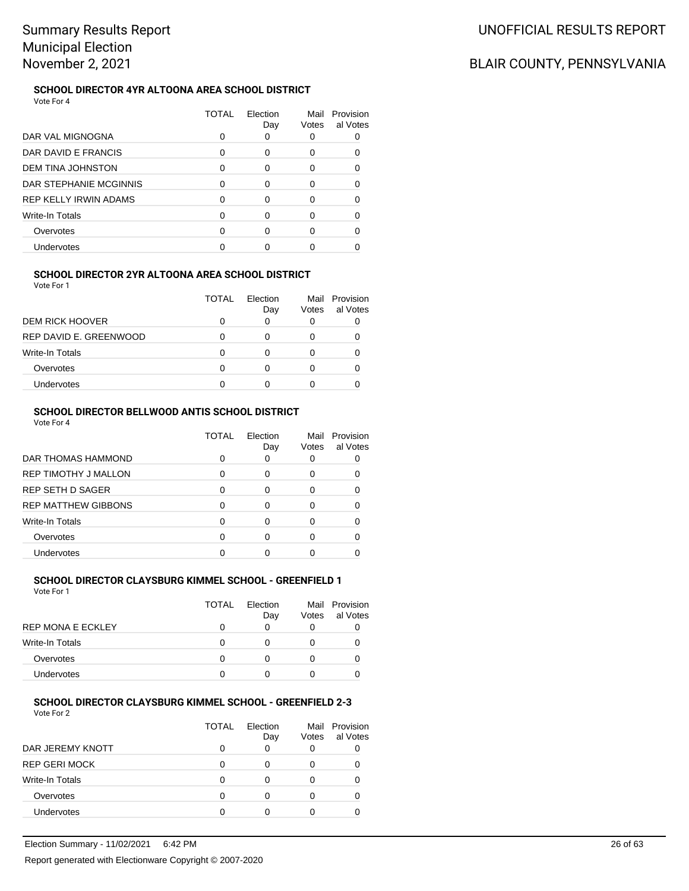#### **SCHOOL DIRECTOR 4YR ALTOONA AREA SCHOOL DISTRICT** Vote For 4

|                              | TOTAL | Election<br>Day | Mail<br>Votes | Provision<br>al Votes |
|------------------------------|-------|-----------------|---------------|-----------------------|
| DAR VAL MIGNOGNA             |       |                 |               |                       |
| DAR DAVID E FRANCIS          | 0     | 0               | 0             |                       |
| DEM TINA JOHNSTON            | 0     | ∩               | O             | n                     |
| DAR STEPHANIE MCGINNIS       | U     | ∩               | O             |                       |
| <b>REP KELLY IRWIN ADAMS</b> | O     | ∩               |               |                       |
| Write-In Totals              | O     | ∩               |               |                       |
| Overvotes                    |       |                 |               |                       |
| Undervotes                   |       |                 |               |                       |

### **SCHOOL DIRECTOR 2YR ALTOONA AREA SCHOOL DISTRICT**

Vote For 1

|                        | TOTAL | Election<br>Day | Mail<br>Votes | Provision<br>al Votes |
|------------------------|-------|-----------------|---------------|-----------------------|
| <b>DEM RICK HOOVER</b> |       |                 | 0             |                       |
| REP DAVID E. GREENWOOD |       | O               | Ω             |                       |
| <b>Write-In Totals</b> |       |                 |               |                       |
| Overvotes              |       | O               | $\mathbf{0}$  |                       |
| Undervotes             |       |                 |               |                       |

# **SCHOOL DIRECTOR BELLWOOD ANTIS SCHOOL DISTRICT**

Vote For 4

|                             | TOTAL | Election<br>Day | Mail<br>Votes | Provision<br>al Votes |
|-----------------------------|-------|-----------------|---------------|-----------------------|
| DAR THOMAS HAMMOND          |       | 0               | 0             |                       |
| <b>REP TIMOTHY J MALLON</b> | O     | 0               | Ω             |                       |
| <b>REP SETH D SAGER</b>     | ∩     | 0               | Ω             |                       |
| <b>REP MATTHEW GIBBONS</b>  | O     | 0               | O             |                       |
| Write-In Totals             | 0     | ∩               | O             |                       |
| Overvotes                   | ∩     | ∩               |               |                       |
| <b>Undervotes</b>           |       |                 |               |                       |

#### **SCHOOL DIRECTOR CLAYSBURG KIMMEL SCHOOL - GREENFIELD 1** Vote For 1

|                          | <b>TOTAL</b> | <b>Flection</b><br>Day | Votes | Mail Provision<br>al Votes |
|--------------------------|--------------|------------------------|-------|----------------------------|
| <b>REP MONA E ECKLEY</b> |              | 0                      |       |                            |
| <b>Write-In Totals</b>   |              | O                      |       |                            |
| Overvotes                |              | 0                      |       |                            |
| <b>Undervotes</b>        |              |                        |       |                            |

#### **SCHOOL DIRECTOR CLAYSBURG KIMMEL SCHOOL - GREENFIELD 2-3** Vote For 2

|                        | TOTAL | Election<br>Day | Votes | Mail Provision<br>al Votes |
|------------------------|-------|-----------------|-------|----------------------------|
| DAR JEREMY KNOTT       |       |                 |       |                            |
| <b>REP GERI MOCK</b>   | n     | Ω               |       |                            |
| <b>Write-In Totals</b> |       |                 |       |                            |
| Overvotes              |       |                 |       |                            |
| Undervotes             |       |                 |       |                            |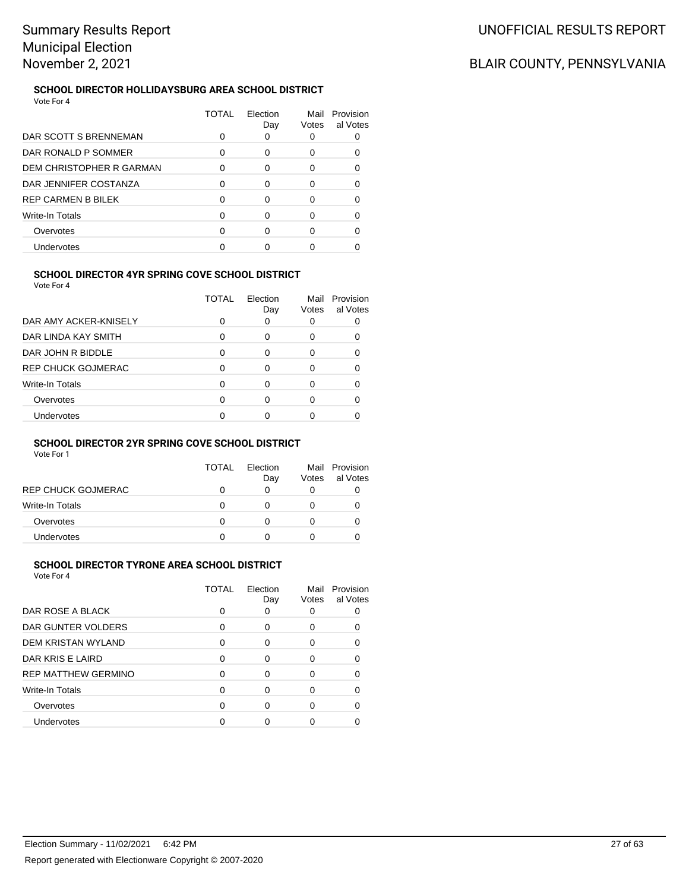#### **SCHOOL DIRECTOR HOLLIDAYSBURG AREA SCHOOL DISTRICT** Vote For 4

|                           | TOTAL | Election<br>Day | Mail<br>Votes | Provision<br>al Votes |
|---------------------------|-------|-----------------|---------------|-----------------------|
| DAR SCOTT S BRENNEMAN     | Ω     | 0               |               |                       |
| DAR RONALD P SOMMER       | 0     | 0               | 0             |                       |
| DEM CHRISTOPHER R GARMAN  |       | 0               |               |                       |
| DAR JENNIFER COSTANZA     | 0     | 0               |               |                       |
| <b>REP CARMEN B BILEK</b> |       | ∩               |               |                       |
| Write-In Totals           | O     |                 |               |                       |
| Overvotes                 |       |                 |               |                       |
| Undervotes                |       |                 |               |                       |

# **SCHOOL DIRECTOR 4YR SPRING COVE SCHOOL DISTRICT**

Vote For 4

|                           | TOTAL | Flection<br>Day | Mail<br>Votes | Provision<br>al Votes |
|---------------------------|-------|-----------------|---------------|-----------------------|
| DAR AMY ACKER-KNISELY     |       | 0               |               |                       |
| DAR LINDA KAY SMITH       | O     | 0               | Ω             |                       |
| DAR JOHN R BIDDLE         | ∩     | 0               |               |                       |
| <b>REP CHUCK GOJMERAC</b> | O     | 0               | 0             |                       |
| Write-In Totals           | O     | ∩               | 0             |                       |
| Overvotes                 | ∩     | ∩               | U             |                       |
| <b>Undervotes</b>         |       |                 |               |                       |

### **SCHOOL DIRECTOR 2YR SPRING COVE SCHOOL DISTRICT**

Vote For 1

|                           | TOTAL | Flection<br>Day | Mail<br>Votes | Provision<br>al Votes |
|---------------------------|-------|-----------------|---------------|-----------------------|
| <b>REP CHUCK GOJMERAC</b> |       |                 |               |                       |
| Write-In Totals           |       |                 |               |                       |
| Overvotes                 |       |                 |               |                       |
| Undervotes                |       |                 |               |                       |

# **SCHOOL DIRECTOR TYRONE AREA SCHOOL DISTRICT**

Vote For 4

| TOTAL | Election<br>Day | Mail<br>Votes | Provision<br>al Votes |
|-------|-----------------|---------------|-----------------------|
| O     | 0               | O             |                       |
| 0     | 0               | Ω             |                       |
| 0     | 0               | 0             |                       |
| 0     | 0               | 0             |                       |
| 0     | $\Omega$        | 0             |                       |
| 0     | $\Omega$        | 0             |                       |
| 0     | ∩               | 0             |                       |
|       | n               |               |                       |
|       |                 |               |                       |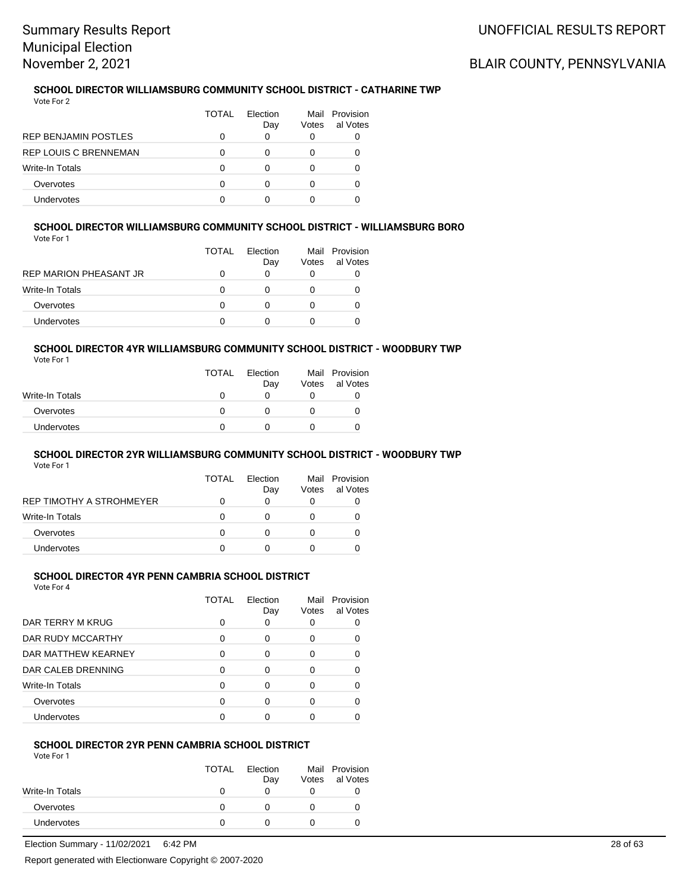# BLAIR COUNTY, PENNSYLVANIA

#### **SCHOOL DIRECTOR WILLIAMSBURG COMMUNITY SCHOOL DISTRICT - CATHARINE TWP** Vote For 2

|                              | TOTAL | <b>Flection</b><br>Day | Votes | Mail Provision<br>al Votes |
|------------------------------|-------|------------------------|-------|----------------------------|
| <b>REP BENJAMIN POSTLES</b>  |       | 0                      | 0     |                            |
| <b>REP LOUIS C BRENNEMAN</b> |       |                        |       |                            |
| <b>Write-In Totals</b>       |       |                        |       |                            |
| Overvotes                    |       |                        |       |                            |
| <b>Undervotes</b>            |       |                        |       |                            |

#### **SCHOOL DIRECTOR WILLIAMSBURG COMMUNITY SCHOOL DISTRICT - WILLIAMSBURG BORO** Vote For 1

| 1 U U U                       | <b>TOTAL</b> | <b>Flection</b><br>Day | Votes | Mail Provision<br>al Votes |
|-------------------------------|--------------|------------------------|-------|----------------------------|
| <b>REP MARION PHEASANT JR</b> |              |                        |       |                            |
| Write-In Totals               |              |                        |       |                            |
| Overvotes                     |              |                        |       |                            |
| Undervotes                    |              |                        |       |                            |

# **SCHOOL DIRECTOR 4YR WILLIAMSBURG COMMUNITY SCHOOL DISTRICT - WOODBURY TWP**

Vote For 1

|                   | <b>TOTAL</b> | Election<br>Day | Votes | Mail Provision<br>al Votes |
|-------------------|--------------|-----------------|-------|----------------------------|
| Write-In Totals   |              |                 |       |                            |
| Overvotes         |              |                 |       |                            |
| <b>Undervotes</b> |              |                 |       |                            |

## **SCHOOL DIRECTOR 2YR WILLIAMSBURG COMMUNITY SCHOOL DISTRICT - WOODBURY TWP**

Vote For 1

|                          | TOTAL | Flection<br>Day | Votes | Mail Provision<br>al Votes |
|--------------------------|-------|-----------------|-------|----------------------------|
| REP TIMOTHY A STROHMEYER |       | O               | O     |                            |
| <b>Write-In Totals</b>   | O     |                 |       |                            |
| Overvotes                | O     | 0               |       |                            |
| <b>Undervotes</b>        | O     |                 |       |                            |

### **SCHOOL DIRECTOR 4YR PENN CAMBRIA SCHOOL DISTRICT**

Vote For 4

|                     | TOTAL | Flection<br>Day | Mail<br>Votes | Provision<br>al Votes |
|---------------------|-------|-----------------|---------------|-----------------------|
| DAR TERRY M KRUG    | 0     | 0               |               |                       |
| DAR RUDY MCCARTHY   | 0     | 0               | O             |                       |
| DAR MATTHEW KEARNEY | 0     | O               |               |                       |
| DAR CALEB DRENNING  | ∩     | ∩               | ∩             |                       |
| Write-In Totals     | 0     | Ω               |               |                       |
| Overvotes           | 0     | 0               | U             |                       |
| Undervotes          | O     |                 |               |                       |

#### **SCHOOL DIRECTOR 2YR PENN CAMBRIA SCHOOL DISTRICT** Vote For 1

|                 | <b>TOTAL</b> | Election<br>Day | Votes | Mail Provision<br>al Votes |
|-----------------|--------------|-----------------|-------|----------------------------|
| Write-In Totals | 0            |                 |       |                            |
| Overvotes       | O            |                 |       |                            |
| Undervotes      |              |                 |       |                            |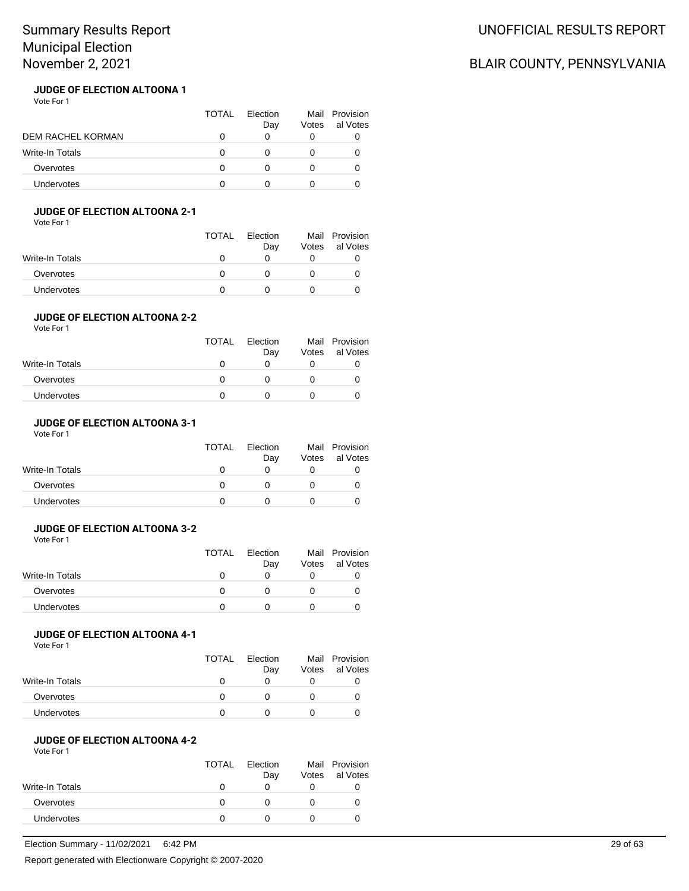# BLAIR COUNTY, PENNSYLVANIA

#### **JUDGE OF ELECTION ALTOONA 1** Vote For 1

|                        | TOTAL | Election<br>Day | Votes | Mail Provision<br>al Votes |
|------------------------|-------|-----------------|-------|----------------------------|
| DEM RACHEL KORMAN      |       |                 |       |                            |
| <b>Write-In Totals</b> |       |                 |       |                            |
| Overvotes              |       |                 |       |                            |
| <b>Undervotes</b>      |       |                 |       |                            |

## **JUDGE OF ELECTION ALTOONA 2-1**

Vote For 1

|                 | <b>TOTAL</b> | Election<br>Day | Votes | Mail Provision<br>al Votes |
|-----------------|--------------|-----------------|-------|----------------------------|
| Write-In Totals |              |                 |       |                            |
| Overvotes       | 0            |                 |       |                            |
| Undervotes      |              |                 |       |                            |

## **JUDGE OF ELECTION ALTOONA 2-2**

Vote For 1

|                        | <b>TOTAL</b> | Election<br>Day | Votes | Mail Provision<br>al Votes |
|------------------------|--------------|-----------------|-------|----------------------------|
| <b>Write-In Totals</b> |              |                 |       |                            |
| Overvotes              |              |                 |       |                            |
| <b>Undervotes</b>      |              |                 |       |                            |
|                        |              |                 |       |                            |

# **JUDGE OF ELECTION ALTOONA 3-1**

Vote For 1

|                   | <b>TOTAL</b> | Election<br>Day | Votes | Mail Provision<br>al Votes |
|-------------------|--------------|-----------------|-------|----------------------------|
| Write-In Totals   |              |                 |       |                            |
| Overvotes         |              |                 |       |                            |
| <b>Undervotes</b> |              |                 |       |                            |

# **JUDGE OF ELECTION ALTOONA 3-2**

Vote For 1

|                   | TOTAL | Election | Mail  | Provision |
|-------------------|-------|----------|-------|-----------|
|                   |       | Day      | Votes | al Votes  |
| Write-In Totals   |       |          |       |           |
| Overvotes         |       |          |       |           |
| <b>Undervotes</b> |       |          |       |           |

## **JUDGE OF ELECTION ALTOONA 4-1**

Vote For 1

|                 | <b>TOTAL</b> | Election<br>Day | Mail<br>Votes | Provision<br>al Votes |
|-----------------|--------------|-----------------|---------------|-----------------------|
| Write-In Totals |              |                 |               |                       |
| Overvotes       |              |                 |               |                       |
| Undervotes      |              |                 |               |                       |

#### **JUDGE OF ELECTION ALTOONA 4-2** Vote For 1

|                 | <b>TOTAL</b> | Election<br>Day | Votes | Mail Provision<br>al Votes |
|-----------------|--------------|-----------------|-------|----------------------------|
| Write-In Totals |              |                 |       |                            |
| Overvotes       |              |                 |       |                            |
| Undervotes      |              |                 |       |                            |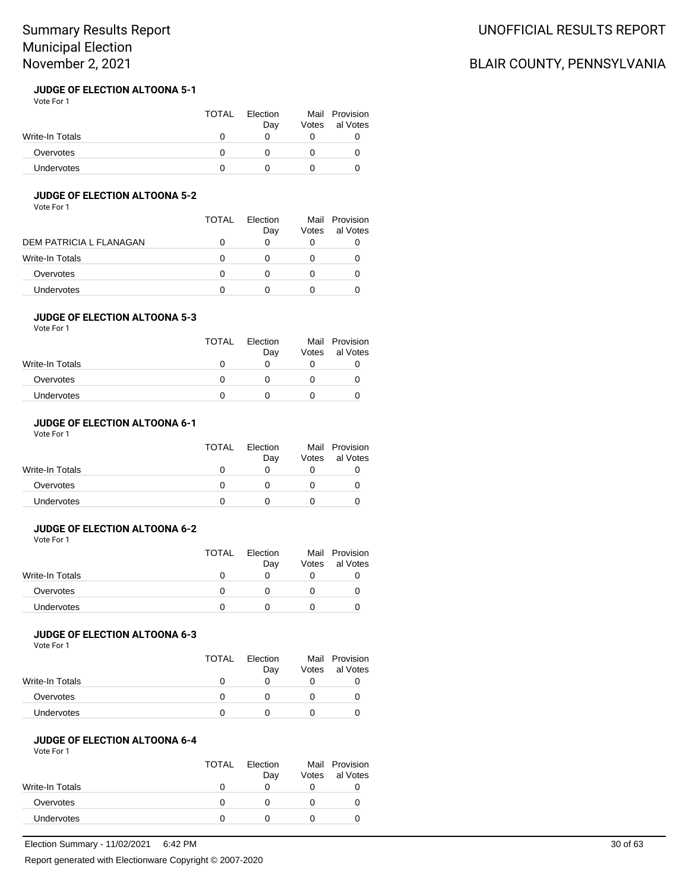#### **JUDGE OF ELECTION ALTOONA 5-1** Vote For 1

|                 | TOTAL | Election<br>Dav | Votes | Mail Provision<br>al Votes |
|-----------------|-------|-----------------|-------|----------------------------|
| Write-In Totals |       |                 |       |                            |
| Overvotes       |       |                 |       |                            |
| Undervotes      |       |                 |       |                            |

## **JUDGE OF ELECTION ALTOONA 5-2**

Vote For 1

|                         | TOTAL | <b>Flection</b><br>Day | Mail<br>Votes | Provision<br>al Votes |
|-------------------------|-------|------------------------|---------------|-----------------------|
| DEM PATRICIA L FLANAGAN |       | O                      |               |                       |
| Write-In Totals         |       | 0                      |               |                       |
| Overvotes               |       | 0                      |               |                       |
| <b>Undervotes</b>       |       | $\mathbf{I}$           |               |                       |

## **JUDGE OF ELECTION ALTOONA 5-3**

Vote For 1

| <b>TOTAL</b> | Election<br>Day | Votes | Mail Provision<br>al Votes |
|--------------|-----------------|-------|----------------------------|
|              |                 |       |                            |
|              |                 |       |                            |
|              |                 |       |                            |
|              |                 |       |                            |

# **JUDGE OF ELECTION ALTOONA 6-1**

Vote For 1

|                   | <b>TOTAL</b> | Election<br>Day | Votes | Mail Provision<br>al Votes |
|-------------------|--------------|-----------------|-------|----------------------------|
| Write-In Totals   |              |                 |       |                            |
| Overvotes         | $^{\prime}$  |                 |       |                            |
| <b>Undervotes</b> |              |                 |       |                            |

## **JUDGE OF ELECTION ALTOONA 6-2**

Vote For 1

|                   | <b>TOTAL</b> | Election |       | Mail Provision |
|-------------------|--------------|----------|-------|----------------|
|                   |              | Day      | Votes | al Votes       |
| Write-In Totals   |              |          |       |                |
| Overvotes         |              |          |       |                |
| <b>Undervotes</b> |              |          |       |                |

## **JUDGE OF ELECTION ALTOONA 6-3**

Vote For 1

|                 | <b>TOTAL</b> | Election | Mail  | Provision |
|-----------------|--------------|----------|-------|-----------|
|                 |              | Day      | Votes | al Votes  |
| Write-In Totals |              |          |       |           |
| Overvotes       |              |          |       |           |
| Undervotes      |              |          |       |           |

#### **JUDGE OF ELECTION ALTOONA 6-4** Vote For 1

|                 | <b>TOTAL</b> | Election<br>Day | Votes | Mail Provision<br>al Votes |
|-----------------|--------------|-----------------|-------|----------------------------|
| Write-In Totals |              |                 |       |                            |
| Overvotes       |              |                 | O     |                            |
| Undervotes      |              |                 |       |                            |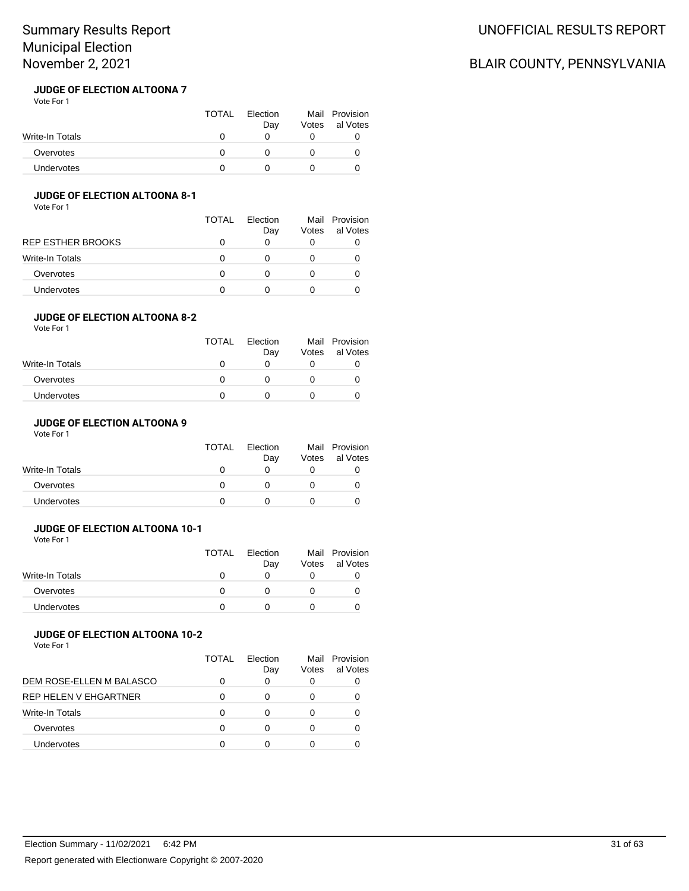## **JUDGE OF ELECTION ALTOONA 7**

| Vote For 1      |              |                 |       |                            |
|-----------------|--------------|-----------------|-------|----------------------------|
|                 | <b>TOTAL</b> | Election<br>Day | Votes | Mail Provision<br>al Votes |
| Write-In Totals | O            |                 |       |                            |
| Overvotes       | 0            |                 |       |                            |
| Undervotes      | n            |                 |       |                            |

### **JUDGE OF ELECTION ALTOONA 8-1**

Vote For 1

|                          | TOTAL             | Flection | Mail  | Provision |
|--------------------------|-------------------|----------|-------|-----------|
|                          |                   | Day      | Votes | al Votes  |
| <b>REP ESTHER BROOKS</b> | $\mathbf{0}$      |          |       |           |
| Write-In Totals          | O                 |          |       |           |
| Overvotes                | O                 |          |       |           |
| Undervotes               | $\mathbf{\Omega}$ |          |       |           |

## **JUDGE OF ELECTION ALTOONA 8-2**

Vote For 1

| <b>TOTAL</b> | Election<br>Day | Votes | Mail Provision<br>al Votes |
|--------------|-----------------|-------|----------------------------|
|              |                 |       |                            |
|              |                 |       |                            |
|              |                 |       |                            |
|              |                 |       |                            |

## **JUDGE OF ELECTION ALTOONA 9**

Vote For 1

|                   | <b>TOTAL</b> | Election<br>Day | Votes | Mail Provision<br>al Votes |
|-------------------|--------------|-----------------|-------|----------------------------|
| Write-In Totals   |              |                 |       |                            |
| Overvotes         | $^{\prime}$  |                 |       |                            |
| <b>Undervotes</b> |              |                 |       |                            |

## **JUDGE OF ELECTION ALTOONA 10-1**

Vote For 1

|                   | TOTAL | Election<br>Day | Votes | Mail Provision<br>al Votes |
|-------------------|-------|-----------------|-------|----------------------------|
| Write-In Totals   |       |                 |       |                            |
| Overvotes         |       |                 |       |                            |
| <b>Undervotes</b> |       |                 |       |                            |

## **JUDGE OF ELECTION ALTOONA 10-2**

Vote For 1

|                              | TOTAL | <b>Flection</b><br>Day | Votes | Mail Provision<br>al Votes |
|------------------------------|-------|------------------------|-------|----------------------------|
| DEM ROSE-ELLEN M BALASCO     |       | 0                      | O     |                            |
| <b>REP HELEN V EHGARTNER</b> | O     |                        |       |                            |
| <b>Write-In Totals</b>       | O     | O                      |       |                            |
| Overvotes                    | O     | O                      |       |                            |
| Undervotes                   |       |                        |       |                            |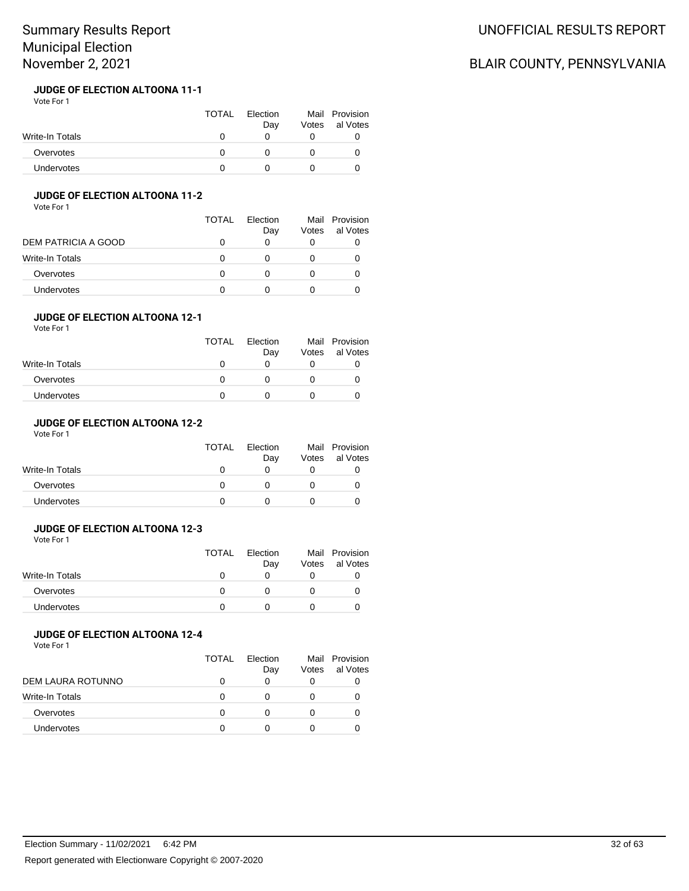#### **JUDGE OF ELECTION ALTOONA 11-1** Vote For 1

|                 | TOTAL | Election<br>Dav | Votes | Mail Provision<br>al Votes |
|-----------------|-------|-----------------|-------|----------------------------|
| Write-In Totals |       |                 |       |                            |
| Overvotes       |       |                 |       |                            |
| Undervotes      |       |                 |       |                            |

## **JUDGE OF ELECTION ALTOONA 11-2**

Vote For 1

|                     | <b>TOTAL</b> | Flection<br>Day | Votes | Mail Provision<br>al Votes |
|---------------------|--------------|-----------------|-------|----------------------------|
| DEM PATRICIA A GOOD | 0            | 0               |       |                            |
| Write-In Totals     | O            |                 |       |                            |
| Overvotes           | O            |                 |       |                            |
| Undervotes          | $^{\circ}$   |                 |       |                            |

## **JUDGE OF ELECTION ALTOONA 12-1**

Vote For 1

| <b>TOTAL</b> | Election<br>Day | Votes | Mail Provision<br>al Votes |
|--------------|-----------------|-------|----------------------------|
|              |                 |       |                            |
|              |                 |       |                            |
|              |                 |       |                            |
|              |                 |       |                            |

# **JUDGE OF ELECTION ALTOONA 12-2**

Vote For 1

|                   | TOTAL        | Election<br>Day | Votes | Mail Provision<br>al Votes |
|-------------------|--------------|-----------------|-------|----------------------------|
| Write-In Totals   |              |                 |       |                            |
| Overvotes         | $\mathbf{I}$ |                 |       |                            |
| <b>Undervotes</b> |              |                 |       |                            |

# **JUDGE OF ELECTION ALTOONA 12-3**

Vote For 1

|                   | <b>TOTAL</b> | Election | Mail  | Provision |
|-------------------|--------------|----------|-------|-----------|
|                   |              | Day      | Votes | al Votes  |
| Write-In Totals   |              |          |       |           |
| Overvotes         |              |          |       |           |
| <b>Undervotes</b> |              |          |       |           |

## **JUDGE OF ELECTION ALTOONA 12-4**

Vote For 1

|                   | TOTAL | Flection<br>Day | Mail<br>Votes | Provision<br>al Votes |
|-------------------|-------|-----------------|---------------|-----------------------|
| DEM LAURA ROTUNNO |       |                 | 0             |                       |
| Write-In Totals   |       |                 |               |                       |
| Overvotes         |       |                 |               |                       |
| <b>Undervotes</b> |       |                 |               |                       |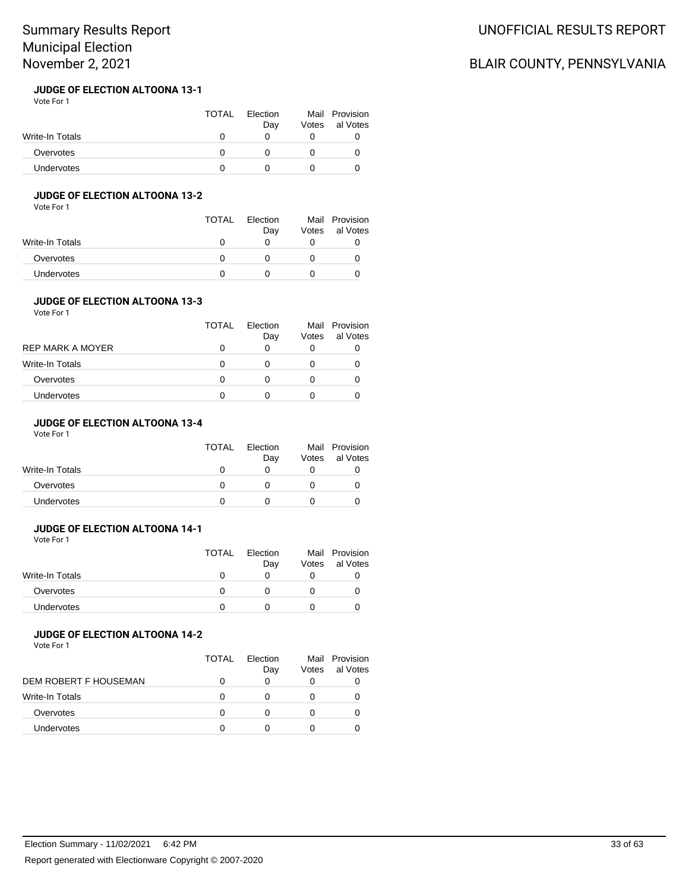#### **JUDGE OF ELECTION ALTOONA 13-1** Vote For 1

|                 | TOTAL | Election<br>Dav | Votes | Mail Provision<br>al Votes |
|-----------------|-------|-----------------|-------|----------------------------|
| Write-In Totals |       |                 |       |                            |
| Overvotes       |       |                 |       |                            |
| Undervotes      |       |                 |       |                            |

## **JUDGE OF ELECTION ALTOONA 13-2**

Vote For 1

|                 | TOTAL | Election<br>Day | Votes | Mail Provision<br>al Votes |
|-----------------|-------|-----------------|-------|----------------------------|
| Write-In Totals |       |                 |       |                            |
| Overvotes       |       |                 |       |                            |
| Undervotes      |       |                 |       |                            |

#### **JUDGE OF ELECTION ALTOONA 13-3** Vote For 1

| 1 J J J J J J           | TOTAL | Election<br>Day | Votes | Mail Provision<br>al Votes |
|-------------------------|-------|-----------------|-------|----------------------------|
| <b>REP MARK A MOYER</b> |       |                 | O     |                            |
| Write-In Totals         |       |                 |       |                            |
| Overvotes               |       |                 |       |                            |
| Undervotes              |       |                 |       |                            |

# **JUDGE OF ELECTION ALTOONA 13-4**

Vote For 1

| <b>TOTAL</b> | Election<br>Day | Votes | Mail Provision<br>al Votes |
|--------------|-----------------|-------|----------------------------|
|              |                 |       |                            |
| $^{\prime}$  |                 |       |                            |
|              |                 |       |                            |
|              |                 |       |                            |

## **JUDGE OF ELECTION ALTOONA 14-1**

Vote For 1

|                   | TOTAL | <b>Flection</b><br>Day | Votes | Mail Provision<br>al Votes |
|-------------------|-------|------------------------|-------|----------------------------|
| Write-In Totals   |       |                        |       |                            |
| Overvotes         |       |                        |       |                            |
| <b>Undervotes</b> |       |                        |       |                            |

## **JUDGE OF ELECTION ALTOONA 14-2**

Vote For 1

|                       | TOTAL | Flection<br>Day | Votes | Mail Provision<br>al Votes |
|-----------------------|-------|-----------------|-------|----------------------------|
| DEM ROBERT F HOUSEMAN |       |                 | O     |                            |
| Write-In Totals       |       |                 |       |                            |
| Overvotes             |       |                 |       |                            |
| <b>Undervotes</b>     |       |                 |       |                            |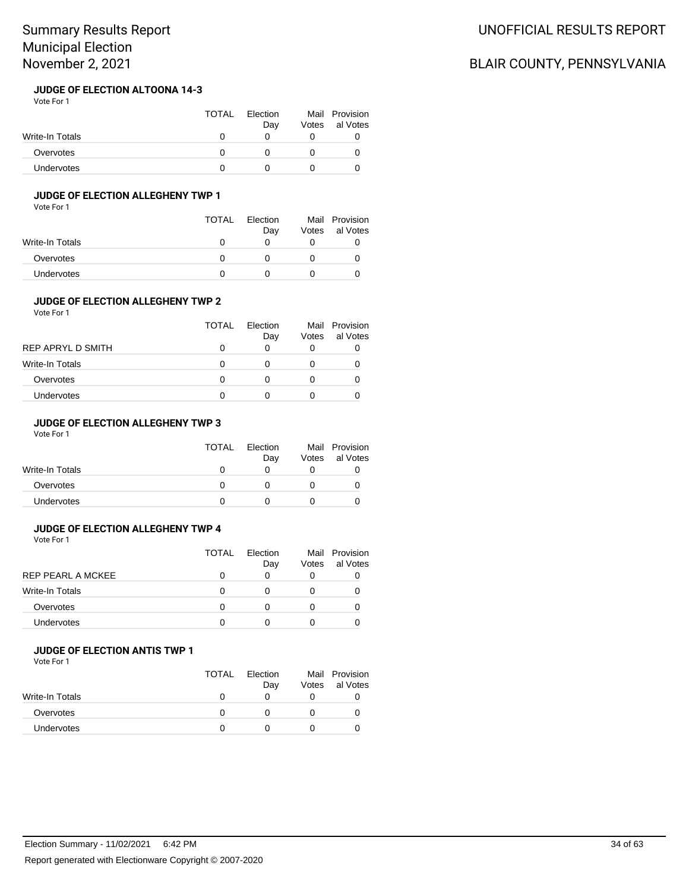#### **JUDGE OF ELECTION ALTOONA 14-3** Vote For 1

|                   | <b>TOTAL</b> | Election<br>Dav | Votes | Mail Provision<br>al Votes |
|-------------------|--------------|-----------------|-------|----------------------------|
| Write-In Totals   |              |                 |       |                            |
| Overvotes         |              |                 |       |                            |
| <b>Undervotes</b> |              |                 |       |                            |

# **JUDGE OF ELECTION ALLEGHENY TWP 1**

Vote For 1

|                 | <b>TOTAL</b> | Election<br>Day | Mail<br>Votes | Provision<br>al Votes |
|-----------------|--------------|-----------------|---------------|-----------------------|
| Write-In Totals | $\mathbf{0}$ | $\mathbf{I}$    |               |                       |
| Overvotes       |              |                 |               |                       |
| Undervotes      |              |                 |               |                       |

### **JUDGE OF ELECTION ALLEGHENY TWP 2**

Vote For 1

|                        | TOTAL    | Election<br>Day | Votes | Mail Provision<br>al Votes |
|------------------------|----------|-----------------|-------|----------------------------|
| REP APRYL D SMITH      |          | O               |       |                            |
| <b>Write-In Totals</b> | $\Omega$ | 0               |       |                            |
| Overvotes              | O        | 0               |       |                            |
| <b>Undervotes</b>      |          |                 |       |                            |

## **JUDGE OF ELECTION ALLEGHENY TWP 3**

Vote For 1

|                   | <b>TOTAL</b> | Election<br>Day | Votes | Mail Provision<br>al Votes |
|-------------------|--------------|-----------------|-------|----------------------------|
| Write-In Totals   |              |                 |       |                            |
| Overvotes         |              |                 |       |                            |
| <b>Undervotes</b> |              |                 |       |                            |

### **JUDGE OF ELECTION ALLEGHENY TWP 4**

Vote For 1

|                   | <b>TOTAL</b> | Flection<br>Day | Votes | Mail Provision<br>al Votes |
|-------------------|--------------|-----------------|-------|----------------------------|
| REP PEARL A MCKEE |              |                 | 0     |                            |
| Write-In Totals   |              |                 | 0     |                            |
| Overvotes         |              |                 | 0     |                            |
| <b>Undervotes</b> |              |                 |       |                            |
|                   |              |                 |       |                            |

### **JUDGE OF ELECTION ANTIS TWP 1**

Vote For 1

|                   | <b>TOTAL</b> | Election<br>Day | Votes | Mail Provision<br>al Votes |
|-------------------|--------------|-----------------|-------|----------------------------|
| Write-In Totals   |              |                 |       |                            |
| Overvotes         |              |                 |       |                            |
| <b>Undervotes</b> |              |                 |       |                            |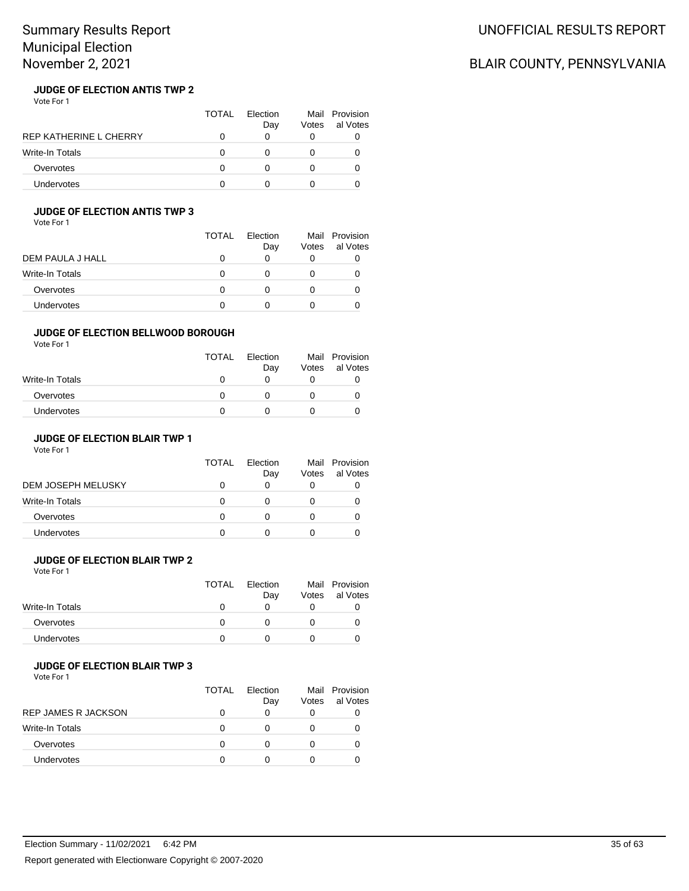# UNOFFICIAL RESULTS REPORT

# BLAIR COUNTY, PENNSYLVANIA

#### **JUDGE OF ELECTION ANTIS TWP 2** Vote For 1

|                               | TOTAL | <b>Flection</b><br>Day | Votes | Mail Provision<br>al Votes |
|-------------------------------|-------|------------------------|-------|----------------------------|
| <b>REP KATHERINE L CHERRY</b> |       |                        |       |                            |
| <b>Write-In Totals</b>        |       |                        |       |                            |
| Overvotes                     |       |                        |       |                            |
| Undervotes                    |       |                        |       |                            |

# **JUDGE OF ELECTION ANTIS TWP 3**

Vote For 1

|                  | TOTAL | Election<br>Day | Votes | Mail Provision<br>al Votes |
|------------------|-------|-----------------|-------|----------------------------|
| DEM PAULA J HALL | O     | O               |       |                            |
| Write-In Totals  | O     | $\mathbf{0}$    |       |                            |
| Overvotes        | 0     | 0               |       |                            |
| Undervotes       | O     |                 |       |                            |

### **JUDGE OF ELECTION BELLWOOD BOROUGH**

Vote For 1

|                   | <b>TOTAL</b> | Election<br>Day | Votes | Mail Provision<br>al Votes |
|-------------------|--------------|-----------------|-------|----------------------------|
| Write-In Totals   | 0            | O               |       |                            |
| Overvotes         | O            |                 |       |                            |
| <b>Undervotes</b> |              |                 |       |                            |

### **JUDGE OF ELECTION BLAIR TWP 1**

Vote For 1

| <b>TOTAL</b> | <b>Flection</b><br>Day | Votes | Mail Provision<br>al Votes |
|--------------|------------------------|-------|----------------------------|
|              |                        |       |                            |
|              |                        |       |                            |
|              |                        |       |                            |
|              |                        |       |                            |
|              |                        |       |                            |

## **JUDGE OF ELECTION BLAIR TWP 2**

Vote For 1

|                 | TOTAL | Election | Mail  | Provision |
|-----------------|-------|----------|-------|-----------|
|                 |       | Day      | Votes | al Votes  |
| Write-In Totals |       |          |       |           |
| Overvotes       |       |          |       |           |
| Undervotes      |       |          |       |           |
|                 |       |          |       |           |

### **JUDGE OF ELECTION BLAIR TWP 3**

|                            | TOTAL | Flection<br>Day | Votes | Mail Provision<br>al Votes |
|----------------------------|-------|-----------------|-------|----------------------------|
| <b>REP JAMES R JACKSON</b> |       |                 |       |                            |
| <b>Write-In Totals</b>     |       |                 |       |                            |
| Overvotes                  |       |                 |       |                            |
| <b>Undervotes</b>          |       |                 |       |                            |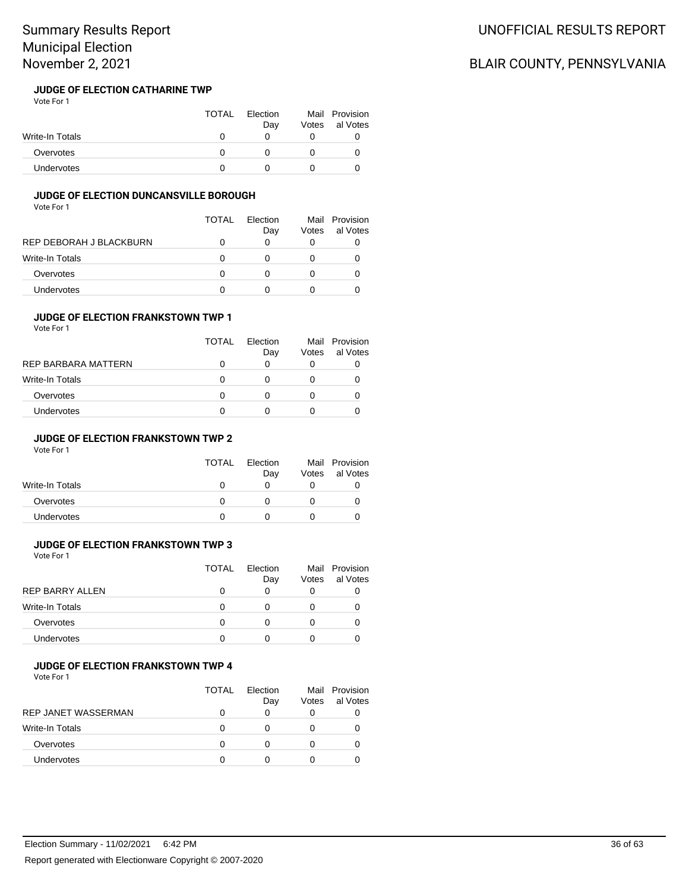#### **JUDGE OF ELECTION CATHARINE TWP** Vote For 1

|                   | <b>TOTAL</b> | Election<br>Day | Votes | Mail Provision<br>al Votes |
|-------------------|--------------|-----------------|-------|----------------------------|
| Write-In Totals   |              |                 |       |                            |
| Overvotes         |              |                 |       |                            |
| <b>Undervotes</b> |              |                 |       |                            |

### **JUDGE OF ELECTION DUNCANSVILLE BOROUGH**

Vote For 1

|                         | TOTAL | Flection<br>Day | Votes | Mail Provision<br>al Votes |
|-------------------------|-------|-----------------|-------|----------------------------|
| REP DEBORAH J BLACKBURN |       | 0               |       |                            |
| Write-In Totals         | ∩     | Ω               |       |                            |
| Overvotes               | O     | Ω               |       |                            |
| Undervotes              | n     |                 |       |                            |

## **JUDGE OF ELECTION FRANKSTOWN TWP 1**

| Vote For 1 |  |
|------------|--|
|------------|--|

|                     | TOTAL | Flection<br>Day | Votes | Mail Provision<br>al Votes |
|---------------------|-------|-----------------|-------|----------------------------|
| REP BARBARA MATTERN | 0     | O               |       |                            |
| Write-In Totals     | 0     | O               |       |                            |
| Overvotes           | 0     | O               |       |                            |
| <b>Undervotes</b>   | 0     |                 |       |                            |

### **JUDGE OF ELECTION FRANKSTOWN TWP 2**

Vote For 1

|                 | <b>TOTAL</b> | Election<br>Day | Votes | Mail Provision<br>al Votes |
|-----------------|--------------|-----------------|-------|----------------------------|
| Write-In Totals |              |                 |       |                            |
| Overvotes       |              |                 |       |                            |
| Undervotes      |              |                 |       |                            |

#### **JUDGE OF ELECTION FRANKSTOWN TWP 3** Vote For 1

|                        | TOTAL | Election<br>Day | Votes | Mail Provision<br>al Votes |
|------------------------|-------|-----------------|-------|----------------------------|
| <b>REP BARRY ALLEN</b> |       | 0               | 0     |                            |
| <b>Write-In Totals</b> | 0     |                 |       |                            |
| Overvotes              |       |                 |       |                            |
| <b>Undervotes</b>      |       | O               |       |                            |

#### **JUDGE OF ELECTION FRANKSTOWN TWP 4**

Vote For 1

|                            | <b>TOTAL</b> | Flection<br>Day | Votes | Mail Provision<br>al Votes |
|----------------------------|--------------|-----------------|-------|----------------------------|
| <b>REP JANET WASSERMAN</b> |              |                 | 0     | O                          |
| Write-In Totals            | O            |                 |       | O                          |
| Overvotes                  | O            |                 |       | O                          |
| <b>Undervotes</b>          |              |                 |       |                            |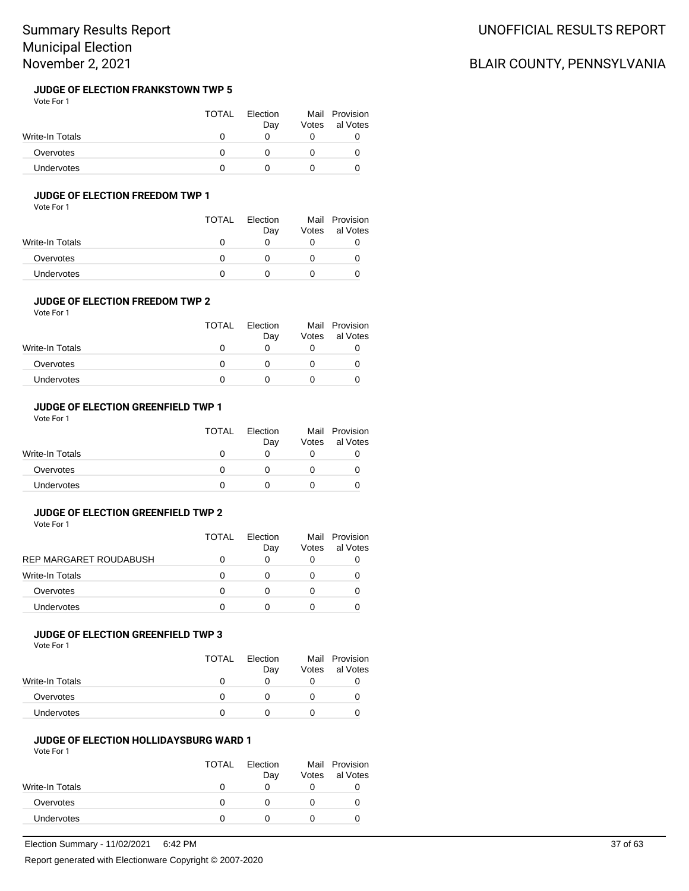#### **JUDGE OF ELECTION FRANKSTOWN TWP 5** Vote For 1

|                 | <b>TOTAL</b> | Election<br>Day | Votes | Mail Provision<br>al Votes |
|-----------------|--------------|-----------------|-------|----------------------------|
| Write-In Totals |              |                 |       |                            |
| Overvotes       |              |                 |       |                            |
| Undervotes      |              |                 |       |                            |

### **JUDGE OF ELECTION FREEDOM TWP 1**

Vote For 1

|                   | <b>TOTAL</b> | Election<br>Day | Votes | Mail Provision<br>al Votes |
|-------------------|--------------|-----------------|-------|----------------------------|
| Write-In Totals   |              |                 |       |                            |
| Overvotes         |              |                 |       |                            |
| <b>Undervotes</b> |              |                 |       |                            |

#### **JUDGE OF ELECTION FREEDOM TWP 2** Vote For 1

|                   | TOTAL | Election<br>Day | Votes | Mail Provision<br>al Votes |
|-------------------|-------|-----------------|-------|----------------------------|
| Write-In Totals   |       |                 |       |                            |
| Overvotes         |       |                 |       |                            |
| <b>Undervotes</b> |       |                 |       |                            |

#### **JUDGE OF ELECTION GREENFIELD TWP 1**

Vote For 1

|                   | <b>TOTAL</b> | Election<br>Day | Votes | Mail Provision<br>al Votes |
|-------------------|--------------|-----------------|-------|----------------------------|
| Write-In Totals   |              |                 |       |                            |
| Overvotes         |              |                 |       |                            |
| <b>Undervotes</b> |              |                 |       |                            |

### **JUDGE OF ELECTION GREENFIELD TWP 2**

Vote For 1

|                        | TOTAL | Flection<br>Day   | Mail<br>Votes | Provision<br>al Votes |
|------------------------|-------|-------------------|---------------|-----------------------|
| REP MARGARET ROUDABUSH |       | 0                 | O             |                       |
| <b>Write-In Totals</b> |       | $\mathbf{\Omega}$ |               |                       |
| Overvotes              | O     | O                 |               |                       |
| <b>Undervotes</b>      |       | $\mathbf{\Omega}$ |               |                       |

## **JUDGE OF ELECTION GREENFIELD TWP 3**

Vote For 1

|                 | TOTAL        | Election<br>Day | Votes | Mail Provision<br>al Votes |
|-----------------|--------------|-----------------|-------|----------------------------|
| Write-In Totals | $\mathbf{U}$ |                 |       |                            |
| Overvotes       |              |                 |       |                            |
| Undervotes      |              |                 |       |                            |

#### **JUDGE OF ELECTION HOLLIDAYSBURG WARD 1**

Vote For 1

|                 | <b>TOTAL</b> | Election<br>Day   | Votes | Mail Provision<br>al Votes |
|-----------------|--------------|-------------------|-------|----------------------------|
| Write-In Totals | 0            |                   |       |                            |
| Overvotes       | O            | $\mathbf{\Omega}$ |       |                            |
| Undervotes      |              |                   |       |                            |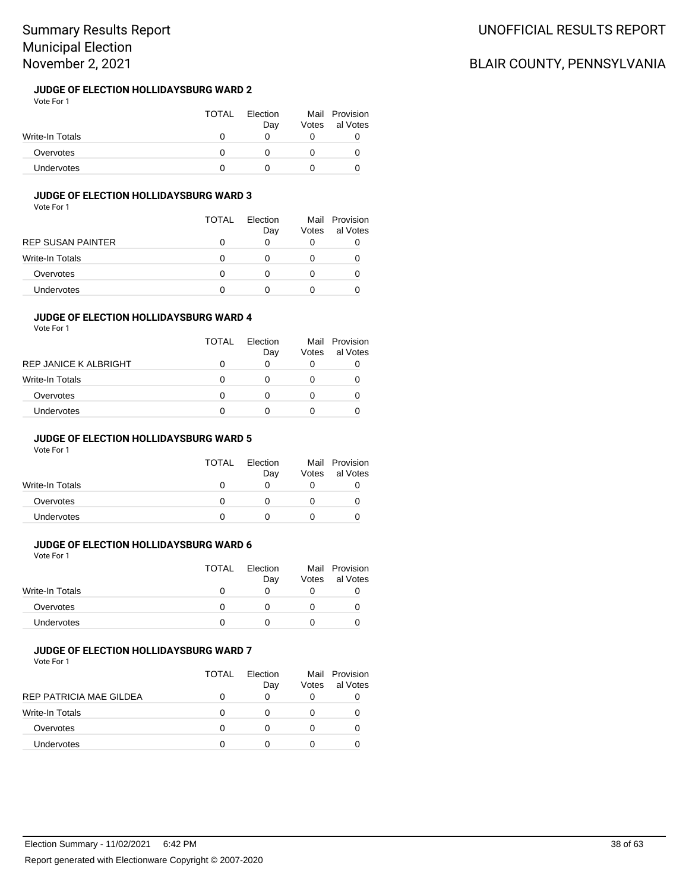#### **JUDGE OF ELECTION HOLLIDAYSBURG WARD 2** Vote For 1

|                   | <b>TOTAL</b> | Election<br>Day | Votes | Mail Provision<br>al Votes |
|-------------------|--------------|-----------------|-------|----------------------------|
| Write-In Totals   |              |                 |       |                            |
| Overvotes         |              |                 |       |                            |
| <b>Undervotes</b> |              |                 |       |                            |

# **JUDGE OF ELECTION HOLLIDAYSBURG WARD 3**

Vote For 1

| TOTAL | Flection<br>Day | Votes | Mail Provision<br>al Votes |
|-------|-----------------|-------|----------------------------|
| 0     | O               |       | 0                          |
| 0     | 0               |       | O                          |
| 0     | 0               |       |                            |
| 0     | 0               |       |                            |
|       |                 |       |                            |

## **JUDGE OF ELECTION HOLLIDAYSBURG WARD 4**

| Vote For 1 |  |  |
|------------|--|--|
|------------|--|--|

| <b>TOTAL</b> | Flection<br>Day | Votes | Mail Provision<br>al Votes |
|--------------|-----------------|-------|----------------------------|
| 0            | O               |       |                            |
| 0            | O               |       |                            |
| 0            |                 |       |                            |
| 0            |                 |       |                            |
|              |                 |       |                            |

### **JUDGE OF ELECTION HOLLIDAYSBURG WARD 5**

Vote For 1

| <b>TOTAL</b> | Election<br>Day | Mail<br>Votes | Provision<br>al Votes |
|--------------|-----------------|---------------|-----------------------|
|              |                 |               |                       |
|              |                 |               |                       |
|              |                 |               |                       |
|              |                 |               |                       |

# **JUDGE OF ELECTION HOLLIDAYSBURG WARD 6**

Vote For 1

|                 | <b>TOTAL</b> | Election<br>Day | Votes | Mail Provision<br>al Votes |
|-----------------|--------------|-----------------|-------|----------------------------|
| Write-In Totals |              |                 |       |                            |
| Overvotes       |              |                 |       |                            |
| Undervotes      |              |                 |       |                            |
|                 |              |                 |       |                            |

### **JUDGE OF ELECTION HOLLIDAYSBURG WARD 7**

Vote For 1

|                         | <b>TOTAL</b> | Election<br>Day | Votes | Mail Provision<br>al Votes |
|-------------------------|--------------|-----------------|-------|----------------------------|
| REP PATRICIA MAE GILDEA |              | O               | O     |                            |
| Write-In Totals         | O            | 0               |       |                            |
| Overvotes               |              | 0               |       |                            |
| <b>Undervotes</b>       |              | O               |       |                            |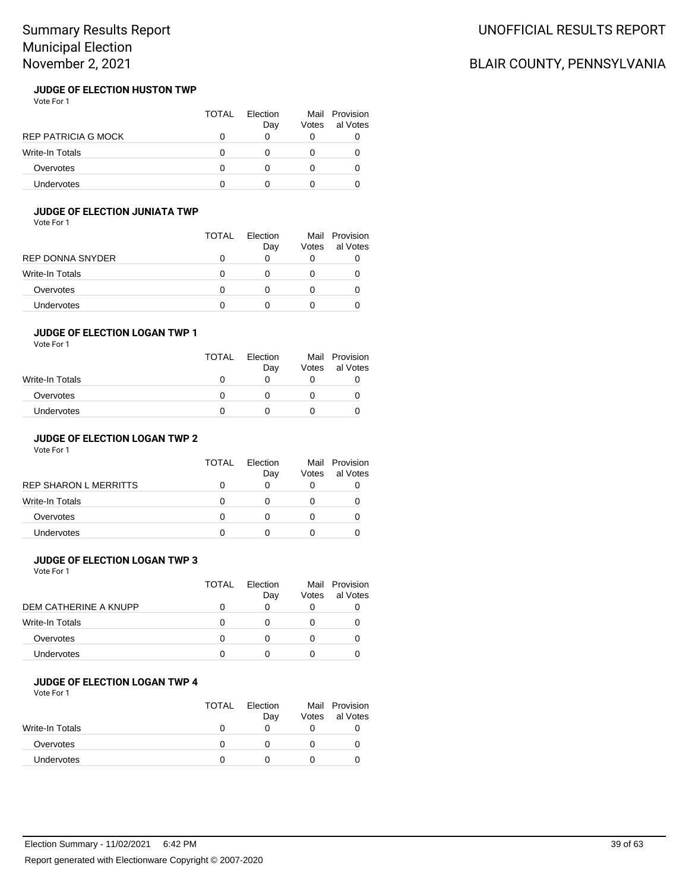#### **JUDGE OF ELECTION HUSTON TWP** Vote For 1

|                            | TOTAL | Election<br>Day | Votes | Mail Provision<br>al Votes |
|----------------------------|-------|-----------------|-------|----------------------------|
| <b>REP PATRICIA G MOCK</b> |       |                 |       |                            |
| <b>Write-In Totals</b>     |       |                 |       |                            |
| Overvotes                  | O     |                 |       |                            |
| Undervotes                 |       |                 |       |                            |

### **JUDGE OF ELECTION JUNIATA TWP**

Vote For 1

|                   | TOTAL | Election<br>Day | Mail<br>Votes | Provision<br>al Votes |
|-------------------|-------|-----------------|---------------|-----------------------|
| REP DONNA SNYDER  |       | O               |               |                       |
| Write-In Totals   |       | O               |               |                       |
| Overvotes         |       | 0               |               |                       |
| <b>Undervotes</b> |       |                 |               |                       |

### **JUDGE OF ELECTION LOGAN TWP 1**

Vote For 1

|                   | <b>TOTAL</b> | Election<br>Day | Votes | Mail Provision<br>al Votes |
|-------------------|--------------|-----------------|-------|----------------------------|
| Write-In Totals   | 0            |                 |       |                            |
| Overvotes         | O            |                 |       |                            |
| <b>Undervotes</b> |              |                 |       |                            |

## **JUDGE OF ELECTION LOGAN TWP 2**

Vote For 1

|                       | <b>TOTAL</b> | Election<br>Day | Votes | Mail Provision<br>al Votes |
|-----------------------|--------------|-----------------|-------|----------------------------|
| REP SHARON L MERRITTS |              |                 |       |                            |
| Write-In Totals       |              |                 |       | O                          |
| Overvotes             |              |                 |       |                            |
| <b>Undervotes</b>     |              |                 |       |                            |

## **JUDGE OF ELECTION LOGAN TWP 3**

Vote For 1

|                        | TOTAL | Flection<br>Day | Mail<br>Votes | Provision<br>al Votes |
|------------------------|-------|-----------------|---------------|-----------------------|
| DEM CATHERINE A KNUPP  |       |                 |               |                       |
| <b>Write-In Totals</b> | O     |                 |               |                       |
| Overvotes              |       |                 |               |                       |
| <b>Undervotes</b>      |       |                 |               |                       |

## **JUDGE OF ELECTION LOGAN TWP 4**

Vote For 1

|                 | TOTAL | Election<br>Day | Votes | Mail Provision<br>al Votes |
|-----------------|-------|-----------------|-------|----------------------------|
| Write-In Totals |       |                 |       |                            |
| Overvotes       |       |                 |       |                            |
| Undervotes      |       |                 |       |                            |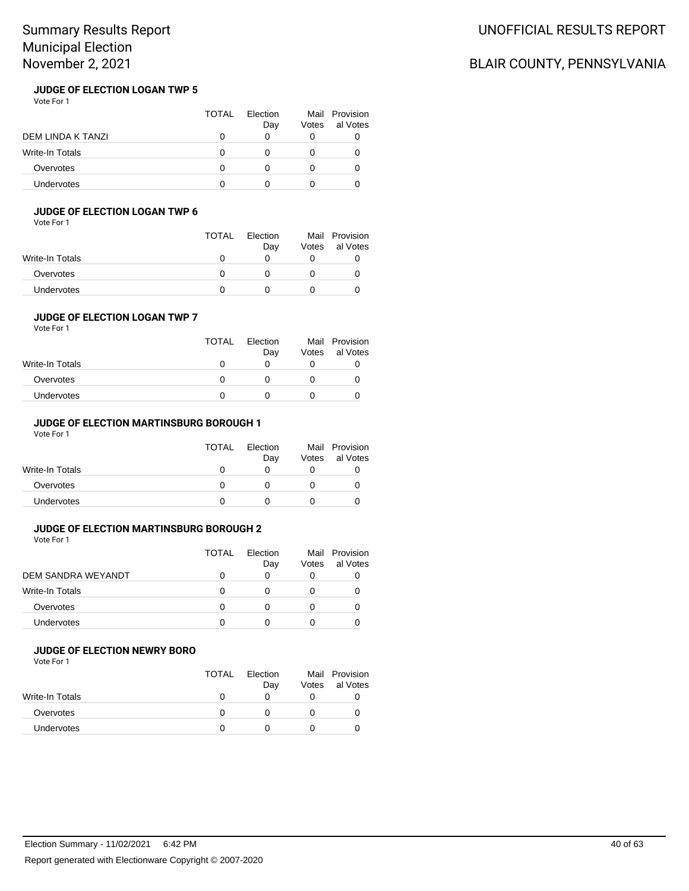#### **JUDGE OF ELECTION LOGAN TWP 5** Vote For 1

|                   | TOTAL | <b>Flection</b><br>Day | Votes | Mail Provision<br>al Votes |
|-------------------|-------|------------------------|-------|----------------------------|
| DEM LINDA K TANZI |       |                        |       |                            |
| Write-In Totals   |       |                        |       |                            |
| Overvotes         |       |                        |       |                            |
| <b>Undervotes</b> |       |                        |       |                            |

## **JUDGE OF ELECTION LOGAN TWP 6**

Vote For 1

|                 | <b>TOTAL</b> | Election<br>Day | Votes | Mail Provision<br>al Votes |
|-----------------|--------------|-----------------|-------|----------------------------|
| Write-In Totals | $\mathbf{U}$ |                 |       |                            |
| Overvotes       |              |                 |       |                            |
| Undervotes      |              |                 |       |                            |

## **JUDGE OF ELECTION LOGAN TWP 7**

Vote For 1

|                   | <b>TOTAL</b> | Election<br>Day | Votes | Mail Provision<br>al Votes |
|-------------------|--------------|-----------------|-------|----------------------------|
| Write-In Totals   |              |                 |       |                            |
| Overvotes         |              |                 |       |                            |
| <b>Undervotes</b> |              |                 |       |                            |

## **JUDGE OF ELECTION MARTINSBURG BOROUGH 1**

Vote For 1

|                   | <b>TOTAL</b> | Election<br>Day | Votes | Mail Provision<br>al Votes |
|-------------------|--------------|-----------------|-------|----------------------------|
| Write-In Totals   | $^{\prime}$  |                 |       |                            |
| Overvotes         | $^{\prime}$  |                 |       |                            |
| <b>Undervotes</b> |              |                 |       |                            |

### **JUDGE OF ELECTION MARTINSBURG BOROUGH 2**

Vote For 1

|                    | <b>TOTAL</b> | Flection<br>Day | Votes | Mail Provision<br>al Votes |
|--------------------|--------------|-----------------|-------|----------------------------|
| DEM SANDRA WEYANDT |              |                 |       |                            |
| Write-In Totals    |              |                 |       |                            |
| Overvotes          |              |                 |       |                            |
| <b>Undervotes</b>  |              |                 |       |                            |

### **JUDGE OF ELECTION NEWRY BORO**

Vote For 1

|                   | <b>TOTAL</b> | Election<br>Day | Votes | Mail Provision<br>al Votes |
|-------------------|--------------|-----------------|-------|----------------------------|
| Write-In Totals   |              |                 |       |                            |
| Overvotes         |              |                 |       |                            |
| <b>Undervotes</b> |              |                 |       |                            |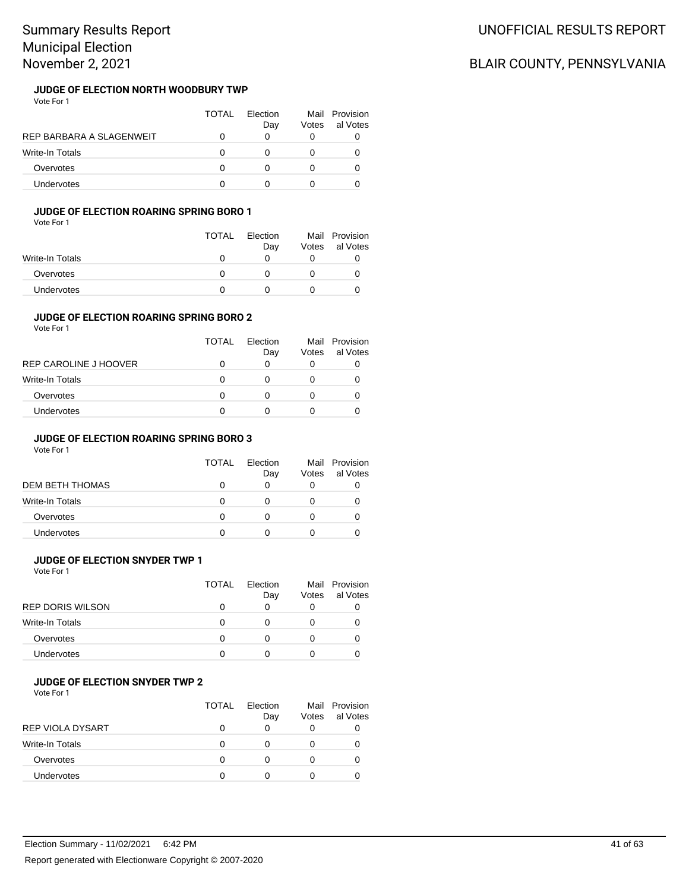# **JUDGE OF ELECTION NORTH WOODBURY TWP**

| Vote For 1 |  |  |
|------------|--|--|
|            |  |  |
|            |  |  |

|                          | TOTAL | Flection<br>Day | Votes | Mail Provision<br>al Votes |
|--------------------------|-------|-----------------|-------|----------------------------|
| REP BARBARA A SLAGENWEIT |       |                 | O     |                            |
| <b>Write-In Totals</b>   | 0     |                 | 0     | O                          |
| Overvotes                | O     |                 | 0     | O                          |
| Undervotes               |       |                 |       |                            |

### **JUDGE OF ELECTION ROARING SPRING BORO 1**

Vote For 1

|                 | <b>TOTAL</b> | Election<br>Day | Mail<br>Votes | Provision<br>al Votes |
|-----------------|--------------|-----------------|---------------|-----------------------|
| Write-In Totals | $\mathbf{I}$ |                 |               |                       |
| Overvotes       | n            |                 |               |                       |
| Undervotes      |              |                 |               |                       |

#### **JUDGE OF ELECTION ROARING SPRING BORO 2** Vote For 1

|  | vuue rui l |  |  |
|--|------------|--|--|
|  |            |  |  |

|                        | TOTAL | <b>Flection</b><br>Day | Votes | Mail Provision<br>al Votes |
|------------------------|-------|------------------------|-------|----------------------------|
| REP CAROLINE J HOOVER  | 0     | 0                      |       |                            |
| <b>Write-In Totals</b> | 0     | 0                      |       |                            |
| Overvotes              | 0     |                        |       |                            |
| <b>Undervotes</b>      | O     |                        |       |                            |
|                        |       |                        |       |                            |

### **JUDGE OF ELECTION ROARING SPRING BORO 3**

Vote For 1

|                   | TOTAL | Flection<br>Day | Votes | Mail Provision<br>al Votes |
|-------------------|-------|-----------------|-------|----------------------------|
| DEM BETH THOMAS   |       |                 |       |                            |
| Write-In Totals   |       |                 |       |                            |
| Overvotes         |       |                 |       |                            |
| <b>Undervotes</b> |       |                 |       |                            |

## **JUDGE OF ELECTION SNYDER TWP 1**

Vote For 1

|                         | TOTAL | Flection<br>Day | Votes | Mail Provision<br>al Votes |
|-------------------------|-------|-----------------|-------|----------------------------|
| <b>REP DORIS WILSON</b> |       |                 |       |                            |
| Write-In Totals         |       |                 |       |                            |
| Overvotes               |       |                 |       |                            |
| <b>Undervotes</b>       |       |                 |       |                            |

## **JUDGE OF ELECTION SNYDER TWP 2**

Vote For 1

|                         | <b>TOTAL</b> | Flection<br>Day | Votes        | Mail Provision<br>al Votes |
|-------------------------|--------------|-----------------|--------------|----------------------------|
| <b>REP VIOLA DYSART</b> |              | $\Omega$        | 0            |                            |
| <b>Write-In Totals</b>  | O            |                 | $\mathbf{0}$ |                            |
| Overvotes               | n            |                 | $\mathbf{0}$ |                            |
| Undervotes              | O            |                 | O            |                            |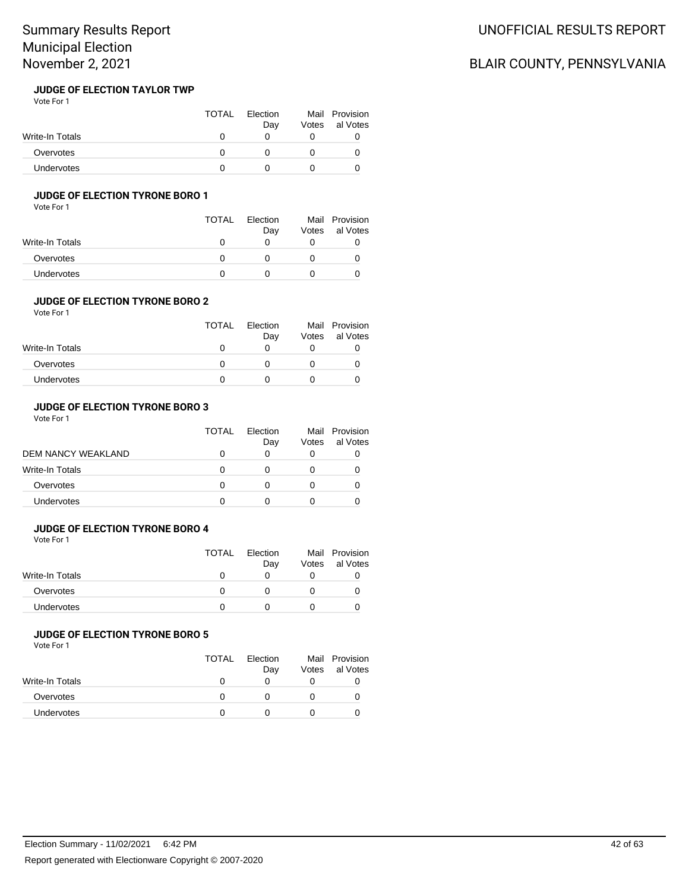#### **JUDGE OF ELECTION TAYLOR TWP** Vote For 1

|                 | <b>TOTAL</b> | Election<br>Day | Votes | Mail Provision<br>al Votes |
|-----------------|--------------|-----------------|-------|----------------------------|
| Write-In Totals |              |                 |       |                            |
| Overvotes       |              |                 |       |                            |
| Undervotes      |              |                 |       |                            |

### **JUDGE OF ELECTION TYRONE BORO 1**

Vote For 1

|                 | <b>TOTAL</b> | Election<br>Day | Mail<br>Votes | Provision<br>al Votes |
|-----------------|--------------|-----------------|---------------|-----------------------|
| Write-In Totals |              |                 |               |                       |
| Overvotes       |              |                 |               |                       |
| Undervotes      |              |                 |               |                       |

#### **JUDGE OF ELECTION TYRONE BORO 2** Vote For 1

|                 | <b>TOTAL</b> | Election<br>Day | Votes | Mail Provision<br>al Votes |
|-----------------|--------------|-----------------|-------|----------------------------|
| Write-In Totals |              |                 |       |                            |
| Overvotes       |              |                 |       |                            |
| Undervotes      |              |                 |       |                            |

### **JUDGE OF ELECTION TYRONE BORO 3**

Vote For 1

|                           | TOTAL | Election<br>Day | Votes | Mail Provision<br>al Votes |
|---------------------------|-------|-----------------|-------|----------------------------|
| <b>DEM NANCY WEAKLAND</b> |       |                 | 0     |                            |
| Write-In Totals           | O     |                 | O     |                            |
| Overvotes                 | O     |                 | 0     |                            |
| Undervotes                |       |                 |       |                            |

### **JUDGE OF ELECTION TYRONE BORO 4**

Vote For 1

|                   | <b>TOTAL</b> | Election<br>Day | Mail<br>Votes | Provision<br>al Votes |
|-------------------|--------------|-----------------|---------------|-----------------------|
| Write-In Totals   |              |                 |               |                       |
| Overvotes         |              |                 |               |                       |
| <b>Undervotes</b> |              |                 |               |                       |

## **JUDGE OF ELECTION TYRONE BORO 5**

Vote For 1

|                   | TOTAL | Election<br>Day | Votes | Mail Provision<br>al Votes |
|-------------------|-------|-----------------|-------|----------------------------|
| Write-In Totals   |       |                 |       |                            |
| Overvotes         |       |                 |       |                            |
| <b>Undervotes</b> |       |                 |       |                            |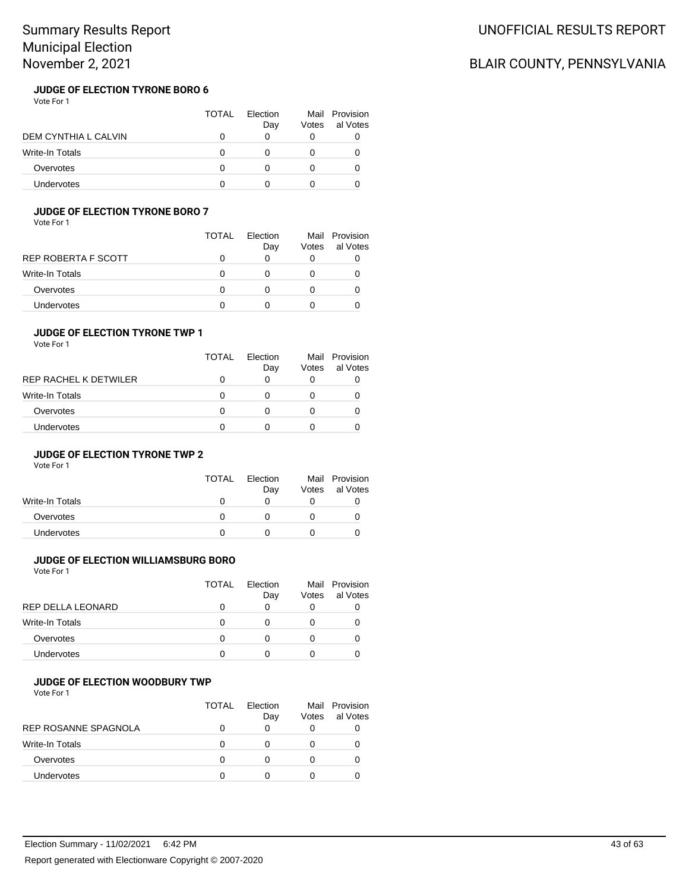#### **JUDGE OF ELECTION TYRONE BORO 6** Vote For 1

|                        | TOTAL | Election<br>Day | Votes | Mail Provision<br>al Votes |
|------------------------|-------|-----------------|-------|----------------------------|
| DEM CYNTHIA L CALVIN   |       |                 |       |                            |
| <b>Write-In Totals</b> |       |                 |       |                            |
| Overvotes              | O     |                 |       |                            |
| Undervotes             |       |                 |       |                            |

### **JUDGE OF ELECTION TYRONE BORO 7**

Vote For 1

|                     | TOTAL | <b>Flection</b><br>Day | Votes | Mail Provision<br>al Votes |
|---------------------|-------|------------------------|-------|----------------------------|
| REP ROBERTA F SCOTT |       | O                      |       |                            |
| Write-In Totals     |       | 0                      |       |                            |
| Overvotes           |       | 0                      |       |                            |
| Undervotes          |       |                        |       |                            |

### **JUDGE OF ELECTION TYRONE TWP 1**

Vote For 1

|                       | <b>TOTAL</b> | Flection<br>Day | Votes | Mail Provision<br>al Votes |
|-----------------------|--------------|-----------------|-------|----------------------------|
| REP RACHEL K DETWILER |              | 0               |       |                            |
| Write-In Totals       | O            | 0               |       |                            |
| Overvotes             | O            | 0               |       |                            |
| Undervotes            | n            |                 |       |                            |

### **JUDGE OF ELECTION TYRONE TWP 2**

Vote For 1

|                   | <b>TOTAL</b> | Flection<br>Day   | Votes | Mail Provision<br>al Votes |
|-------------------|--------------|-------------------|-------|----------------------------|
| Write-In Totals   | $\mathbf{I}$ | $\mathbf{\Omega}$ |       |                            |
| Overvotes         |              |                   |       |                            |
| <b>Undervotes</b> |              |                   |       |                            |

## **JUDGE OF ELECTION WILLIAMSBURG BORO**

Vote For 1

|                   | TOTAL        | Election<br>Day | Votes | Mail Provision<br>al Votes |
|-------------------|--------------|-----------------|-------|----------------------------|
| REP DELLA LEONARD |              |                 | 0     |                            |
| Write-In Totals   | $\mathbf{I}$ |                 |       |                            |
| Overvotes         |              |                 |       |                            |
| <b>Undervotes</b> |              |                 |       |                            |

### **JUDGE OF ELECTION WOODBURY TWP**

Vote For 1

|                        | TOTAL | Flection<br>Day | Mail<br>Votes | Provision<br>al Votes |
|------------------------|-------|-----------------|---------------|-----------------------|
| REP ROSANNE SPAGNOLA   |       | 0               |               |                       |
| <b>Write-In Totals</b> |       |                 |               |                       |
| Overvotes              |       |                 |               |                       |
| Undervotes             |       |                 |               |                       |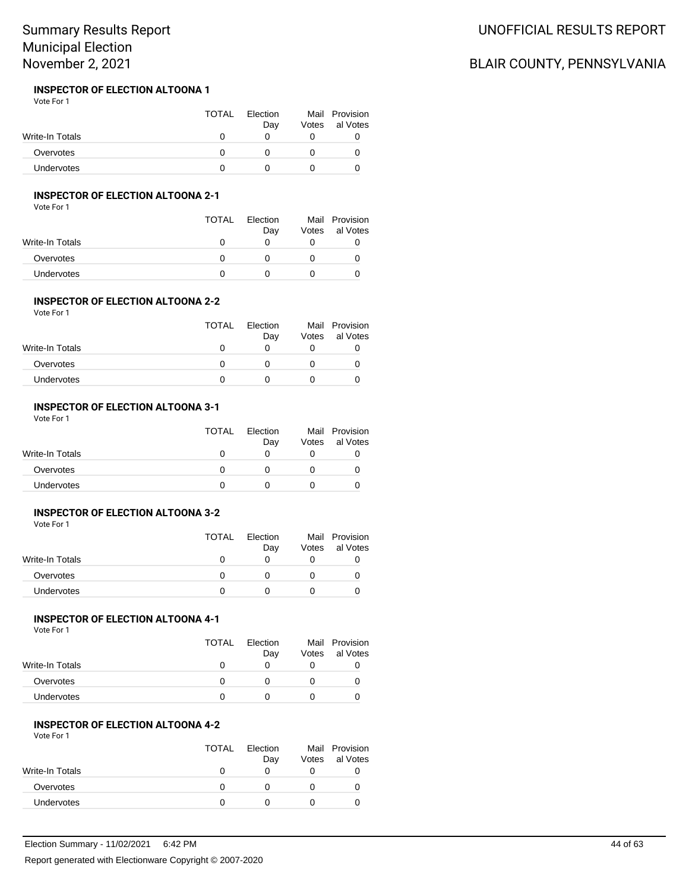#### **INSPECTOR OF ELECTION ALTOONA 1** Vote For 1

|                   | <b>TOTAL</b> | Election<br>Dav | Votes | Mail Provision<br>al Votes |
|-------------------|--------------|-----------------|-------|----------------------------|
| Write-In Totals   |              |                 |       |                            |
| Overvotes         |              |                 |       |                            |
| <b>Undervotes</b> |              |                 |       |                            |

## **INSPECTOR OF ELECTION ALTOONA 2-1**

Vote For 1

|                   | <b>TOTAL</b> | Election<br>Day | Votes | Mail Provision<br>al Votes |
|-------------------|--------------|-----------------|-------|----------------------------|
| Write-In Totals   |              |                 |       |                            |
| Overvotes         |              |                 |       |                            |
| <b>Undervotes</b> |              |                 |       |                            |

#### **INSPECTOR OF ELECTION ALTOONA 2-2** Vote For 1

|                 | <b>TOTAL</b> | Election<br>Day | Votes | Mail Provision<br>al Votes |
|-----------------|--------------|-----------------|-------|----------------------------|
| Write-In Totals |              |                 |       |                            |
| Overvotes       |              |                 |       |                            |
| Undervotes      |              |                 |       |                            |

### **INSPECTOR OF ELECTION ALTOONA 3-1**

Vote For 1

|                 | <b>TOTAL</b> | Election<br>Day | Votes | Mail Provision<br>al Votes |
|-----------------|--------------|-----------------|-------|----------------------------|
| Write-In Totals |              |                 |       |                            |
| Overvotes       |              |                 |       |                            |
| Undervotes      |              |                 |       |                            |

### **INSPECTOR OF ELECTION ALTOONA 3-2**

Vote For 1

|                 | <b>TOTAL</b> | Election<br>Day | Mail<br>Votes | Provision<br>al Votes |
|-----------------|--------------|-----------------|---------------|-----------------------|
| Write-In Totals | O            |                 |               |                       |
| Overvotes       | n            |                 |               |                       |
| Undervotes      |              |                 |               |                       |

# **INSPECTOR OF ELECTION ALTOONA 4-1**

Vote For 1

|                 | <b>TOTAL</b> | Election<br>Day | Votes | Mail Provision<br>al Votes |
|-----------------|--------------|-----------------|-------|----------------------------|
| Write-In Totals |              |                 |       |                            |
| Overvotes       |              |                 |       |                            |
| Undervotes      |              |                 |       |                            |

### **INSPECTOR OF ELECTION ALTOONA 4-2**

Vote For 1

|                 | <b>TOTAL</b> | Election<br>Day | Votes | Mail Provision<br>al Votes |
|-----------------|--------------|-----------------|-------|----------------------------|
| Write-In Totals |              |                 |       |                            |
| Overvotes       |              |                 |       |                            |
| Undervotes      |              |                 |       |                            |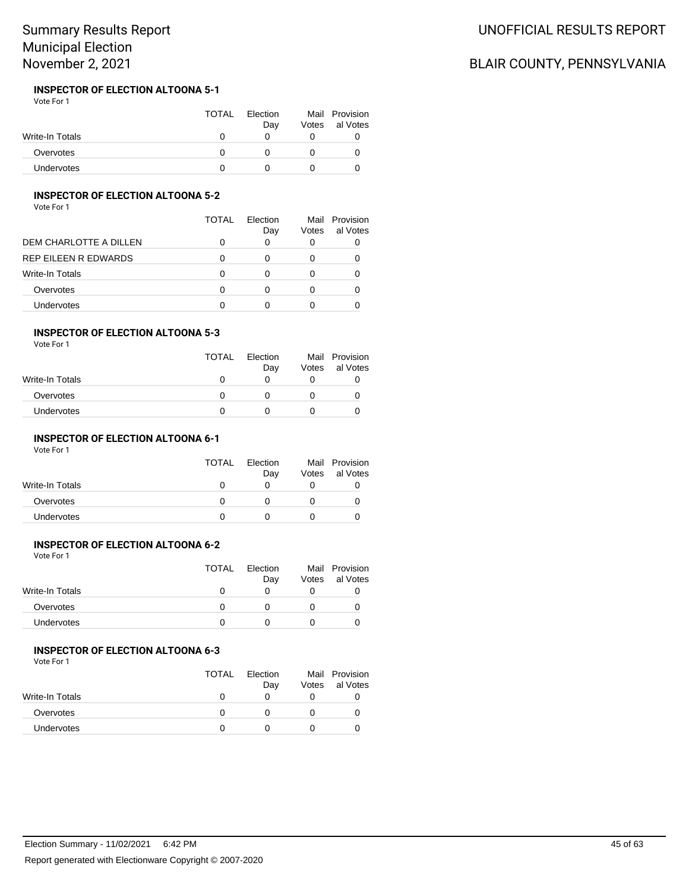#### **INSPECTOR OF ELECTION ALTOONA 5-1** Vote For 1

|                 | <b>TOTAL</b> | Election<br>Day | Votes | Mail Provision<br>al Votes |
|-----------------|--------------|-----------------|-------|----------------------------|
| Write-In Totals |              |                 |       |                            |
| Overvotes       |              |                 |       |                            |
| Undervotes      |              |                 |       |                            |

## **INSPECTOR OF ELECTION ALTOONA 5-2**

Vote For 1

|                        | TOTAL | <b>Flection</b><br>Day | Votes | Mail Provision<br>al Votes |
|------------------------|-------|------------------------|-------|----------------------------|
| DEM CHARLOTTE A DILLEN | 0     | 0                      |       |                            |
| REP EILEEN R EDWARDS   | 0     | 0                      |       |                            |
| Write-In Totals        | ∩     | 0                      |       |                            |
| Overvotes              | ∩     | 0                      |       |                            |
| Undervotes             | n     |                        |       |                            |

#### **INSPECTOR OF ELECTION ALTOONA 5-3** Vote For 1

| .               | <b>TOTAL</b> | Election<br>Day | Votes | Mail Provision<br>al Votes |
|-----------------|--------------|-----------------|-------|----------------------------|
| Write-In Totals |              |                 |       |                            |
| Overvotes       |              |                 |       |                            |
| Undervotes      |              |                 |       |                            |

### **INSPECTOR OF ELECTION ALTOONA 6-1**

Vote For 1

|                 | <b>TOTAL</b> | Election<br>Day | Votes | Mail Provision<br>al Votes |
|-----------------|--------------|-----------------|-------|----------------------------|
| Write-In Totals |              |                 |       |                            |
| Overvotes       |              |                 |       |                            |
| Undervotes      |              |                 |       |                            |

#### **INSPECTOR OF ELECTION ALTOONA 6-2** Vote For 1

|                   | <b>TOTAL</b> | Election<br>Day | Votes | Mail Provision<br>al Votes |
|-------------------|--------------|-----------------|-------|----------------------------|
| Write-In Totals   |              |                 |       |                            |
| Overvotes         |              |                 |       |                            |
| <b>Undervotes</b> |              |                 |       |                            |

### **INSPECTOR OF ELECTION ALTOONA 6-3**

Vote For 1

|                   | <b>TOTAL</b> | Election<br>Day | Votes | Mail Provision<br>al Votes |
|-------------------|--------------|-----------------|-------|----------------------------|
| Write-In Totals   |              |                 |       |                            |
| Overvotes         |              |                 |       |                            |
| <b>Undervotes</b> |              |                 |       |                            |

# UNOFFICIAL RESULTS REPORT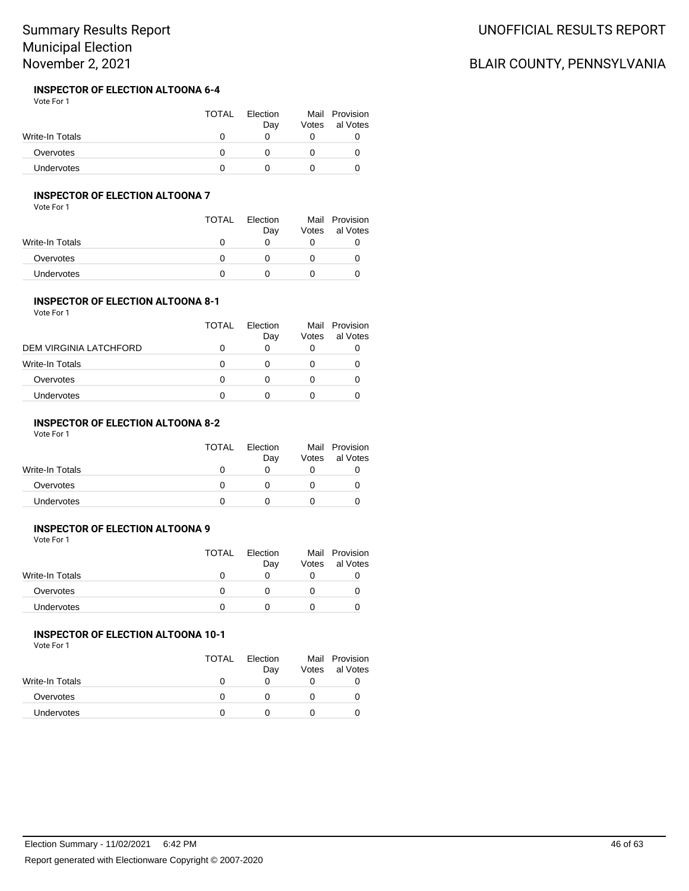#### **INSPECTOR OF ELECTION ALTOONA 6-4** Vote For 1

|                 | <b>TOTAL</b> | Election<br>Day | Votes | Mail Provision<br>al Votes |
|-----------------|--------------|-----------------|-------|----------------------------|
| Write-In Totals |              |                 |       |                            |
| Overvotes       |              |                 |       |                            |
| Undervotes      |              |                 |       |                            |

## **INSPECTOR OF ELECTION ALTOONA 7**

Vote For 1

|                   | TOTAL | Election<br>Day | Votes | Mail Provision<br>al Votes |
|-------------------|-------|-----------------|-------|----------------------------|
| Write-In Totals   |       | $\mathbf{0}$    |       |                            |
| Overvotes         |       |                 |       |                            |
| <b>Undervotes</b> |       |                 |       |                            |

## **INSPECTOR OF ELECTION ALTOONA 8-1**

| Vote For 1             |       |                 |       |                            |
|------------------------|-------|-----------------|-------|----------------------------|
|                        | TOTAL | Election<br>Day | Votes | Mail Provision<br>al Votes |
| DEM VIRGINIA LATCHFORD | O     |                 |       |                            |
| <b>Write-In Totals</b> | O     |                 |       |                            |
| Overvotes              | O     |                 |       |                            |
| Undervotes             |       |                 |       |                            |

# **INSPECTOR OF ELECTION ALTOONA 8-2**

Vote For 1

|                   | <b>TOTAL</b> | Election<br>Day | Mail<br>Votes | Provision<br>al Votes |
|-------------------|--------------|-----------------|---------------|-----------------------|
| Write-In Totals   | $\mathbf{I}$ |                 |               |                       |
| Overvotes         |              |                 |               |                       |
| <b>Undervotes</b> |              |                 |               |                       |

## **INSPECTOR OF ELECTION ALTOONA 9**

Vote For 1

|                   | TOTAL | Election<br>Day | Votes | Mail Provision<br>al Votes |
|-------------------|-------|-----------------|-------|----------------------------|
| Write-In Totals   |       |                 |       |                            |
| Overvotes         |       |                 |       |                            |
| <b>Undervotes</b> |       |                 |       |                            |

# **INSPECTOR OF ELECTION ALTOONA 10-1**

Vote For 1

|                   | <b>TOTAL</b> | Election<br>Day | Votes | Mail Provision<br>al Votes |
|-------------------|--------------|-----------------|-------|----------------------------|
| Write-In Totals   |              |                 |       |                            |
| Overvotes         |              |                 |       |                            |
| <b>Undervotes</b> |              |                 |       |                            |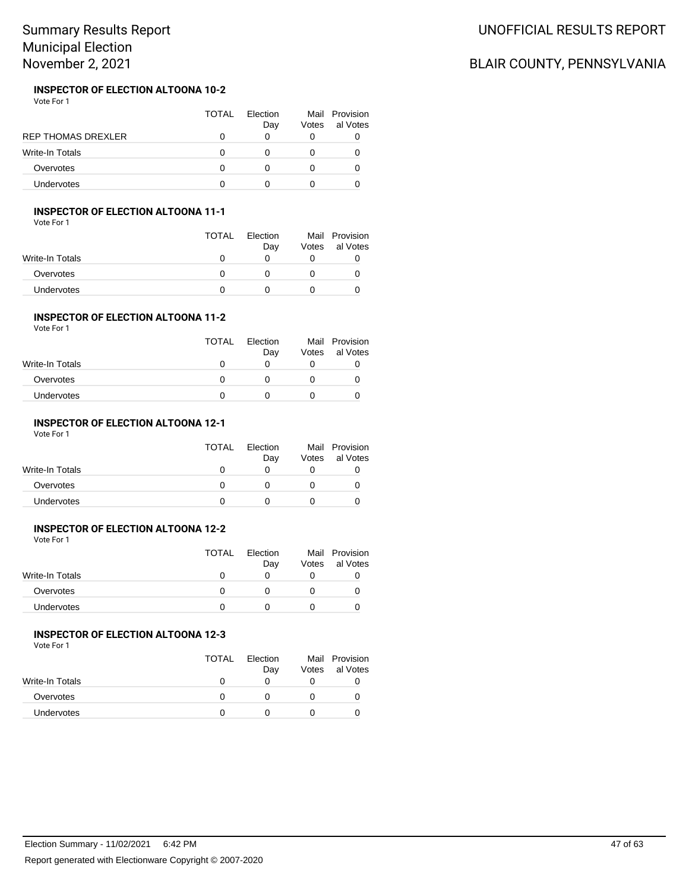#### **INSPECTOR OF ELECTION ALTOONA 10-2** Vote For 1

|                           | TOTAL | Flection<br>Day | Votes | Mail Provision<br>al Votes |
|---------------------------|-------|-----------------|-------|----------------------------|
| <b>REP THOMAS DREXLER</b> |       |                 |       |                            |
| Write-In Totals           |       |                 |       |                            |
| Overvotes                 |       |                 |       |                            |
| <b>Undervotes</b>         |       |                 |       |                            |

### **INSPECTOR OF ELECTION ALTOONA 11-1**

Vote For 1

|                 | <b>TOTAL</b> | Election<br>Day | Mail<br>Votes | Provision<br>al Votes |
|-----------------|--------------|-----------------|---------------|-----------------------|
| Write-In Totals | $\mathbf{I}$ |                 |               |                       |
| Overvotes       | n            |                 |               |                       |
| Undervotes      |              |                 |               |                       |

## **INSPECTOR OF ELECTION ALTOONA 11-2**

|                 | <b>TOTAL</b> | Election<br>Day | Votes | Mail Provision<br>al Votes |
|-----------------|--------------|-----------------|-------|----------------------------|
| Write-In Totals |              | 0               |       |                            |
| Overvotes       |              |                 |       |                            |
| Undervotes      |              |                 |       |                            |
|                 |              |                 |       |                            |

# **INSPECTOR OF ELECTION ALTOONA 12-1**

Vote For 1

|                   | <b>TOTAL</b> | Election<br>Day | Votes | Mail Provision<br>al Votes |
|-------------------|--------------|-----------------|-------|----------------------------|
| Write-In Totals   |              |                 |       |                            |
| Overvotes         |              |                 |       |                            |
| <b>Undervotes</b> |              |                 |       |                            |

## **INSPECTOR OF ELECTION ALTOONA 12-2**

Vote For 1

|                   | TOTAL | Election<br>Day | Votes | Mail Provision<br>al Votes |
|-------------------|-------|-----------------|-------|----------------------------|
| Write-In Totals   |       |                 |       |                            |
| Overvotes         |       |                 |       |                            |
| <b>Undervotes</b> |       |                 |       |                            |

# **INSPECTOR OF ELECTION ALTOONA 12-3**

Vote For 1

|                 | <b>TOTAL</b> | Election<br>Day | Votes | Mail Provision<br>al Votes |
|-----------------|--------------|-----------------|-------|----------------------------|
| Write-In Totals |              |                 |       |                            |
| Overvotes       |              |                 |       |                            |
| Undervotes      |              |                 |       |                            |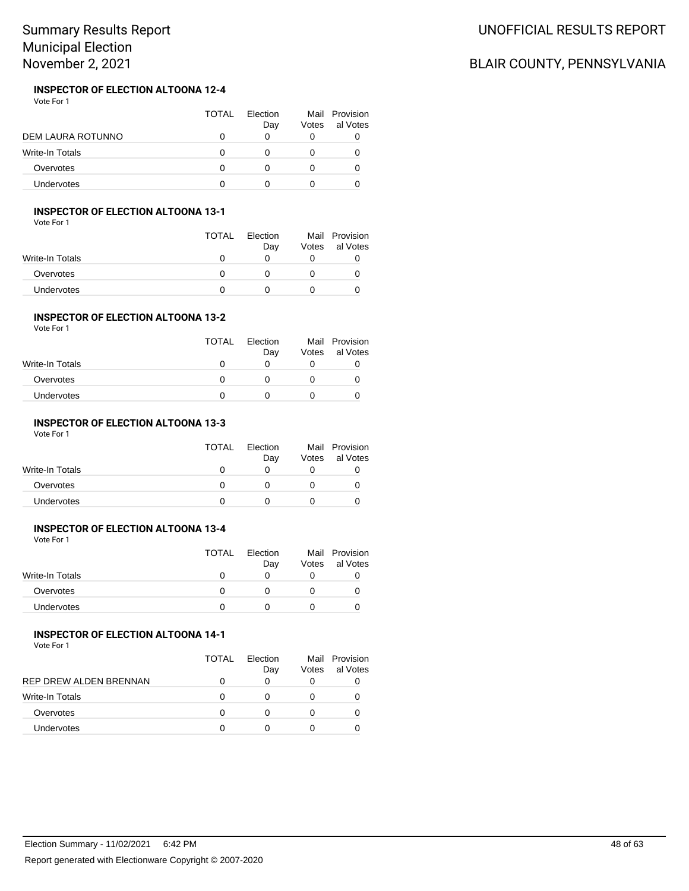#### **INSPECTOR OF ELECTION ALTOONA 12-4** Vote For 1

|                   | <b>TOTAL</b> | Flection<br>Day | Votes | Mail Provision<br>al Votes |
|-------------------|--------------|-----------------|-------|----------------------------|
| DEM LAURA ROTUNNO |              |                 |       |                            |
| Write-In Totals   |              |                 |       |                            |
| Overvotes         |              |                 |       |                            |
| <b>Undervotes</b> |              |                 |       |                            |

### **INSPECTOR OF ELECTION ALTOONA 13-1**

Vote For 1

|                 | <b>TOTAL</b> | Election<br>Day | Votes | Mail Provision<br>al Votes |
|-----------------|--------------|-----------------|-------|----------------------------|
| Write-In Totals |              |                 |       |                            |
| Overvotes       |              |                 |       |                            |
| Undervotes      |              |                 |       |                            |

## **INSPECTOR OF ELECTION ALTOONA 13-2**

| Vote For 1 |  |
|------------|--|
|------------|--|

|                 | <b>TOTAL</b> | Election<br>Day   | Votes | Mail Provision<br>al Votes |
|-----------------|--------------|-------------------|-------|----------------------------|
| Write-In Totals |              | $\mathbf{\Omega}$ |       |                            |
| Overvotes       |              |                   |       |                            |
| Undervotes      |              |                   |       |                            |
|                 |              |                   |       |                            |

# **INSPECTOR OF ELECTION ALTOONA 13-3**

Vote For 1

|                   | <b>TOTAL</b> | <b>Flection</b><br>Day | Votes | Mail Provision<br>al Votes |
|-------------------|--------------|------------------------|-------|----------------------------|
| Write-In Totals   |              |                        |       |                            |
| Overvotes         | $^{\prime}$  |                        |       |                            |
| <b>Undervotes</b> |              |                        |       |                            |

## **INSPECTOR OF ELECTION ALTOONA 13-4**

Vote For 1

|                   | <b>TOTAL</b> | Election | Mail  | Provision |
|-------------------|--------------|----------|-------|-----------|
|                   |              | Day      | Votes | al Votes  |
| Write-In Totals   |              |          |       |           |
| Overvotes         |              |          |       |           |
| <b>Undervotes</b> |              |          |       |           |

# **INSPECTOR OF ELECTION ALTOONA 14-1**

Vote For 1

|                        | TOTAL | Election<br>Day | Votes | Mail Provision<br>al Votes |
|------------------------|-------|-----------------|-------|----------------------------|
| REP DREW ALDEN BRENNAN |       |                 | O     |                            |
| <b>Write-In Totals</b> |       |                 |       |                            |
| Overvotes              |       |                 |       |                            |
| <b>Undervotes</b>      |       |                 |       |                            |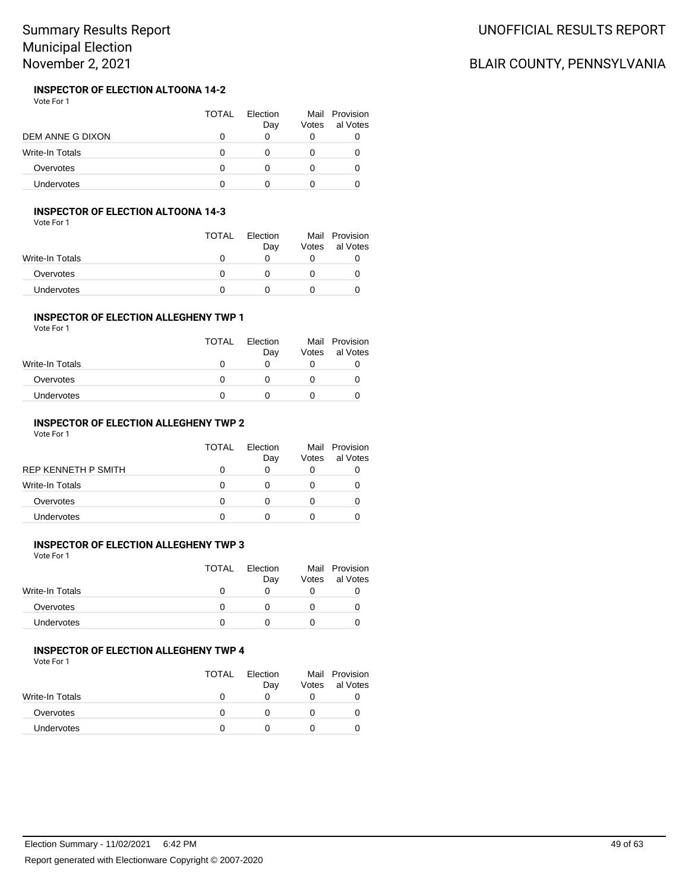#### **INSPECTOR OF ELECTION ALTOONA 14-2** Vote For 1

|                   | <b>TOTAL</b> | Election<br>Day | Votes | Mail Provision<br>al Votes |
|-------------------|--------------|-----------------|-------|----------------------------|
| DEM ANNE G DIXON  |              |                 |       |                            |
| Write-In Totals   |              |                 |       |                            |
| Overvotes         |              |                 |       |                            |
| <b>Undervotes</b> |              |                 |       |                            |

### **INSPECTOR OF ELECTION ALTOONA 14-3**

Vote For 1

|                 | <b>TOTAL</b> | Election<br>Day | Votes | Mail Provision<br>al Votes |
|-----------------|--------------|-----------------|-------|----------------------------|
| Write-In Totals | O            |                 |       |                            |
| Overvotes       | $\mathbf{I}$ |                 |       |                            |
| Undervotes      |              |                 |       |                            |

### **INSPECTOR OF ELECTION ALLEGHENY TWP 1**

Vote For 1

|                   | <b>TOTAL</b> | Election<br>Day | Votes | Mail Provision<br>al Votes |
|-------------------|--------------|-----------------|-------|----------------------------|
| Write-In Totals   | 0            | $\mathbf{0}$    |       |                            |
| Overvotes         | O            | $\mathbf{U}$    |       |                            |
| <b>Undervotes</b> |              |                 |       |                            |

## **INSPECTOR OF ELECTION ALLEGHENY TWP 2**

Vote For 1

|                     | TOTAL | Flection<br>Day | Votes | Mail Provision<br>al Votes |
|---------------------|-------|-----------------|-------|----------------------------|
| REP KENNETH P SMITH |       |                 |       |                            |
| Write-In Totals     |       |                 |       |                            |
| Overvotes           |       |                 |       |                            |
| <b>Undervotes</b>   |       |                 |       |                            |

# **INSPECTOR OF ELECTION ALLEGHENY TWP 3**

Vote For 1

| <b>TOTAL</b> | Election<br>Day | Votes | Mail Provision<br>al Votes |
|--------------|-----------------|-------|----------------------------|
|              |                 |       |                            |
|              |                 |       |                            |
|              |                 |       |                            |
|              |                 |       |                            |

## **INSPECTOR OF ELECTION ALLEGHENY TWP 4**

Vote For 1

|                 | <b>TOTAL</b> | Election<br>Day | Votes | Mail Provision<br>al Votes |
|-----------------|--------------|-----------------|-------|----------------------------|
| Write-In Totals |              |                 |       |                            |
| Overvotes       |              |                 |       |                            |
| Undervotes      |              |                 |       |                            |

# UNOFFICIAL RESULTS REPORT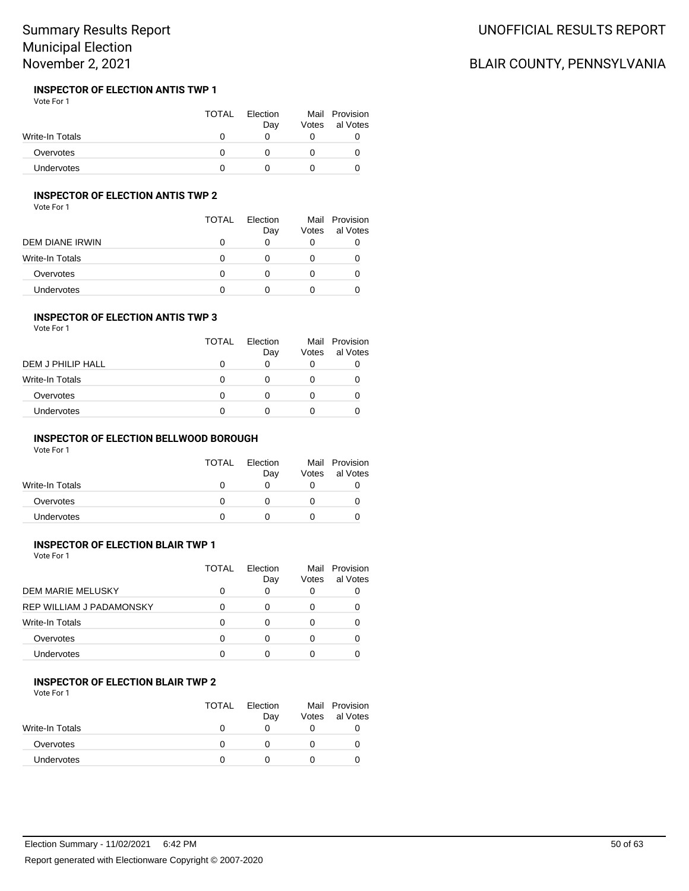#### **INSPECTOR OF ELECTION ANTIS TWP 1** Vote For 1

|                   | <b>TOTAL</b> | Election<br>Day | Votes | Mail Provision<br>al Votes |
|-------------------|--------------|-----------------|-------|----------------------------|
| Write-In Totals   |              |                 |       |                            |
| Overvotes         |              |                 |       |                            |
| <b>Undervotes</b> |              |                 |       |                            |

# **INSPECTOR OF ELECTION ANTIS TWP 2**

Vote For 1

|                 | TOTAL | Flection<br>Day | Votes | Mail Provision<br>al Votes |
|-----------------|-------|-----------------|-------|----------------------------|
| DEM DIANE IRWIN | 0     | O               |       |                            |
| Write-In Totals | O     | n               |       |                            |
| Overvotes       | O     |                 |       |                            |
| Undervotes      |       |                 |       |                            |

## **INSPECTOR OF ELECTION ANTIS TWP 3**

Vote For 1

|                        | <b>TOTAL</b> | Flection<br>Day | Votes | Mail Provision<br>al Votes |
|------------------------|--------------|-----------------|-------|----------------------------|
| DEM J PHILIP HALL      | 0            | O               |       |                            |
| <b>Write-In Totals</b> | 0            |                 |       |                            |
| Overvotes              | 0            |                 |       |                            |
| Undervotes             | 0            |                 |       |                            |

## **INSPECTOR OF ELECTION BELLWOOD BOROUGH**

Vote For 1

| <b>TOTAL</b> | Election<br>Day | Votes | Mail Provision<br>al Votes |
|--------------|-----------------|-------|----------------------------|
|              |                 |       |                            |
|              |                 |       |                            |
|              |                 |       |                            |
|              |                 |       |                            |

# **INSPECTOR OF ELECTION BLAIR TWP 1**

Vote For 1

|                                 | TOTAL | Flection<br>Day | Mail<br>Votes | Provision<br>al Votes |
|---------------------------------|-------|-----------------|---------------|-----------------------|
| DEM MARIE MELUSKY               |       |                 | 0             |                       |
| <b>REP WILLIAM J PADAMONSKY</b> |       |                 | 0             |                       |
| <b>Write-In Totals</b>          |       |                 | 0             |                       |
| Overvotes                       |       |                 | 0             |                       |
| Undervotes                      |       | ∩               | O             |                       |

# **INSPECTOR OF ELECTION BLAIR TWP 2**

Vote For 1

|                 | <b>TOTAL</b> | Election<br>Day | Votes | Mail Provision<br>al Votes |
|-----------------|--------------|-----------------|-------|----------------------------|
| Write-In Totals |              |                 |       |                            |
| Overvotes       |              |                 |       |                            |
| Undervotes      |              |                 |       |                            |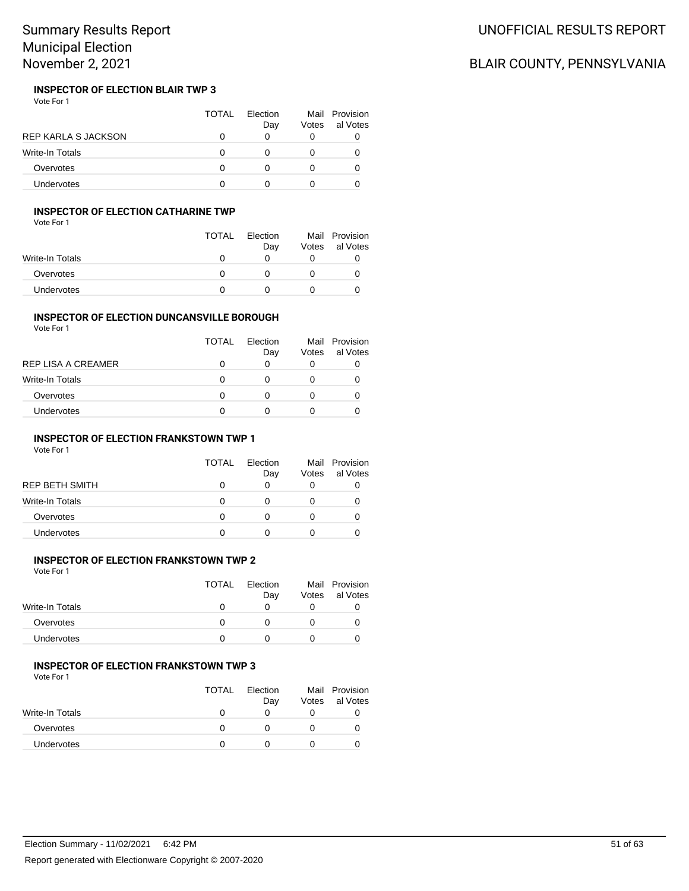#### **INSPECTOR OF ELECTION BLAIR TWP 3** Vote For 1

|                            | TOTAL | <b>Flection</b><br>Day | Votes | Mail Provision<br>al Votes |
|----------------------------|-------|------------------------|-------|----------------------------|
| <b>REP KARLA S JACKSON</b> |       |                        |       |                            |
| Write-In Totals            | O     |                        |       |                            |
| Overvotes                  | O     |                        |       |                            |
| <b>Undervotes</b>          |       |                        |       |                            |

# **INSPECTOR OF ELECTION CATHARINE TWP**

Vote For 1

|                 | <b>TOTAL</b> | Election<br>Day | Votes | Mail Provision<br>al Votes |
|-----------------|--------------|-----------------|-------|----------------------------|
| Write-In Totals |              | O               |       |                            |
| Overvotes       | O            |                 |       |                            |
| Undervotes      |              |                 |       |                            |

#### **INSPECTOR OF ELECTION DUNCANSVILLE BOROUGH** Vote For 1

| <b>TOTAL</b> | Flection<br>Day | Votes | Mail Provision<br>al Votes |
|--------------|-----------------|-------|----------------------------|
| O            | 0               |       |                            |
| 0            | O               |       |                            |
| O            | Ω               |       |                            |
| O            | Ω               |       |                            |
|              |                 |       |                            |

### **INSPECTOR OF ELECTION FRANKSTOWN TWP 1**

Vote For 1

|                 | <b>TOTAL</b> | <b>Flection</b><br>Day | Votes        | Mail Provision<br>al Votes |
|-----------------|--------------|------------------------|--------------|----------------------------|
| REP BETH SMITH  |              |                        | 0            |                            |
| Write-In Totals | O            | 0                      | $\mathbf{0}$ |                            |
| Overvotes       | O            | O                      | $\mathbf{0}$ |                            |
| Undervotes      |              |                        |              |                            |
|                 |              |                        |              |                            |

## **INSPECTOR OF ELECTION FRANKSTOWN TWP 2**

Vote For 1

|                   | TOTAL | Election | Mail  | Provision |
|-------------------|-------|----------|-------|-----------|
|                   |       | Dav      | Votes | al Votes  |
| Write-In Totals   |       |          |       |           |
| Overvotes         |       |          |       |           |
| <b>Undervotes</b> |       |          |       |           |
|                   |       |          |       |           |

#### **INSPECTOR OF ELECTION FRANKSTOWN TWP 3**

Vote For 1

|                 | <b>TOTAL</b> | <b>Flection</b><br>Day | Votes | Mail Provision<br>al Votes |
|-----------------|--------------|------------------------|-------|----------------------------|
| Write-In Totals |              |                        |       |                            |
| Overvotes       | $\mathbf{U}$ |                        |       |                            |
| Undervotes      |              |                        |       |                            |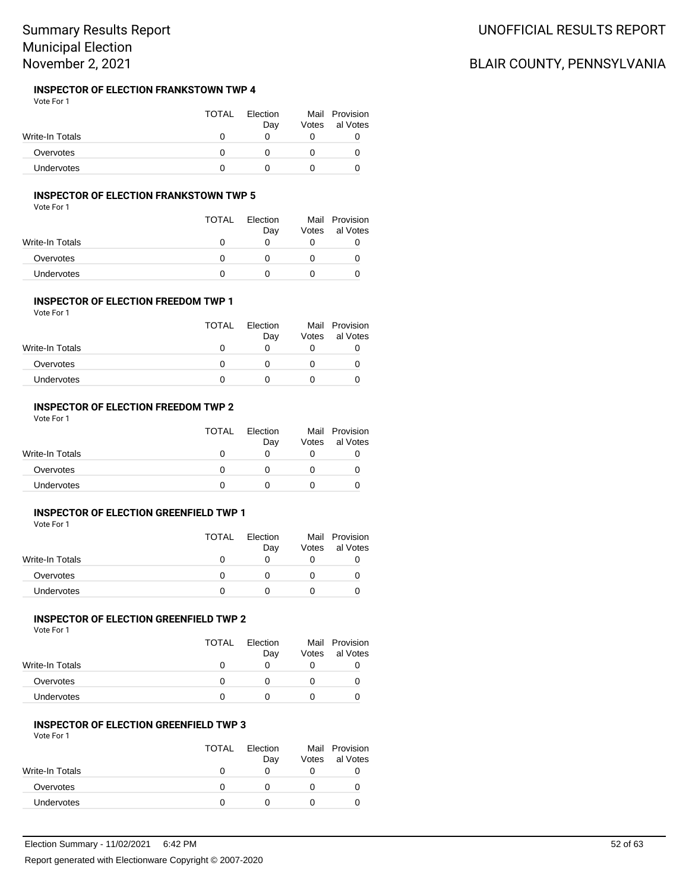#### **INSPECTOR OF ELECTION FRANKSTOWN TWP 4** Vote For 1

|                 | <b>TOTAL</b> | Election<br>Day | Votes | Mail Provision<br>al Votes |
|-----------------|--------------|-----------------|-------|----------------------------|
| Write-In Totals |              |                 |       |                            |
| Overvotes       |              |                 |       |                            |
| Undervotes      |              |                 |       |                            |

### **INSPECTOR OF ELECTION FRANKSTOWN TWP 5**

Vote For 1

|                   | TOTAL        | Election<br>Day | Votes | Mail Provision<br>al Votes |
|-------------------|--------------|-----------------|-------|----------------------------|
| Write-In Totals   | $\mathbf{O}$ |                 |       |                            |
| Overvotes         | $\mathbf{I}$ |                 |       |                            |
| <b>Undervotes</b> |              |                 |       |                            |

#### **INSPECTOR OF ELECTION FREEDOM TWP 1** Vote For 1

|                   | <b>TOTAL</b> | Election<br>Day | Votes | Mail Provision<br>al Votes |
|-------------------|--------------|-----------------|-------|----------------------------|
| Write-In Totals   |              |                 |       |                            |
| Overvotes         |              |                 |       |                            |
| <b>Undervotes</b> |              |                 |       |                            |

### **INSPECTOR OF ELECTION FREEDOM TWP 2**

Vote For 1

|                 | <b>TOTAL</b> | Election<br>Day | Votes | Mail Provision<br>al Votes |
|-----------------|--------------|-----------------|-------|----------------------------|
| Write-In Totals |              |                 |       |                            |
| Overvotes       |              |                 |       |                            |
| Undervotes      |              |                 |       |                            |

#### **INSPECTOR OF ELECTION GREENFIELD TWP 1**

Vote For 1

|                   | <b>TOTAL</b> | Election<br>Day | Votes | Mail Provision<br>al Votes |
|-------------------|--------------|-----------------|-------|----------------------------|
| Write-In Totals   |              |                 |       |                            |
| Overvotes         |              |                 |       |                            |
| <b>Undervotes</b> |              |                 |       |                            |

## **INSPECTOR OF ELECTION GREENFIELD TWP 2**

Vote For 1

|                 | <b>TOTAL</b> | Election<br>Day | Votes | Mail Provision<br>al Votes |
|-----------------|--------------|-----------------|-------|----------------------------|
| Write-In Totals | $\mathbf{U}$ |                 |       |                            |
| Overvotes       | n            |                 |       |                            |
| Undervotes      |              |                 |       |                            |

### **INSPECTOR OF ELECTION GREENFIELD TWP 3**

Vote For 1

|                   | <b>TOTAL</b> | Election<br>Day | Votes | Mail Provision<br>al Votes |
|-------------------|--------------|-----------------|-------|----------------------------|
| Write-In Totals   | $\mathbf{I}$ | O               |       |                            |
| Overvotes         | O            |                 |       |                            |
| <b>Undervotes</b> |              |                 |       |                            |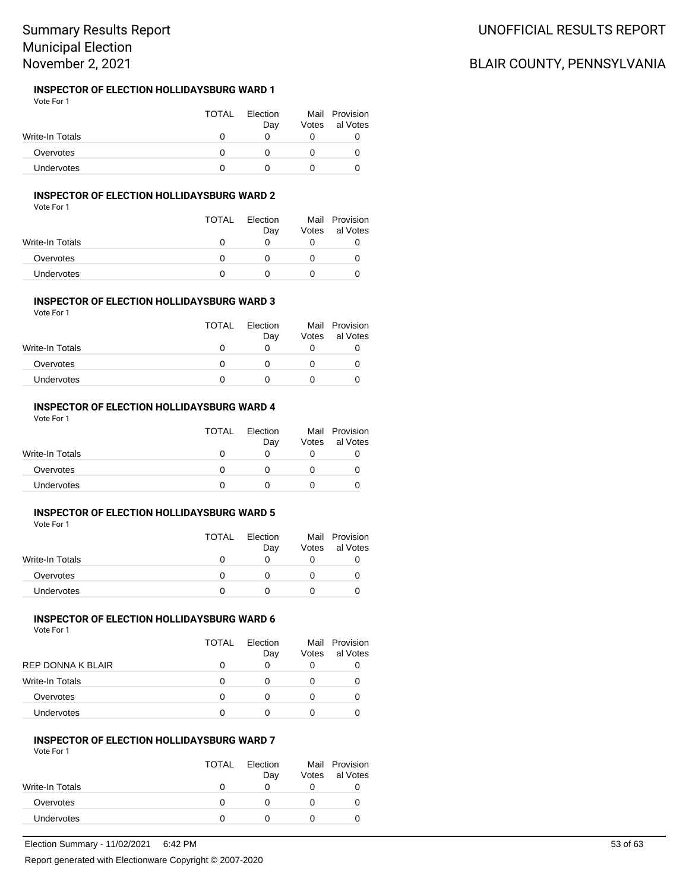#### **INSPECTOR OF ELECTION HOLLIDAYSBURG WARD 1** Vote For 1

|                   | <b>TOTAL</b> | Election<br>Day | Votes | Mail Provision<br>al Votes |
|-------------------|--------------|-----------------|-------|----------------------------|
| Write-In Totals   |              |                 |       |                            |
| Overvotes         |              |                 |       |                            |
| <b>Undervotes</b> |              |                 |       |                            |

## **INSPECTOR OF ELECTION HOLLIDAYSBURG WARD 2**

Vote For 1

|                 | TOTAL        | Election<br>Day | Votes | Mail Provision<br>al Votes |
|-----------------|--------------|-----------------|-------|----------------------------|
| Write-In Totals | $\mathbf{U}$ |                 |       |                            |
| Overvotes       |              |                 |       |                            |
| Undervotes      |              |                 |       |                            |

#### **INSPECTOR OF ELECTION HOLLIDAYSBURG WARD 3** Vote For 1

|                 | <b>TOTAL</b> | Election<br>Day | Votes | Mail Provision<br>al Votes |
|-----------------|--------------|-----------------|-------|----------------------------|
| Write-In Totals |              |                 |       |                            |
| Overvotes       |              |                 |       |                            |
| Undervotes      |              |                 |       |                            |

#### **INSPECTOR OF ELECTION HOLLIDAYSBURG WARD 4**

Vote For 1

|                   | <b>TOTAL</b> | Election<br>Day | Votes | Mail Provision<br>al Votes |
|-------------------|--------------|-----------------|-------|----------------------------|
| Write-In Totals   |              |                 |       |                            |
| Overvotes         |              |                 |       |                            |
| <b>Undervotes</b> |              |                 |       |                            |

#### **INSPECTOR OF ELECTION HOLLIDAYSBURG WARD 5**

Vote For 1

|                 | <b>TOTAL</b> | Election<br>Day | Votes | Mail Provision<br>al Votes |
|-----------------|--------------|-----------------|-------|----------------------------|
| Write-In Totals |              |                 |       |                            |
| Overvotes       |              |                 |       |                            |
| Undervotes      |              |                 |       |                            |

## **INSPECTOR OF ELECTION HOLLIDAYSBURG WARD 6**

Vote For 1

| al Votes |
|----------|
|          |
|          |
|          |
|          |
|          |

#### **INSPECTOR OF ELECTION HOLLIDAYSBURG WARD 7**

Vote For 1

|                   | <b>TOTAL</b> | Election<br>Day | Votes | Mail Provision<br>al Votes |
|-------------------|--------------|-----------------|-------|----------------------------|
| Write-In Totals   | 0            | $\mathbf{0}$    |       |                            |
| Overvotes         | $\mathbf{0}$ |                 |       |                            |
| <b>Undervotes</b> |              |                 |       |                            |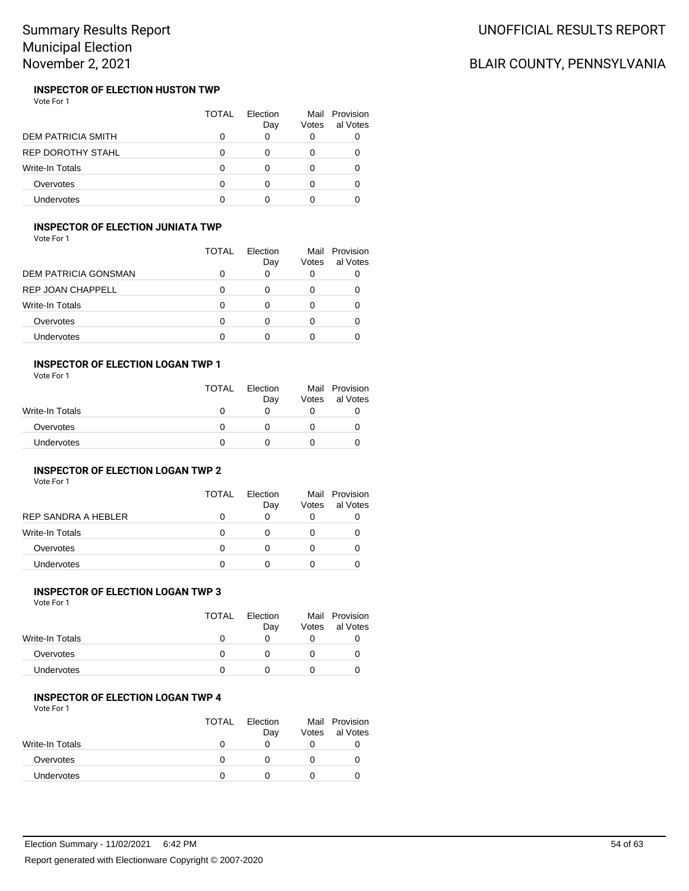#### **INSPECTOR OF ELECTION HUSTON TWP** Vote For 1

|                           | TOTAL | Flection<br>Day | Votes | Mail Provision<br>al Votes |
|---------------------------|-------|-----------------|-------|----------------------------|
| <b>DEM PATRICIA SMITH</b> |       |                 | 0     |                            |
| <b>REP DOROTHY STAHL</b>  |       |                 | 0     |                            |
| <b>Write-In Totals</b>    | O     |                 | 0     |                            |
| Overvotes                 | n     |                 | O     |                            |
| Undervotes                |       |                 |       |                            |

## **INSPECTOR OF ELECTION JUNIATA TWP**

Vote For 1

|                             | TOTAL | Flection<br>Day | Mail<br>Votes | Provision<br>al Votes |
|-----------------------------|-------|-----------------|---------------|-----------------------|
| <b>DEM PATRICIA GONSMAN</b> |       | 0               | 0             |                       |
| REP JOAN CHAPPELL           | O     | O               | 0             |                       |
| Write-In Totals             |       |                 |               |                       |
| Overvotes                   | O     |                 |               |                       |
| Undervotes                  | O     |                 |               |                       |

### **INSPECTOR OF ELECTION LOGAN TWP 1**

Vote For 1

|                 | <b>TOTAL</b> | Election<br>Day | Mail<br>Votes | Provision<br>al Votes |
|-----------------|--------------|-----------------|---------------|-----------------------|
| Write-In Totals |              |                 |               |                       |
| Overvotes       | n            |                 |               |                       |
| Undervotes      |              |                 |               |                       |

## **INSPECTOR OF ELECTION LOGAN TWP 2**

Vote For 1

|                        | <b>TOTAL</b> | Flection<br>Day | Mail<br>Votes | Provision<br>al Votes |
|------------------------|--------------|-----------------|---------------|-----------------------|
| REP SANDRA A HEBLER    | 0            |                 |               |                       |
| <b>Write-In Totals</b> | 0            | O               |               |                       |
| Overvotes              | 0            |                 |               |                       |
| Undervotes             | O            |                 |               |                       |

## **INSPECTOR OF ELECTION LOGAN TWP 3**

Vote For 1

|                   | <b>TOTAL</b> | Election<br>Day | Votes | Mail Provision<br>al Votes |
|-------------------|--------------|-----------------|-------|----------------------------|
| Write-In Totals   |              |                 |       |                            |
| Overvotes         |              |                 |       |                            |
| <b>Undervotes</b> |              |                 |       |                            |

### **INSPECTOR OF ELECTION LOGAN TWP 4**

Vote For 1

|                   | <b>TOTAL</b> | Election<br>Day | Votes | Mail Provision<br>al Votes |
|-------------------|--------------|-----------------|-------|----------------------------|
| Write-In Totals   |              |                 |       |                            |
| Overvotes         |              |                 |       |                            |
| <b>Undervotes</b> |              |                 |       |                            |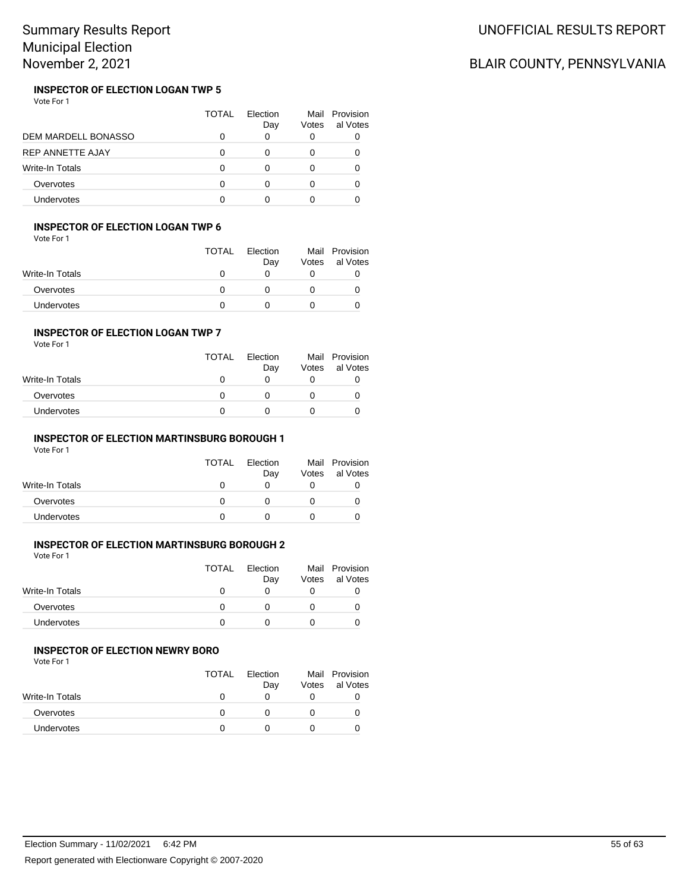#### **INSPECTOR OF ELECTION LOGAN TWP 5** Vote For 1

|                            | TOTAL | <b>Flection</b><br>Day | Votes | Mail Provision<br>al Votes |
|----------------------------|-------|------------------------|-------|----------------------------|
| <b>DEM MARDELL BONASSO</b> |       |                        |       |                            |
| <b>REP ANNETTE AJAY</b>    |       |                        |       |                            |
| <b>Write-In Totals</b>     |       |                        |       |                            |
| Overvotes                  |       |                        |       |                            |
| Undervotes                 |       |                        |       |                            |

## **INSPECTOR OF ELECTION LOGAN TWP 6**

| Vote For 1 |  |  |
|------------|--|--|
|------------|--|--|

|                   | <b>TOTAL</b> | Election |       | Mail Provision |
|-------------------|--------------|----------|-------|----------------|
| Write-In Totals   |              | Day      | Votes | al Votes       |
|                   |              |          |       |                |
| Overvotes         |              |          |       |                |
| <b>Undervotes</b> |              |          |       |                |

#### **INSPECTOR OF ELECTION LOGAN TWP 7**

|  | Vote For 1 |  |
|--|------------|--|
|  |            |  |

|                 | <b>TOTAL</b> | Election<br>Day | Mail<br>Votes | Provision<br>al Votes |
|-----------------|--------------|-----------------|---------------|-----------------------|
| Write-In Totals | $\mathbf{I}$ |                 |               |                       |
| Overvotes       |              |                 |               |                       |
| Undervotes      |              |                 |               |                       |

### **INSPECTOR OF ELECTION MARTINSBURG BOROUGH 1**

Vote For 1

| <b>TOTAL</b> | Election<br>Day | Mail<br>Votes | Provision<br>al Votes |
|--------------|-----------------|---------------|-----------------------|
|              |                 |               |                       |
|              |                 |               |                       |
|              |                 |               |                       |
|              |                 |               |                       |

# **INSPECTOR OF ELECTION MARTINSBURG BOROUGH 2**

Vote For 1

|                 | <b>TOTAL</b> | Election<br>Day | Votes | Mail Provision<br>al Votes |
|-----------------|--------------|-----------------|-------|----------------------------|
| Write-In Totals |              |                 |       |                            |
| Overvotes       |              |                 | O     |                            |
| Undervotes      |              |                 |       |                            |

### **INSPECTOR OF ELECTION NEWRY BORO**

Vote For 1

|                   | <b>TOTAL</b> | Election<br>Day | Votes | Mail Provision<br>al Votes |
|-------------------|--------------|-----------------|-------|----------------------------|
| Write-In Totals   |              |                 |       |                            |
| Overvotes         |              |                 |       |                            |
| <b>Undervotes</b> |              |                 |       |                            |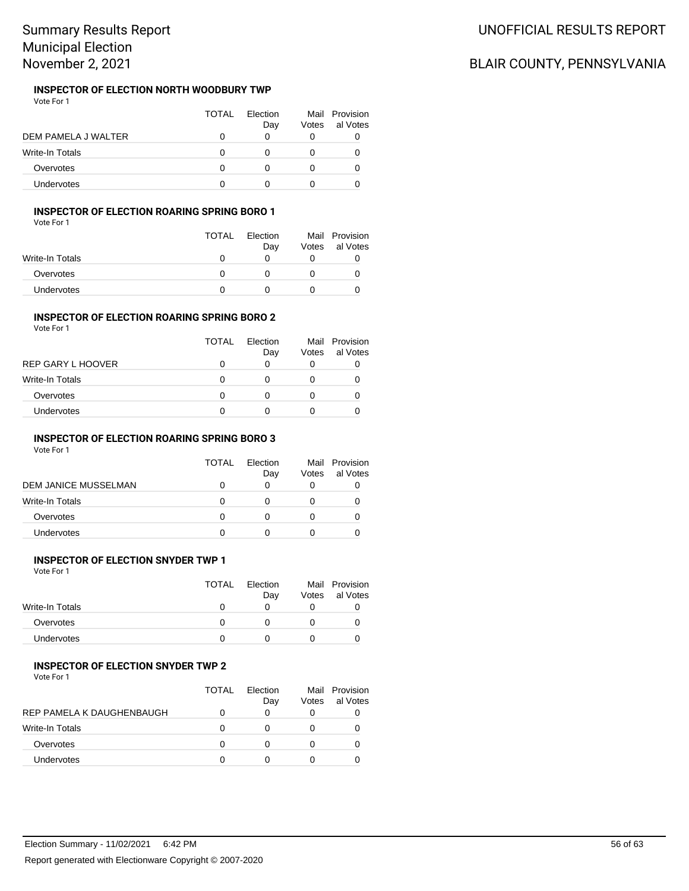#### **INSPECTOR OF ELECTION NORTH WOODBURY TWP** Vote For 1

|                        | TOTAL | Flection<br>Day | Votes | Mail Provision<br>al Votes |
|------------------------|-------|-----------------|-------|----------------------------|
| DEM PAMELA J WALTER    |       |                 | 0     |                            |
| <b>Write-In Totals</b> | Ω     |                 |       |                            |
| Overvotes              |       |                 | 0     |                            |
| <b>Undervotes</b>      |       |                 |       |                            |

## **INSPECTOR OF ELECTION ROARING SPRING BORO 1**

Vote For 1

|                   | <b>TOTAL</b> | Election<br>Day | Votes | Mail Provision<br>al Votes |
|-------------------|--------------|-----------------|-------|----------------------------|
| Write-In Totals   |              |                 |       |                            |
| Overvotes         | n            |                 |       |                            |
| <b>Undervotes</b> |              |                 |       |                            |

## **INSPECTOR OF ELECTION ROARING SPRING BORO 2**

|  | Vote For 1 |  |
|--|------------|--|
|  |            |  |

| al Votes |
|----------|
|          |
|          |
|          |
|          |
|          |

## **INSPECTOR OF ELECTION ROARING SPRING BORO 3**

Vote For 1

|                      | TOTAL | Flection<br>Day | Mail<br>Votes | Provision<br>al Votes |
|----------------------|-------|-----------------|---------------|-----------------------|
| DEM JANICE MUSSELMAN |       |                 |               |                       |
| Write-In Totals      |       |                 |               |                       |
| Overvotes            | 0     |                 |               |                       |
| <b>Undervotes</b>    |       |                 |               |                       |

## **INSPECTOR OF ELECTION SNYDER TWP 1**

Vote For 1

|                 | TOTAL | Election | Mail  | Provision |
|-----------------|-------|----------|-------|-----------|
|                 |       | Day      | Votes | al Votes  |
| Write-In Totals |       |          |       |           |
| Overvotes       |       |          |       |           |
| Undervotes      |       |          |       |           |
|                 |       |          |       |           |

#### **INSPECTOR OF ELECTION SNYDER TWP 2**

Vote For 1

|                           | TOTAL | Flection<br>Day | Votes | Mail Provision<br>al Votes |
|---------------------------|-------|-----------------|-------|----------------------------|
| REP PAMELA K DAUGHENBAUGH |       |                 |       |                            |
| <b>Write-In Totals</b>    |       |                 |       |                            |
| Overvotes                 |       |                 |       |                            |
| Undervotes                |       |                 |       |                            |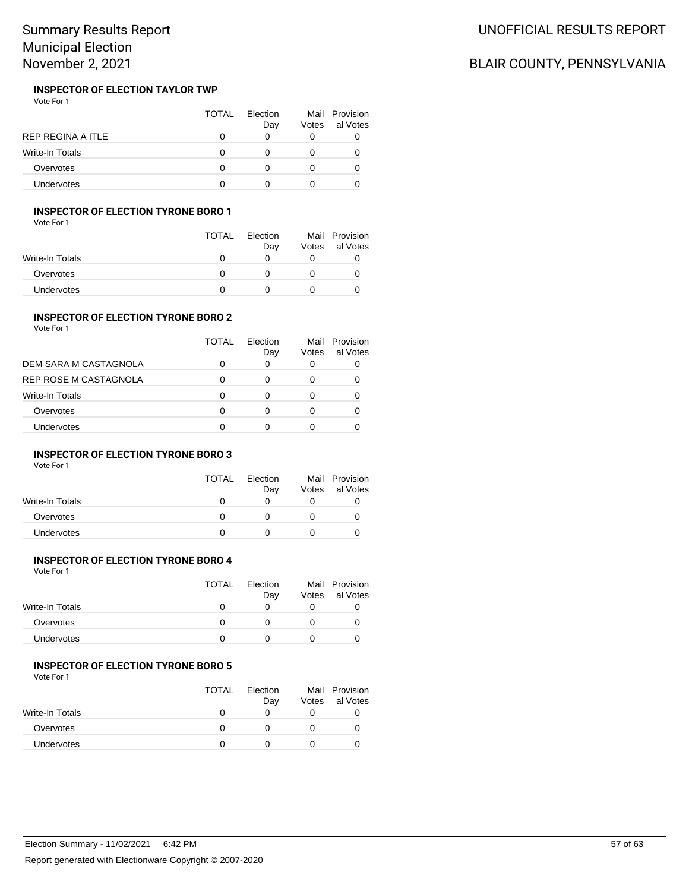#### **INSPECTOR OF ELECTION TAYLOR TWP** Vote For 1

|                   | <b>TOTAL</b> | Election<br>Day | Votes | Mail Provision<br>al Votes |
|-------------------|--------------|-----------------|-------|----------------------------|
| REP REGINA A ITLE |              |                 |       |                            |
| Write-In Totals   |              |                 |       |                            |
| Overvotes         |              |                 |       |                            |
| <b>Undervotes</b> |              |                 |       |                            |

### **INSPECTOR OF ELECTION TYRONE BORO 1**

Vote For 1

|                 | <b>TOTAL</b> | Election<br>Day | Votes | Mail Provision<br>al Votes |
|-----------------|--------------|-----------------|-------|----------------------------|
| Write-In Totals |              | O               |       |                            |
| Overvotes       | O            |                 |       |                            |
| Undervotes      |              |                 |       |                            |

#### **INSPECTOR OF ELECTION TYRONE BORO 2** Vote For 1

|                       | <b>TOTAL</b> | Flection<br>Day | Votes | Mail Provision<br>al Votes |
|-----------------------|--------------|-----------------|-------|----------------------------|
| DEM SARA M CASTAGNOLA | 0            | 0               |       |                            |
| REP ROSE M CASTAGNOLA | 0            |                 |       |                            |
| Write-In Totals       | 0            |                 |       |                            |
| Overvotes             | 0            | Ω               |       |                            |
| Undervotes            | O            |                 |       |                            |

### **INSPECTOR OF ELECTION TYRONE BORO 3**

Vote For 1

|                   | <b>TOTAL</b> | Election<br>Day | Votes | Mail Provision<br>al Votes |
|-------------------|--------------|-----------------|-------|----------------------------|
| Write-In Totals   |              | $\mathbf{0}$    |       |                            |
| Overvotes         |              |                 |       |                            |
| <b>Undervotes</b> |              |                 |       |                            |

## **INSPECTOR OF ELECTION TYRONE BORO 4**

| <b>TOTAL</b> | <b>Flection</b><br>Day | Votes | Mail Provision<br>al Votes |
|--------------|------------------------|-------|----------------------------|
|              | O                      |       | O                          |
| O            |                        |       | O                          |
|              |                        |       |                            |
|              |                        |       |                            |

#### **INSPECTOR OF ELECTION TYRONE BORO 5**

Vote For 1

|                 | <b>TOTAL</b> | Election<br>Day | Votes | Mail Provision<br>al Votes |
|-----------------|--------------|-----------------|-------|----------------------------|
| Write-In Totals |              |                 |       |                            |
| Overvotes       |              |                 |       |                            |
| Undervotes      |              |                 |       |                            |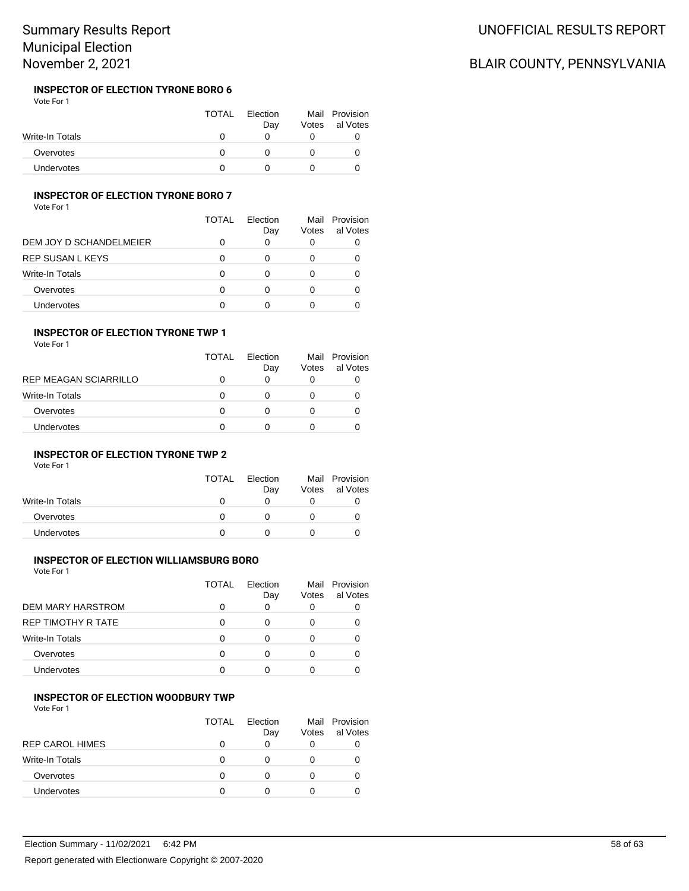#### **INSPECTOR OF ELECTION TYRONE BORO 6** Vote For 1

|                   | <b>TOTAL</b> | Election<br>Day | Votes | Mail Provision<br>al Votes |
|-------------------|--------------|-----------------|-------|----------------------------|
| Write-In Totals   |              |                 |       |                            |
| Overvotes         |              |                 |       |                            |
| <b>Undervotes</b> |              |                 |       |                            |

### **INSPECTOR OF ELECTION TYRONE BORO 7**

Vote For 1

|                         | TOTAL | Flection<br>Day | Votes | Mail Provision<br>al Votes |
|-------------------------|-------|-----------------|-------|----------------------------|
| DEM JOY D SCHANDELMEIER | O     | 0               |       |                            |
| REP SUSAN L KEYS        | 0     | 0               |       |                            |
| Write-In Totals         | 0     | O               |       |                            |
| Overvotes               | 0     | ი               | 0     |                            |
| Undervotes              | U     |                 |       |                            |

### **INSPECTOR OF ELECTION TYRONE TWP 1**

| Vote For 1 |  |
|------------|--|
|------------|--|

|                       | TOTAL | Flection<br>Day | Votes | Mail Provision<br>al Votes |
|-----------------------|-------|-----------------|-------|----------------------------|
| REP MEAGAN SCIARRILLO | 0     | O               |       |                            |
| Write-In Totals       | 0     | $\mathbf{0}$    |       |                            |
| Overvotes             | 0     | 0               |       |                            |
| Undervotes            | 0     |                 |       |                            |

### **INSPECTOR OF ELECTION TYRONE TWP 2**

Vote For 1

|                        | <b>TOTAL</b> | Election<br>Day | Votes | Mail Provision<br>al Votes |
|------------------------|--------------|-----------------|-------|----------------------------|
| <b>Write-In Totals</b> |              | O               |       |                            |
| Overvotes              | O            |                 |       |                            |
| <b>Undervotes</b>      |              |                 |       |                            |

## **INSPECTOR OF ELECTION WILLIAMSBURG BORO**

Vote For 1

|                        | TOTAL | Flection<br>Day | Votes | Mail Provision<br>al Votes |
|------------------------|-------|-----------------|-------|----------------------------|
| DEM MARY HARSTROM      |       | 0               | O     |                            |
| REP TIMOTHY R TATE     |       | O               |       |                            |
| <b>Write-In Totals</b> |       | O               |       |                            |
| Overvotes              |       | O               |       |                            |
| Undervotes             |       |                 |       |                            |

### **INSPECTOR OF ELECTION WOODBURY TWP**

Vote For 1

|                        | TOTAL        | Flection<br>Day | Votes | Mail Provision<br>al Votes |
|------------------------|--------------|-----------------|-------|----------------------------|
| <b>REP CAROL HIMES</b> | $\mathbf{0}$ | 0               | O     |                            |
| <b>Write-In Totals</b> | 0            | O               | O     |                            |
| Overvotes              | O            | 0               |       |                            |
| Undervotes             |              | O               |       |                            |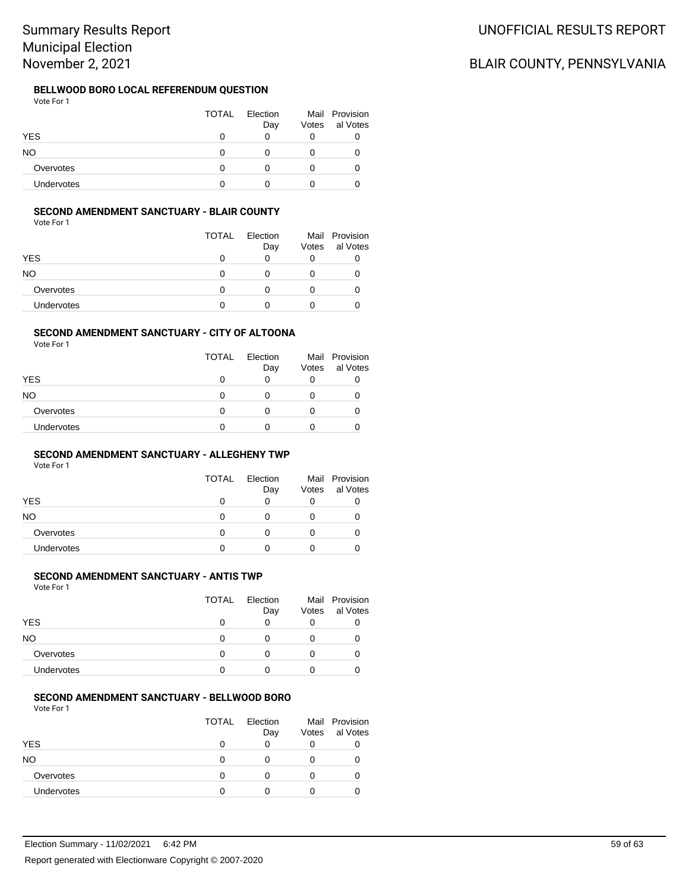#### **BELLWOOD BORO LOCAL REFERENDUM QUESTION** Vote For 1

|            | <b>TOTAL</b> | Election<br>Day | Mail Provision<br>Votes al Votes |
|------------|--------------|-----------------|----------------------------------|
| <b>YES</b> |              |                 |                                  |
| NO.        |              |                 |                                  |
| Overvotes  |              |                 |                                  |
| Undervotes |              |                 |                                  |

### **SECOND AMENDMENT SANCTUARY - BLAIR COUNTY**

Vote For 1

|            | <b>TOTAL</b> | Election<br>Day | Votes | Mail Provision<br>al Votes |
|------------|--------------|-----------------|-------|----------------------------|
| YES        | Ω            | 0               |       |                            |
| NO         | 0            | 0               |       |                            |
| Overvotes  | O            | 0               |       |                            |
| Undervotes |              |                 |       |                            |

#### **SECOND AMENDMENT SANCTUARY - CITY OF ALTOONA**

Vote For 1

|                   | <b>TOTAL</b> | Election<br>Day | Votes | Mail Provision<br>al Votes |
|-------------------|--------------|-----------------|-------|----------------------------|
| <b>YES</b>        | O            | 0               |       | O                          |
| NΟ                | 0            | 0               |       | $\mathbf{0}$               |
| Overvotes         | 0            | 0               |       | 0                          |
| <b>Undervotes</b> | n            | O               |       |                            |

### **SECOND AMENDMENT SANCTUARY - ALLEGHENY TWP**

Vote For 1

|            | <b>TOTAL</b> | Election<br>Day | Votes | Mail Provision<br>al Votes |
|------------|--------------|-----------------|-------|----------------------------|
| <b>YES</b> | 0            | O               |       |                            |
| NO.        | Ω            |                 |       |                            |
| Overvotes  | Ω            |                 |       |                            |
| Undervotes |              |                 |       |                            |

### **SECOND AMENDMENT SANCTUARY - ANTIS TWP**

Vote For 1

|            | <b>TOTAL</b> | Election<br>Day | Votes | Mail Provision<br>al Votes |
|------------|--------------|-----------------|-------|----------------------------|
| <b>YES</b> | 0            | 0               | 0     | O                          |
| <b>NO</b>  | 0            | Ω               |       |                            |
| Overvotes  | 0            | O               |       |                            |
| Undervotes | ŋ            |                 |       |                            |

### **SECOND AMENDMENT SANCTUARY - BELLWOOD BORO**

Vote For 1

|                | <b>TOTAL</b> | Election<br>Day | Votes | Mail Provision<br>al Votes |
|----------------|--------------|-----------------|-------|----------------------------|
| <b>YES</b>     | 0            | O               | 0     |                            |
| N <sub>O</sub> | O            |                 |       |                            |
| Overvotes      | ∩            | O               |       |                            |
| Undervotes     | ∩            |                 |       |                            |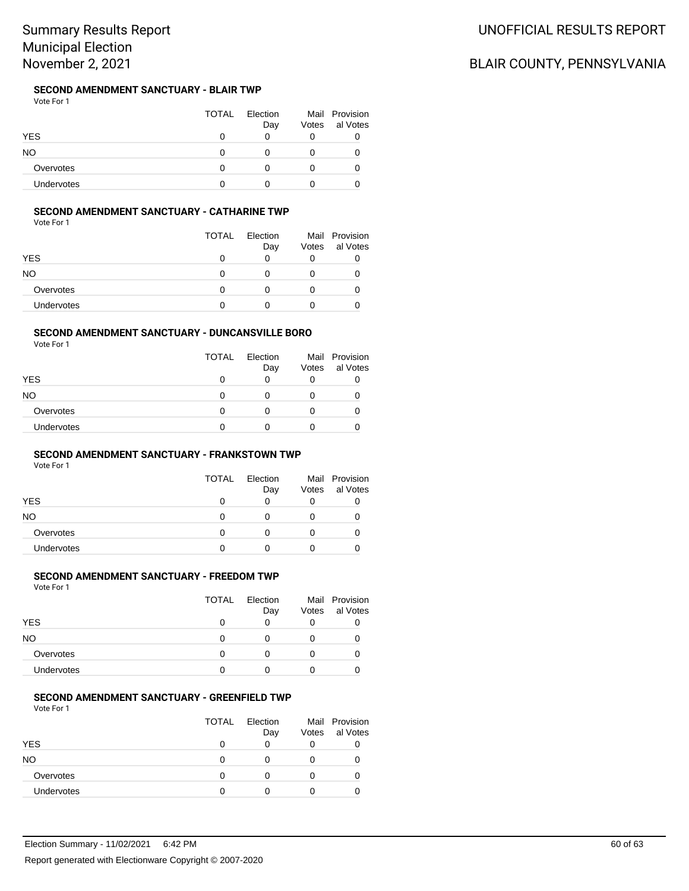## **SECOND AMENDMENT SANCTUARY - BLAIR TWP**

Vote For 1

|                   | <b>TOTAL</b> | Election<br>Day | Votes | Mail Provision<br>al Votes |
|-------------------|--------------|-----------------|-------|----------------------------|
| <b>YES</b>        |              |                 |       |                            |
| NΟ                |              |                 |       |                            |
| Overvotes         |              |                 |       |                            |
| <b>Undervotes</b> |              |                 |       |                            |

### **SECOND AMENDMENT SANCTUARY - CATHARINE TWP**

Vote For 1

|                   | <b>TOTAL</b> | Election<br>Day | Votes | Mail Provision<br>al Votes |
|-------------------|--------------|-----------------|-------|----------------------------|
| <b>YES</b>        | O            | O               |       |                            |
| NΟ                | 0            | O               |       |                            |
| Overvotes         | 0            | O               |       |                            |
| <b>Undervotes</b> | O            |                 |       |                            |

#### **SECOND AMENDMENT SANCTUARY - DUNCANSVILLE BORO**

Vote For 1

|                   | <b>TOTAL</b> | Election<br>Day | Votes | Mail Provision<br>al Votes |
|-------------------|--------------|-----------------|-------|----------------------------|
| <b>YES</b>        | 0            | 0               |       |                            |
| NO                | O            | n               |       |                            |
| Overvotes         | 0            | O               |       |                            |
| <b>Undervotes</b> | O            |                 |       |                            |

### **SECOND AMENDMENT SANCTUARY - FRANKSTOWN TWP**

Vote For 1

|            | <b>TOTAL</b> | Election<br>Day | Votes | Mail Provision<br>al Votes |
|------------|--------------|-----------------|-------|----------------------------|
| <b>YES</b> | 0            | O               |       |                            |
| NO.        | Ω            |                 |       |                            |
| Overvotes  | Ω            |                 |       |                            |
| Undervotes |              |                 |       |                            |

### **SECOND AMENDMENT SANCTUARY - FREEDOM TWP**

Vote For 1

|            | <b>TOTAL</b> | Election<br>Day | Votes | Mail Provision<br>al Votes |
|------------|--------------|-----------------|-------|----------------------------|
| <b>YES</b> | O            | 0               | 0     |                            |
| <b>NO</b>  | 0            |                 |       |                            |
| Overvotes  | 0            | O               |       |                            |
| Undervotes | 0            |                 |       |                            |

#### **SECOND AMENDMENT SANCTUARY - GREENFIELD TWP**

Vote For 1

|            | <b>TOTAL</b> | Election<br>Day | Votes | Mail Provision<br>al Votes |
|------------|--------------|-----------------|-------|----------------------------|
| <b>YES</b> | 0            | 0               | 0     |                            |
| NO.        | 0            | O               |       |                            |
| Overvotes  | 0            | $\mathbf{0}$    |       |                            |
| Undervotes | O            |                 |       |                            |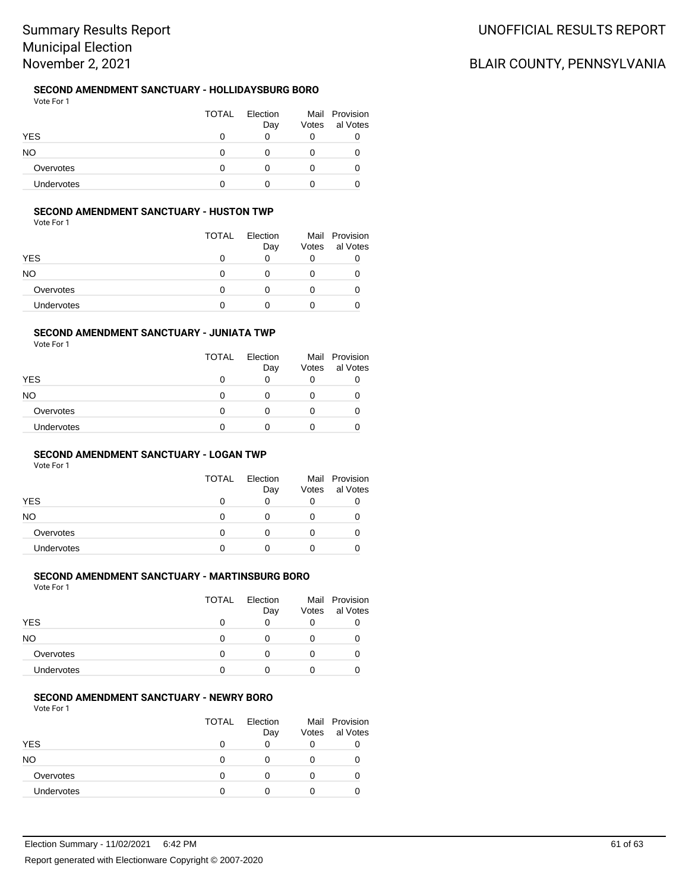## **SECOND AMENDMENT SANCTUARY - HOLLIDAYSBURG BORO**

Vote For 1 TOTAL Election Day Mail Provision Votes al Votes YES 0 0 0 0 NO 0 0 0 0 Overvotes 0 0 0 0 0 Undervotes 0 0 0 0 0

### **SECOND AMENDMENT SANCTUARY - HUSTON TWP**

Vote For 1

|            | <b>TOTAL</b> | Election<br>Day | Votes | Mail Provision<br>al Votes |
|------------|--------------|-----------------|-------|----------------------------|
| YES        | Ω            | 0               |       |                            |
| NO         | 0            | 0               |       |                            |
| Overvotes  | O            | 0               |       |                            |
| Undervotes |              |                 |       |                            |

#### **SECOND AMENDMENT SANCTUARY - JUNIATA TWP**

Vote For 1

|            | <b>TOTAL</b> | Election<br>Day | Votes | Mail Provision<br>al Votes |
|------------|--------------|-----------------|-------|----------------------------|
| YES        | O            | 0               |       |                            |
| NO         | O            | 0               |       |                            |
| Overvotes  | O            | 0               |       |                            |
| Undervotes | 0            | Ω               |       |                            |

### **SECOND AMENDMENT SANCTUARY - LOGAN TWP**

Vote For 1

|            | <b>TOTAL</b> | Election<br>Day | Votes | Mail Provision<br>al Votes |
|------------|--------------|-----------------|-------|----------------------------|
| <b>YES</b> | 0            | 0               |       |                            |
| NO.        | 0            |                 |       |                            |
| Overvotes  | O            | 0               |       |                            |
| Undervotes |              |                 |       |                            |

### **SECOND AMENDMENT SANCTUARY - MARTINSBURG BORO**

Vote For 1

|                   | <b>TOTAL</b> | Election<br>Day | Votes | Mail Provision<br>al Votes |
|-------------------|--------------|-----------------|-------|----------------------------|
| <b>YES</b>        | O            | O               | O     |                            |
| NO.               | 0            | $\mathbf{0}$    |       |                            |
| Overvotes         | 0            | $\mathbf{0}$    |       |                            |
| <b>Undervotes</b> | Ω            |                 |       |                            |

#### **SECOND AMENDMENT SANCTUARY - NEWRY BORO**

Vote For 1

|                   | <b>TOTAL</b> | Election<br>Day | Votes | Mail Provision<br>al Votes |
|-------------------|--------------|-----------------|-------|----------------------------|
| <b>YES</b>        | 0            | 0               | 0     |                            |
| NO                | O            | 0               |       |                            |
| Overvotes         | ∩            | 0               |       |                            |
| <b>Undervotes</b> | ∩            | 0               |       |                            |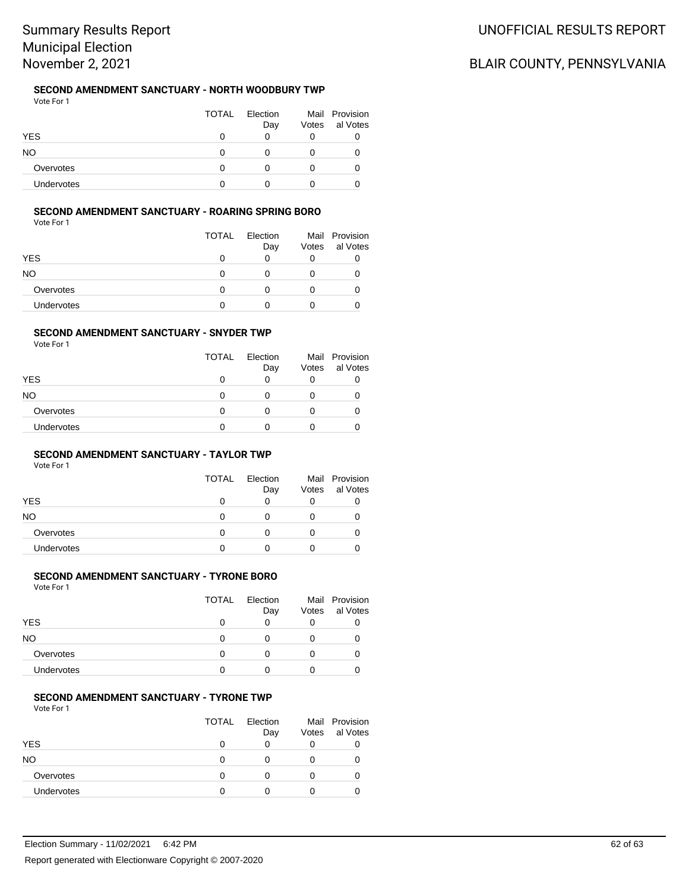#### **SECOND AMENDMENT SANCTUARY - NORTH WOODBURY TWP** Vote For 1

|                   | <b>TOTAL</b> | Election<br>Day | Votes | Mail Provision<br>al Votes |
|-------------------|--------------|-----------------|-------|----------------------------|
| <b>YES</b>        | $\mathbf{I}$ |                 |       |                            |
| NO                | O            |                 |       |                            |
| Overvotes         |              |                 |       |                            |
| <b>Undervotes</b> |              |                 |       |                            |

# **SECOND AMENDMENT SANCTUARY - ROARING SPRING BORO**

Vote For 1

|                   | <b>TOTAL</b> | Election<br>Day | Votes | Mail Provision<br>al Votes |
|-------------------|--------------|-----------------|-------|----------------------------|
| <b>YES</b>        | O            | O               |       |                            |
| NΟ                | 0            | O               |       |                            |
| Overvotes         | 0            | O               |       |                            |
| <b>Undervotes</b> | O            |                 |       |                            |

#### **SECOND AMENDMENT SANCTUARY - SNYDER TWP**

Vote For 1

|                   | <b>TOTAL</b> | Election<br>Day | Votes | Mail Provision<br>al Votes |
|-------------------|--------------|-----------------|-------|----------------------------|
| <b>YES</b>        | O            | 0               |       |                            |
| NO                | 0            | 0               |       |                            |
| Overvotes         | 0            | Ω               |       |                            |
| <b>Undervotes</b> | n            | O               |       |                            |

### **SECOND AMENDMENT SANCTUARY - TAYLOR TWP**

Vote For 1

|            | <b>TOTAL</b> | Election<br>Day | Votes | Mail Provision<br>al Votes |
|------------|--------------|-----------------|-------|----------------------------|
| <b>YES</b> | 0            |                 |       |                            |
| NO.        | Ω            |                 |       |                            |
| Overvotes  | 0            |                 |       |                            |
| Undervotes | O            |                 |       |                            |

### **SECOND AMENDMENT SANCTUARY - TYRONE BORO**

Vote For 1

|                   | <b>TOTAL</b> | Election<br>Day | Votes | Mail Provision<br>al Votes |
|-------------------|--------------|-----------------|-------|----------------------------|
| <b>YES</b>        | 0            | 0               | O     |                            |
| NO                | 0            | 0               | O     |                            |
| Overvotes         | 0            | O               |       |                            |
| <b>Undervotes</b> | ∩            |                 |       |                            |

#### **SECOND AMENDMENT SANCTUARY - TYRONE TWP**

Vote For 1

|            | <b>TOTAL</b> | Election<br>Day | Votes | Mail Provision<br>al Votes |
|------------|--------------|-----------------|-------|----------------------------|
| <b>YES</b> | 0            | 0               |       |                            |
| NO         | O            | 0               |       |                            |
| Overvotes  | $\Omega$     | O               |       |                            |
| Undervotes | ∩            |                 |       |                            |